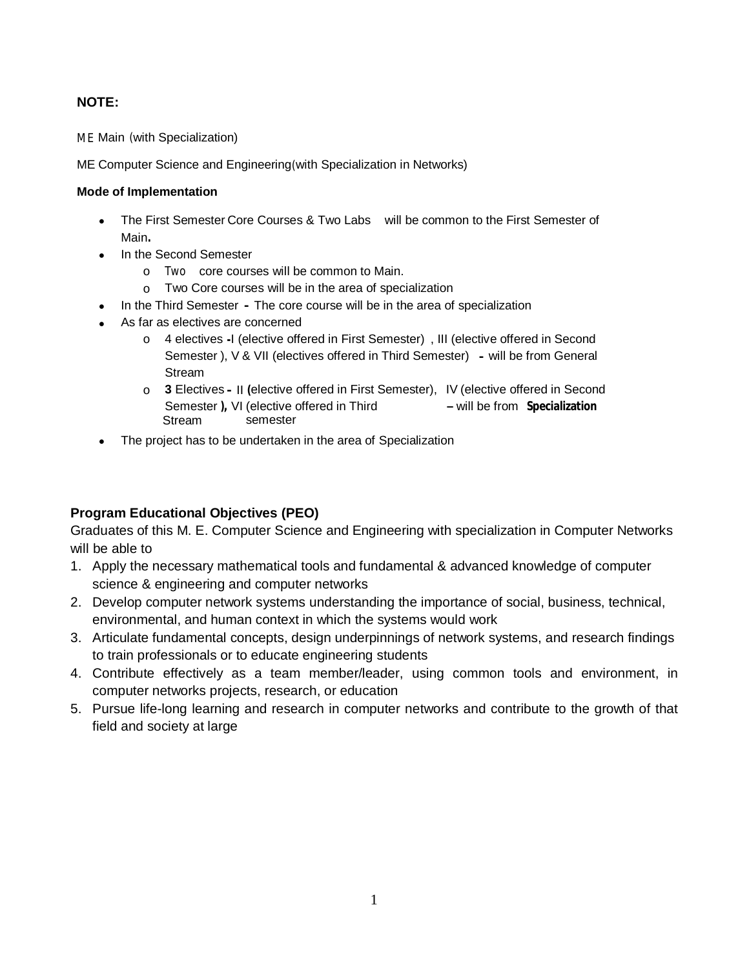# **NOTE:**

ME Main (with Specialization)

ME Computer Science and Engineering(with Specialization in Networks)

#### **Mode of Implementation**

- The First Semester Core Courses & Two Labs will be common to the First Semester of Main**.**
- In the Second Semester
	- o Two core courses will be common to Main.
	- o Two Core courses will be in the area of specialization
- In the Third Semester **–** The core course will be in the area of specialization
- As far as electives are concerned
	- o 4 electives **-**I (elective offered in First Semester) , III (elective offered in Second Semester ), V & VII (electives offered in Third Semester) **–** will be from General Stream
	- o **3** Electives **–** II **(**elective offered in First Semester), IV (elective offered in Second Semester **),** VI (elective offered in Third semester **–** will be from **Specialization**  Stream
- The project has to be undertaken in the area of Specialization

### **Program Educational Objectives (PEO)**

Graduates of this M. E. Computer Science and Engineering with specialization in Computer Networks will be able to

- 1. Apply the necessary mathematical tools and fundamental & advanced knowledge of computer science & engineering and computer networks
- 2. Develop computer network systems understanding the importance of social, business, technical, environmental, and human context in which the systems would work
- 3. Articulate fundamental concepts, design underpinnings of network systems, and research findings to train professionals or to educate engineering students
- 4. Contribute effectively as a team member/leader, using common tools and environment, in computer networks projects, research, or education
- 5. Pursue life-long learning and research in computer networks and contribute to the growth of that field and society at large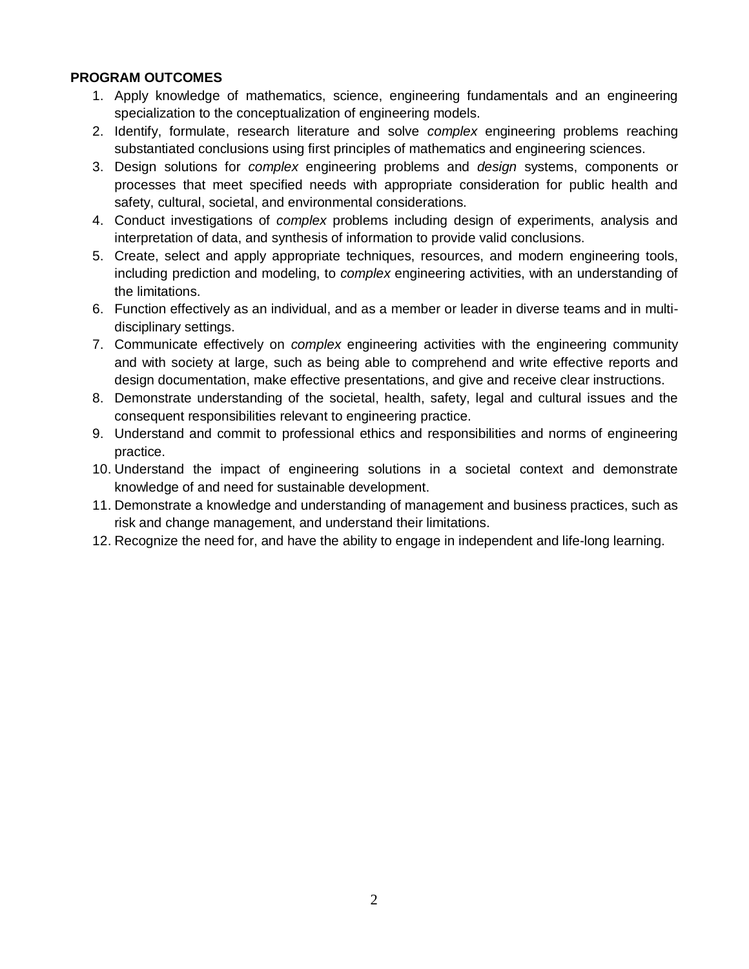#### **PROGRAM OUTCOMES**

- 1. Apply knowledge of mathematics, science, engineering fundamentals and an engineering specialization to the conceptualization of engineering models.
- 2. Identify, formulate, research literature and solve *complex* engineering problems reaching substantiated conclusions using first principles of mathematics and engineering sciences.
- 3. Design solutions for *complex* engineering problems and *design* systems, components or processes that meet specified needs with appropriate consideration for public health and safety, cultural, societal, and environmental considerations.
- 4. Conduct investigations of *complex* problems including design of experiments, analysis and interpretation of data, and synthesis of information to provide valid conclusions.
- 5. Create, select and apply appropriate techniques, resources, and modern engineering tools, including prediction and modeling, to *complex* engineering activities, with an understanding of the limitations.
- 6. Function effectively as an individual, and as a member or leader in diverse teams and in multidisciplinary settings.
- 7. Communicate effectively on *complex* engineering activities with the engineering community and with society at large, such as being able to comprehend and write effective reports and design documentation, make effective presentations, and give and receive clear instructions.
- 8. Demonstrate understanding of the societal, health, safety, legal and cultural issues and the consequent responsibilities relevant to engineering practice.
- 9. Understand and commit to professional ethics and responsibilities and norms of engineering practice.
- 10. Understand the impact of engineering solutions in a societal context and demonstrate knowledge of and need for sustainable development.
- 11. Demonstrate a knowledge and understanding of management and business practices, such as risk and change management, and understand their limitations.
- 12. Recognize the need for, and have the ability to engage in independent and life-long learning.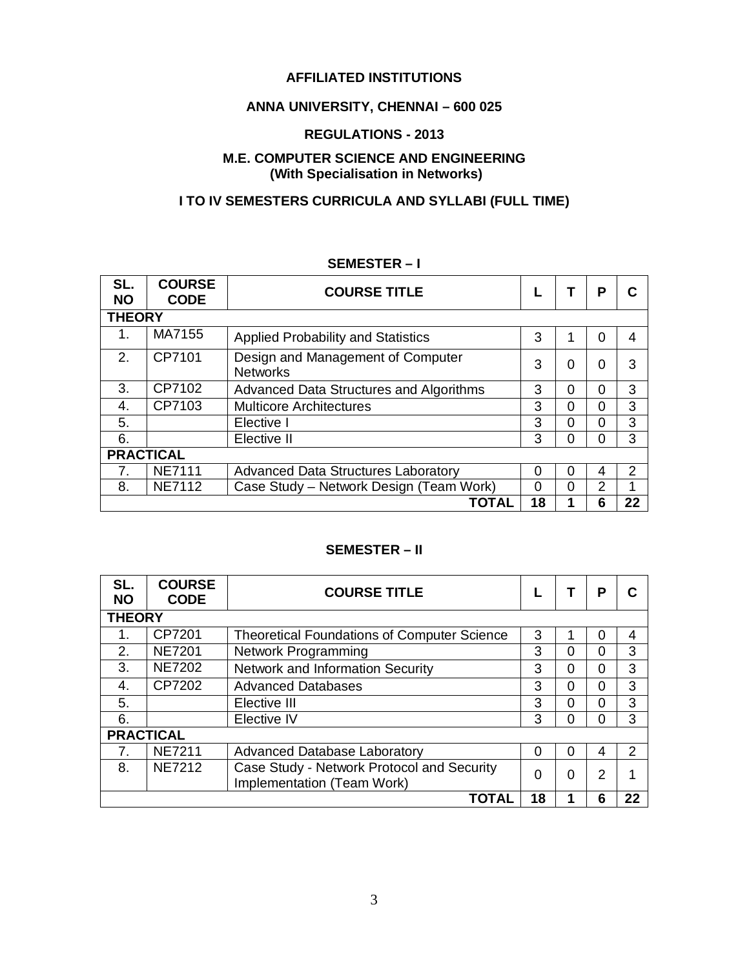#### **AFFILIATED INSTITUTIONS**

#### **ANNA UNIVERSITY, CHENNAI – 600 025**

#### **REGULATIONS - 2013**

#### **M.E. COMPUTER SCIENCE AND ENGINEERING (With Specialisation in Networks)**

# **I TO IV SEMESTERS CURRICULA AND SYLLABI (FULL TIME)**

| SL.<br><b>NO</b> | <b>COURSE</b><br><b>CODE</b> | <b>COURSE TITLE</b>                                  |          |   | Р        |    |
|------------------|------------------------------|------------------------------------------------------|----------|---|----------|----|
| <b>THEORY</b>    |                              |                                                      |          |   |          |    |
| 1.               | MA7155                       | <b>Applied Probability and Statistics</b>            | 3        | 1 | 0        | 4  |
| 2 <sub>1</sub>   | CP7101                       | Design and Management of Computer<br><b>Networks</b> | 3        | 0 | $\Omega$ | 3  |
| 3.               | CP7102                       | Advanced Data Structures and Algorithms              | 3        | 0 | $\Omega$ | 3  |
| 4.               | CP7103                       | <b>Multicore Architectures</b>                       | 3        | 0 | $\Omega$ | 3  |
| 5.               |                              | Elective I                                           | 3        | 0 | $\Omega$ | 3  |
| 6.               |                              | Elective II                                          | 3        | 0 | $\Omega$ | 3  |
|                  | <b>PRACTICAL</b>             |                                                      |          |   |          |    |
| 7.               | <b>NE7111</b>                | <b>Advanced Data Structures Laboratory</b>           | 0        | 0 | 4        | 2  |
| 8.               | <b>NE7112</b>                | Case Study - Network Design (Team Work)              | $\Omega$ | 0 | 2        | ◢  |
|                  |                              | <b>TOTAL</b>                                         | 18       | 1 | 6        | 22 |

#### **SEMESTER – I**

#### **SEMESTER – II**

| SL.<br><b>NO</b> | <b>COURSE</b><br><b>CODE</b> | <b>COURSE TITLE</b>                                                      |          |          | P |    |
|------------------|------------------------------|--------------------------------------------------------------------------|----------|----------|---|----|
| <b>THEORY</b>    |                              |                                                                          |          |          |   |    |
|                  | CP7201                       | <b>Theoretical Foundations of Computer Science</b>                       | 3        |          | 0 | 4  |
| 2.               | <b>NE7201</b>                | Network Programming                                                      | 3        | 0        | 0 | 3  |
| 3.               | <b>NE7202</b>                | <b>Network and Information Security</b>                                  | 3        | 0        | 0 | 3  |
| 4.               | CP7202                       | <b>Advanced Databases</b>                                                | 3        | 0        | 0 | 3  |
| 5.               |                              | Elective III                                                             | 3        | 0        | 0 | 3  |
| 6.               |                              | Elective IV                                                              | 3        | 0        | 0 | 3  |
|                  | <b>PRACTICAL</b>             |                                                                          |          |          |   |    |
| 7.               | <b>NE7211</b>                | Advanced Database Laboratory                                             | 0        | 0        | 4 | 2  |
| 8.               | <b>NE7212</b>                | Case Study - Network Protocol and Security<br>Implementation (Team Work) | $\Omega$ | $\Omega$ | 2 |    |
|                  |                              | ΤΟΤΑΙ                                                                    | 18       |          | 6 | 22 |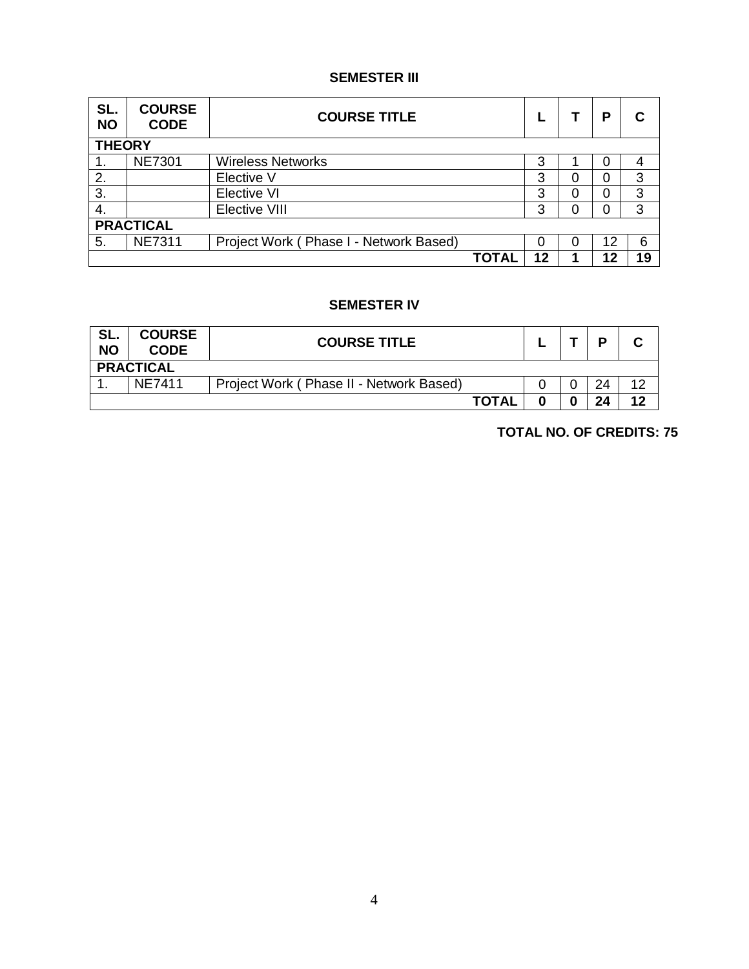# **SEMESTER III**

| SL.<br><b>NO</b> | <b>COURSE</b><br><b>CODE</b> | <b>COURSE TITLE</b>                    |       |    |   | р  |    |  |  |
|------------------|------------------------------|----------------------------------------|-------|----|---|----|----|--|--|
|                  | <b>THEORY</b>                |                                        |       |    |   |    |    |  |  |
| 1.               | <b>NE7301</b>                | <b>Wireless Networks</b>               |       | 3  |   | 0  |    |  |  |
| 2.               |                              | Elective V                             |       | 3  | 0 | 0  | 3  |  |  |
| 3.               |                              | Elective VI                            |       | 3  | 0 | 0  | 3  |  |  |
| 4.               |                              | Elective VIII                          |       | 3  | 0 | 0  | 3  |  |  |
|                  | <b>PRACTICAL</b>             |                                        |       |    |   |    |    |  |  |
| 5.               | <b>NE7311</b>                | Project Work (Phase I - Network Based) |       |    | 0 | 12 | 6  |  |  |
|                  |                              |                                        | ΤΟΤΑΙ | 12 |   | 12 | 19 |  |  |

#### **SEMESTER IV**

| SL.<br><b>NO</b> | <b>COURSE</b><br><b>CODE</b> | <b>COURSE TITLE</b>                     |              |   |    |    |
|------------------|------------------------------|-----------------------------------------|--------------|---|----|----|
|                  | <b>PRACTICAL</b>             |                                         |              |   |    |    |
| . .              | NF7411                       | Project Work (Phase II - Network Based) |              |   | 24 | 12 |
|                  |                              |                                         | <b>TOTAL</b> | 0 | 24 | 12 |

**TOTAL NO. OF CREDITS: 75**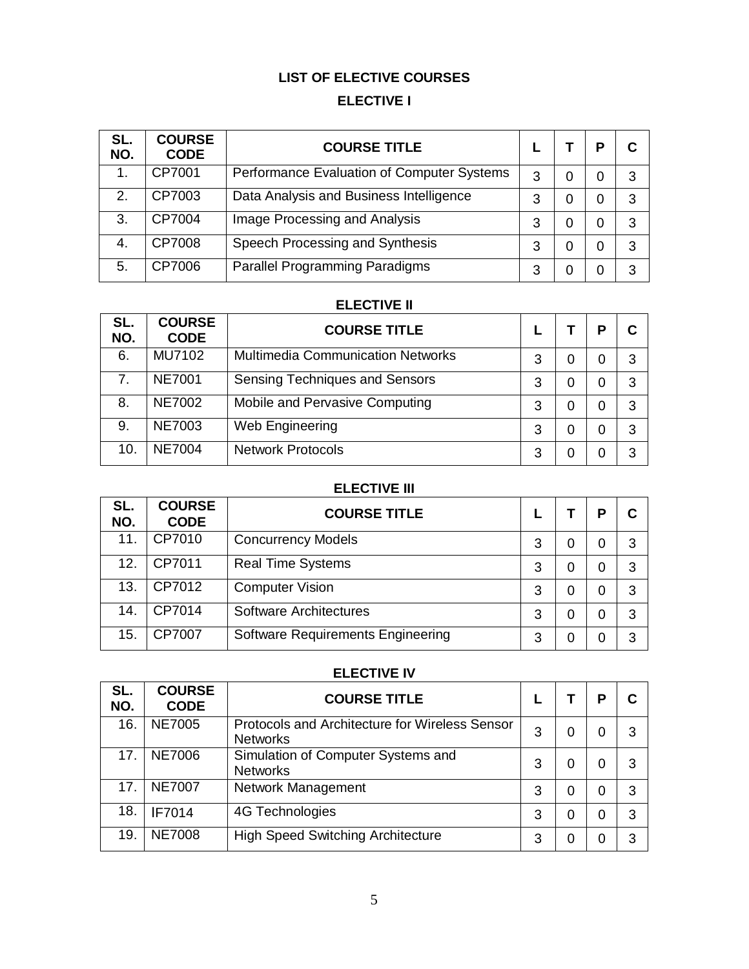# **LIST OF ELECTIVE COURSES ELECTIVE I**

| SL.<br>NO. | <b>COURSE</b><br><b>CODE</b> | <b>COURSE TITLE</b>                        |   | Р |   |
|------------|------------------------------|--------------------------------------------|---|---|---|
| 1.         | CP7001                       | Performance Evaluation of Computer Systems | 3 | 0 | 3 |
| 2.         | CP7003                       | Data Analysis and Business Intelligence    | 3 | 0 | 3 |
| 3.         | CP7004                       | Image Processing and Analysis              | 3 | 0 | 3 |
| -4.        | CP7008                       | Speech Processing and Synthesis            | 3 | 0 | 3 |
| 5.         | CP7006                       | Parallel Programming Paradigms             | 3 | 0 |   |

# **ELECTIVE II**

| SL.<br>NO. | <b>COURSE</b><br><b>CODE</b> | <b>COURSE TITLE</b>                      |   |   | Р |   |
|------------|------------------------------|------------------------------------------|---|---|---|---|
| 6.         | MU7102                       | <b>Multimedia Communication Networks</b> | 3 | 0 |   | 3 |
| 7.         | <b>NE7001</b>                | Sensing Techniques and Sensors           | 3 | 0 | 0 | 3 |
| 8.         | <b>NE7002</b>                | Mobile and Pervasive Computing           | 3 | 0 |   | 3 |
| 9.         | <b>NE7003</b>                | Web Engineering                          | 3 | 0 |   | 3 |
| 10.        | <b>NE7004</b>                | <b>Network Protocols</b>                 | 3 |   |   | З |

#### **ELECTIVE III**

| SL.<br>NO. | <b>COURSE</b><br><b>CODE</b> | <b>COURSE TITLE</b>                      |   |   | Р |   |
|------------|------------------------------|------------------------------------------|---|---|---|---|
| 11.        | CP7010                       | <b>Concurrency Models</b>                | 3 | 0 | 0 | 3 |
| 12.        | CP7011                       | <b>Real Time Systems</b>                 | 3 | 0 | 0 | 3 |
| 13.        | CP7012                       | <b>Computer Vision</b>                   | 3 | 0 | 0 | 3 |
| 14.        | CP7014                       | <b>Software Architectures</b>            | 3 | 0 | 0 | 3 |
| 15.        | CP7007                       | <b>Software Requirements Engineering</b> | 3 | 0 | 0 | 3 |

### **ELECTIVE IV**

| SL.<br>NO. | <b>COURSE</b><br><b>CODE</b> | <b>COURSE TITLE</b>                                               |   |   | Р |   |
|------------|------------------------------|-------------------------------------------------------------------|---|---|---|---|
| 16.        | <b>NE7005</b>                | Protocols and Architecture for Wireless Sensor<br><b>Networks</b> | 3 | 0 | 0 | 3 |
| 17.        | <b>NE7006</b>                | Simulation of Computer Systems and<br><b>Networks</b>             | 3 | 0 | 0 | 3 |
| 17.        | <b>NE7007</b>                | Network Management                                                | 3 | 0 | 0 | 3 |
| 18.        | IF7014                       | 4G Technologies                                                   | 3 | 0 | 0 | 3 |
| 19.        | <b>NE7008</b>                | <b>High Speed Switching Architecture</b>                          | 3 | 0 |   | 3 |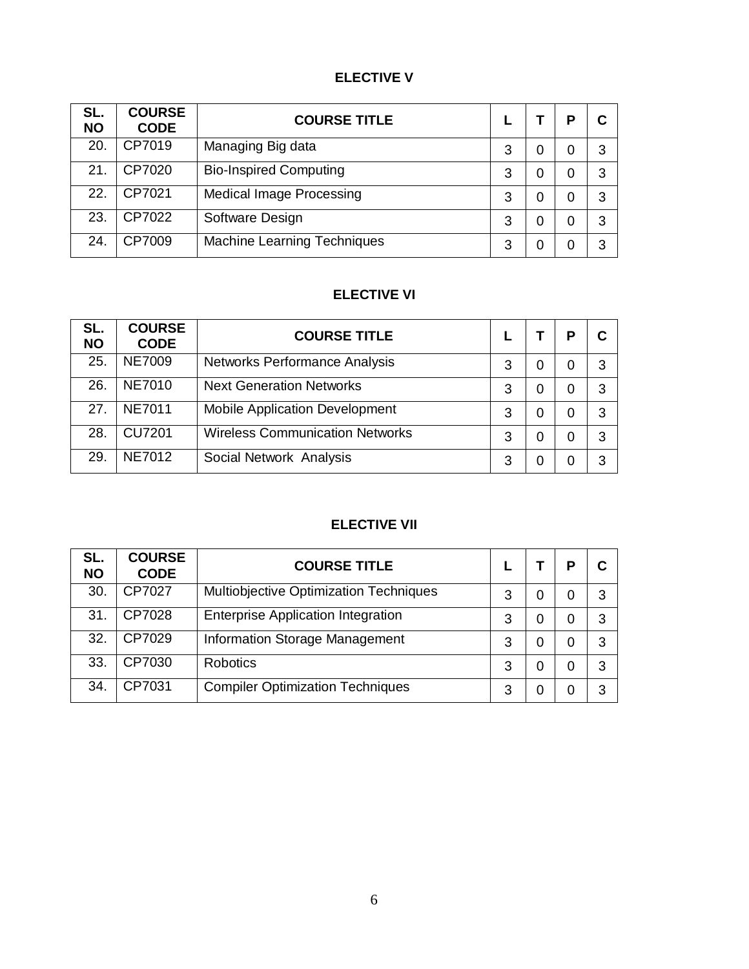# **ELECTIVE V**

| SL.<br><b>NO</b> | <b>COURSE</b><br><b>CODE</b> | <b>COURSE TITLE</b>                |   |   | Ρ |   |
|------------------|------------------------------|------------------------------------|---|---|---|---|
| 20.              | CP7019                       | Managing Big data                  | 3 | 0 |   | 3 |
| 21.              | CP7020                       | <b>Bio-Inspired Computing</b>      | 3 | 0 |   | 3 |
| 22.              | CP7021                       | <b>Medical Image Processing</b>    | 3 | 0 |   | 3 |
| 23.              | CP7022                       | Software Design                    | 3 | 0 | 0 | 3 |
| 24.              | CP7009                       | <b>Machine Learning Techniques</b> | 3 | 0 |   | 3 |

# **ELECTIVE VI**

| SL.<br><b>NO</b> | <b>COURSE</b><br><b>CODE</b> | <b>COURSE TITLE</b>                    |   |   | Р |   |
|------------------|------------------------------|----------------------------------------|---|---|---|---|
| 25.              | <b>NE7009</b>                | <b>Networks Performance Analysis</b>   | 3 | 0 | 0 | 3 |
| 26.              | <b>NE7010</b>                | <b>Next Generation Networks</b>        | 3 | 0 | 0 | 3 |
| 27.              | <b>NE7011</b>                | <b>Mobile Application Development</b>  | 3 | 0 | 0 | 3 |
| 28.              | <b>CU7201</b>                | <b>Wireless Communication Networks</b> | 3 | 0 | 0 | 3 |
| 29.              | <b>NE7012</b>                | Social Network Analysis                | 3 | 0 | 0 | З |

# **ELECTIVE VII**

| SL.<br><b>NO</b> | <b>COURSE</b><br><b>CODE</b> | <b>COURSE TITLE</b>                       |   |   | Р |   |
|------------------|------------------------------|-------------------------------------------|---|---|---|---|
| 30.              | CP7027                       | Multiobjective Optimization Techniques    | 3 | 0 | 0 | 3 |
| 31.              | CP7028                       | <b>Enterprise Application Integration</b> | 3 | 0 | 0 | 3 |
| 32.              | CP7029                       | Information Storage Management            | 3 | 0 | 0 | 3 |
| 33.              | CP7030                       | <b>Robotics</b>                           | 3 | 0 | 0 | 3 |
| 34.              | CP7031                       | <b>Compiler Optimization Techniques</b>   | 3 | 0 | 0 | 3 |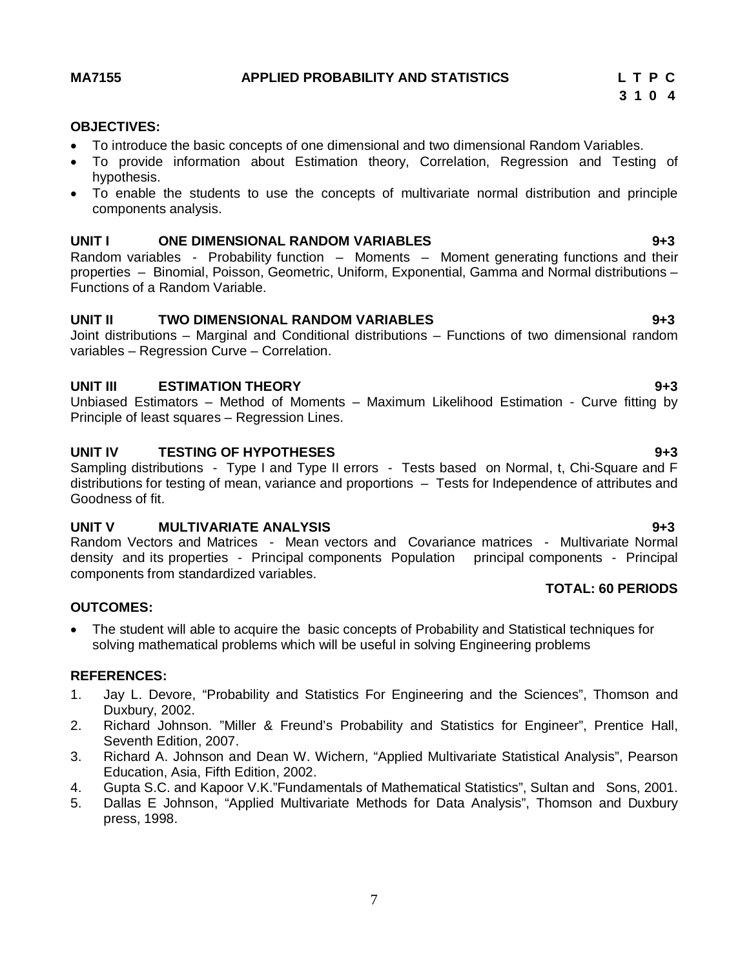#### **MA7155 APPLIED PROBABILITY AND STATISTICS L T P C**

# **3 1 0 4**

#### **OBJECTIVES:**

- To introduce the basic concepts of one dimensional and two dimensional Random Variables.
- To provide information about Estimation theory, Correlation, Regression and Testing of hypothesis.
- To enable the students to use the concepts of multivariate normal distribution and principle components analysis.

#### **UNIT I ONE DIMENSIONAL RANDOM VARIABLES 9+3**

Random variables - Probability function – Moments – Moment generating functions and their properties – Binomial, Poisson, Geometric, Uniform, Exponential, Gamma and Normal distributions – Functions of a Random Variable.

#### **UNIT II TWO DIMENSIONAL RANDOM VARIABLES 9+3**

Joint distributions – Marginal and Conditional distributions – Functions of two dimensional random variables – Regression Curve – Correlation.

#### **UNIT III ESTIMATION THEORY 9+3**

Unbiased Estimators – Method of Moments – Maximum Likelihood Estimation - Curve fitting by Principle of least squares – Regression Lines.

#### **UNIT IV TESTING OF HYPOTHESES 9+3**

Sampling distributions - Type I and Type II errors - Tests based on Normal, t, Chi-Square and F distributions for testing of mean, variance and proportions – Tests for Independence of attributes and Goodness of fit.

#### **UNIT V MULTIVARIATE ANALYSIS 9+3**

Random Vectors and Matrices - Mean vectors and Covariance matrices - Multivariate Normal density and its properties - Principal components Population principal components - Principal components from standardized variables.

#### **TOTAL: 60 PERIODS**

#### **OUTCOMES:**

 The student will able to acquire the basic concepts of Probability and Statistical techniques for solving mathematical problems which will be useful in solving Engineering problems

#### **REFERENCES:**

- 1. Jay L. Devore, "Probability and Statistics For Engineering and the Sciences", Thomson and Duxbury, 2002.
- 2. Richard Johnson. "Miller & Freund's Probability and Statistics for Engineer", Prentice Hall, Seventh Edition, 2007.
- 3. Richard A. Johnson and Dean W. Wichern, "Applied Multivariate Statistical Analysis", Pearson Education, Asia, Fifth Edition, 2002.
- 4. Gupta S.C. and Kapoor V.K."Fundamentals of Mathematical Statistics", Sultan and Sons, 2001.
- 5. Dallas E Johnson, "Applied Multivariate Methods for Data Analysis", Thomson and Duxbury press, 1998.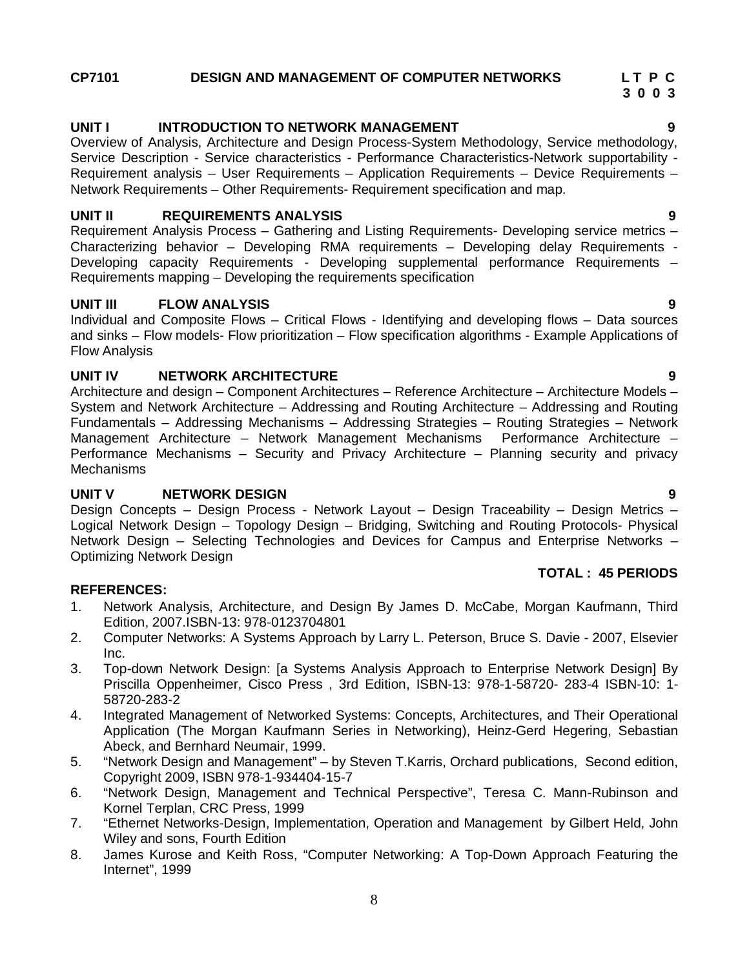#### **CP7101 DESIGN AND MANAGEMENT OF COMPUTER NETWORKS L T P C**

#### **UNIT I INTRODUCTION TO NETWORK MANAGEMENT 9**

Overview of Analysis, Architecture and Design Process-System Methodology, Service methodology, Service Description - Service characteristics - Performance Characteristics-Network supportability - Requirement analysis – User Requirements – Application Requirements – Device Requirements – Network Requirements – Other Requirements- Requirement specification and map.

#### **UNIT II REQUIREMENTS ANALYSIS 9**

Requirement Analysis Process – Gathering and Listing Requirements- Developing service metrics – Characterizing behavior – Developing RMA requirements – Developing delay Requirements - Developing capacity Requirements - Developing supplemental performance Requirements – Requirements mapping – Developing the requirements specification

#### **UNIT III FLOW ANALYSIS 9**

Individual and Composite Flows – Critical Flows - Identifying and developing flows – Data sources and sinks – Flow models- Flow prioritization – Flow specification algorithms - Example Applications of Flow Analysis

#### **UNIT IV NETWORK ARCHITECTURE 9**

Architecture and design – Component Architectures – Reference Architecture – Architecture Models – System and Network Architecture – Addressing and Routing Architecture – Addressing and Routing Fundamentals – Addressing Mechanisms – Addressing Strategies – Routing Strategies – Network Management Architecture – Network Management Mechanisms Performance Architecture – Performance Mechanisms – Security and Privacy Architecture – Planning security and privacy Mechanisms

#### **UNIT V NETWORK DESIGN 9**

Design Concepts – Design Process - Network Layout – Design Traceability – Design Metrics – Logical Network Design – Topology Design – Bridging, Switching and Routing Protocols- Physical Network Design – Selecting Technologies and Devices for Campus and Enterprise Networks – Optimizing Network Design

# **TOTAL : 45 PERIODS**

#### **REFERENCES:**

- 1. Network Analysis, Architecture, and Design By James D. McCabe, Morgan Kaufmann, Third Edition, 2007.ISBN-13: 978-0123704801
- 2. Computer Networks: A Systems Approach by Larry L. Peterson, Bruce S. Davie 2007, Elsevier Inc.
- 3. Top-down Network Design: [a Systems Analysis Approach to Enterprise Network Design] By Priscilla Oppenheimer, Cisco Press , 3rd Edition, ISBN-13: 978-1-58720- 283-4 ISBN-10: 1- 58720-283-2
- 4. Integrated Management of Networked Systems: Concepts, Architectures, and Their Operational Application (The Morgan Kaufmann Series in Networking), Heinz-Gerd Hegering, Sebastian Abeck, and Bernhard Neumair, 1999.
- 5. "Network Design and Management" by Steven T.Karris, Orchard publications, Second edition, Copyright 2009, ISBN 978-1-934404-15-7
- 6. "Network Design, Management and Technical Perspective", Teresa C. Mann-Rubinson and Kornel Terplan, CRC Press, 1999
- 7. "Ethernet Networks-Design, Implementation, Operation and Management by Gilbert Held, John Wiley and sons, Fourth Edition
- 8. James Kurose and Keith Ross, "Computer Networking: A Top-Down Approach Featuring the Internet", 1999

# **3 0 0 3**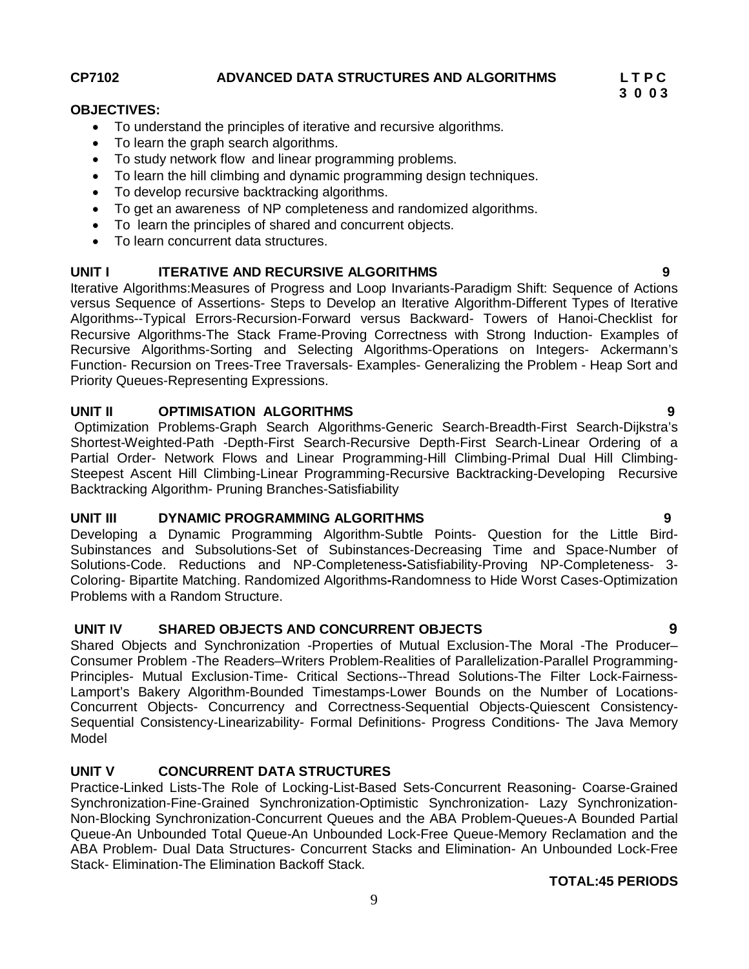#### **CP7102 ADVANCED DATA STRUCTURES AND ALGORITHMS L T P C**

#### **OBJECTIVES:**

- To understand the principles of iterative and recursive algorithms.
- To learn the graph search algorithms.
- To study network flow and linear programming problems.
- To learn the hill climbing and dynamic programming design techniques.
- To develop recursive backtracking algorithms.
- To get an awareness of NP completeness and randomized algorithms.
- To learn the principles of shared and concurrent objects.
- To learn concurrent data structures.

#### **UNIT I ITERATIVE AND RECURSIVE ALGORITHMS 9**

Iterative Algorithms:Measures of Progress and Loop Invariants-Paradigm Shift: Sequence of Actions versus Sequence of Assertions- Steps to Develop an Iterative Algorithm-Different Types of Iterative Algorithms--Typical Errors-Recursion-Forward versus Backward- Towers of Hanoi-Checklist for Recursive Algorithms-The Stack Frame-Proving Correctness with Strong Induction- Examples of Recursive Algorithms-Sorting and Selecting Algorithms-Operations on Integers- Ackermann's Function- Recursion on Trees-Tree Traversals- Examples- Generalizing the Problem - Heap Sort and Priority Queues-Representing Expressions.

#### **UNIT II OPTIMISATION ALGORITHMS 9**

Optimization Problems-Graph Search Algorithms-Generic Search-Breadth-First Search-Dijkstra's Shortest-Weighted-Path -Depth-First Search-Recursive Depth-First Search-Linear Ordering of a Partial Order- Network Flows and Linear Programming-Hill Climbing-Primal Dual Hill Climbing-Steepest Ascent Hill Climbing-Linear Programming-Recursive Backtracking-Developing Recursive Backtracking Algorithm- Pruning Branches-Satisfiability

#### **UNIT III DYNAMIC PROGRAMMING ALGORITHMS 9**

Developing a Dynamic Programming Algorithm-Subtle Points- Question for the Little Bird-Subinstances and Subsolutions-Set of Subinstances-Decreasing Time and Space-Number of Solutions-Code. Reductions and NP-Completeness**-**Satisfiability-Proving NP-Completeness- 3- Coloring- Bipartite Matching. Randomized Algorithms**-**Randomness to Hide Worst Cases-Optimization Problems with a Random Structure.

#### **UNIT IV SHARED OBJECTS AND CONCURRENT OBJECTS 9**

Shared Objects and Synchronization -Properties of Mutual Exclusion-The Moral -The Producer– Consumer Problem -The Readers–Writers Problem-Realities of Parallelization-Parallel Programming-Principles- Mutual Exclusion-Time- Critical Sections--Thread Solutions-The Filter Lock-Fairness-Lamport's Bakery Algorithm-Bounded Timestamps-Lower Bounds on the Number of Locations-Concurrent Objects- Concurrency and Correctness-Sequential Objects-Quiescent Consistency-Sequential Consistency-Linearizability- Formal Definitions- Progress Conditions- The Java Memory Model

#### **UNIT V CONCURRENT DATA STRUCTURES**

Practice-Linked Lists-The Role of Locking-List-Based Sets-Concurrent Reasoning- Coarse-Grained Synchronization-Fine-Grained Synchronization-Optimistic Synchronization- Lazy Synchronization-Non-Blocking Synchronization-Concurrent Queues and the ABA Problem-Queues-A Bounded Partial Queue-An Unbounded Total Queue-An Unbounded Lock-Free Queue-Memory Reclamation and the ABA Problem- Dual Data Structures- Concurrent Stacks and Elimination- An Unbounded Lock-Free Stack- Elimination-The Elimination Backoff Stack.

### **TOTAL:45 PERIODS**

 **3 0 0 3**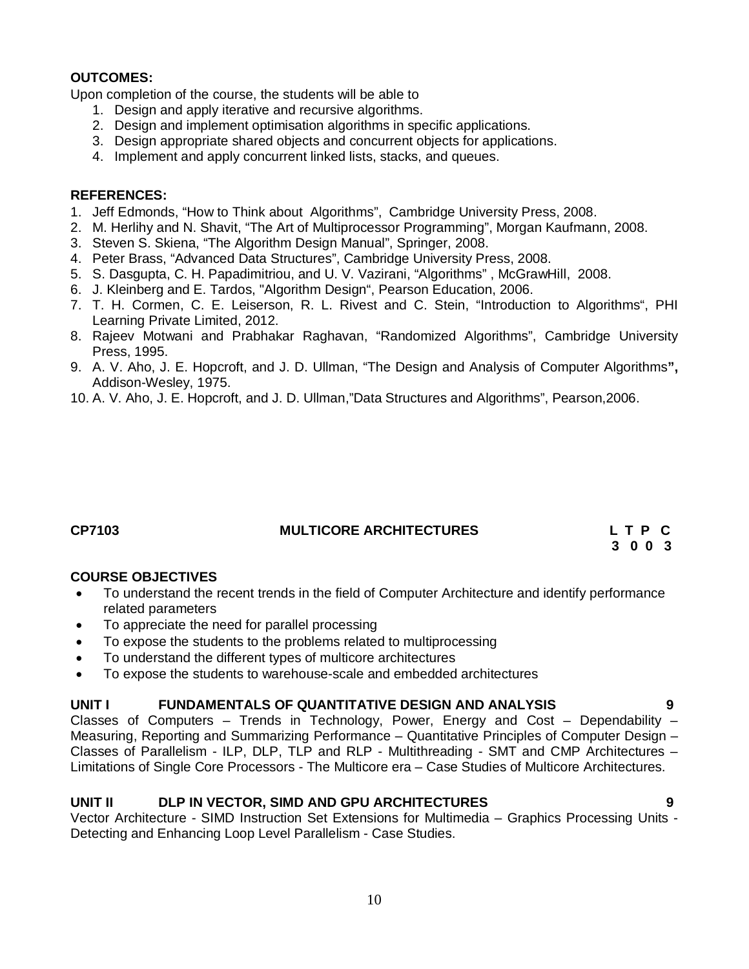#### **OUTCOMES:**

Upon completion of the course, the students will be able to

- 1. Design and apply iterative and recursive algorithms.
- 2. Design and implement optimisation algorithms in specific applications.
- 3. Design appropriate shared objects and concurrent objects for applications.
- 4. Implement and apply concurrent linked lists, stacks, and queues.

### **REFERENCES:**

- 1. Jeff Edmonds, "How to Think about Algorithms", Cambridge University Press, 2008.
- 2. M. Herlihy and N. Shavit, "The Art of Multiprocessor Programming", Morgan Kaufmann, 2008.
- 3. Steven S. Skiena, "The Algorithm Design Manual", Springer, 2008.
- 4. Peter Brass, "Advanced Data Structures", Cambridge University Press, 2008.
- 5. S. Dasgupta, C. H. Papadimitriou, and U. V. Vazirani, "Algorithms" , McGrawHill, 2008.
- 6. J. Kleinberg and E. Tardos, "Algorithm Design", Pearson Education, 2006.
- 7. T. H. Cormen, C. E. Leiserson, R. L. Rivest and C. Stein, "Introduction to Algorithms", PHI Learning Private Limited, 2012.
- 8. Rajeev Motwani and Prabhakar Raghavan, "Randomized Algorithms", Cambridge University Press, 1995.
- 9. A. V. Aho, J. E. Hopcroft, and J. D. Ullman, "The Design and Analysis of Computer Algorithms**",**  Addison-Wesley, 1975.
- 10. A. V. Aho, J. E. Hopcroft, and J. D. Ullman,"Data Structures and Algorithms", Pearson,2006.

# **CP7103 MULTICORE ARCHITECTURES L T P C**

 **3 0 0 3**

#### **COURSE OBJECTIVES**

- To understand the recent trends in the field of Computer Architecture and identify performance related parameters
- To appreciate the need for parallel processing
- To expose the students to the problems related to multiprocessing
- To understand the different types of multicore architectures
- To expose the students to warehouse-scale and embedded architectures

#### **UNIT I FUNDAMENTALS OF QUANTITATIVE DESIGN AND ANALYSIS 9**

Classes of Computers – Trends in Technology, Power, Energy and Cost – Dependability – Measuring, Reporting and Summarizing Performance – Quantitative Principles of Computer Design – Classes of Parallelism - ILP, DLP, TLP and RLP - Multithreading - SMT and CMP Architectures – Limitations of Single Core Processors - The Multicore era – Case Studies of Multicore Architectures.

### **UNIT II DLP IN VECTOR, SIMD AND GPU ARCHITECTURES 9**

Vector Architecture - SIMD Instruction Set Extensions for Multimedia – Graphics Processing Units - Detecting and Enhancing Loop Level Parallelism - Case Studies.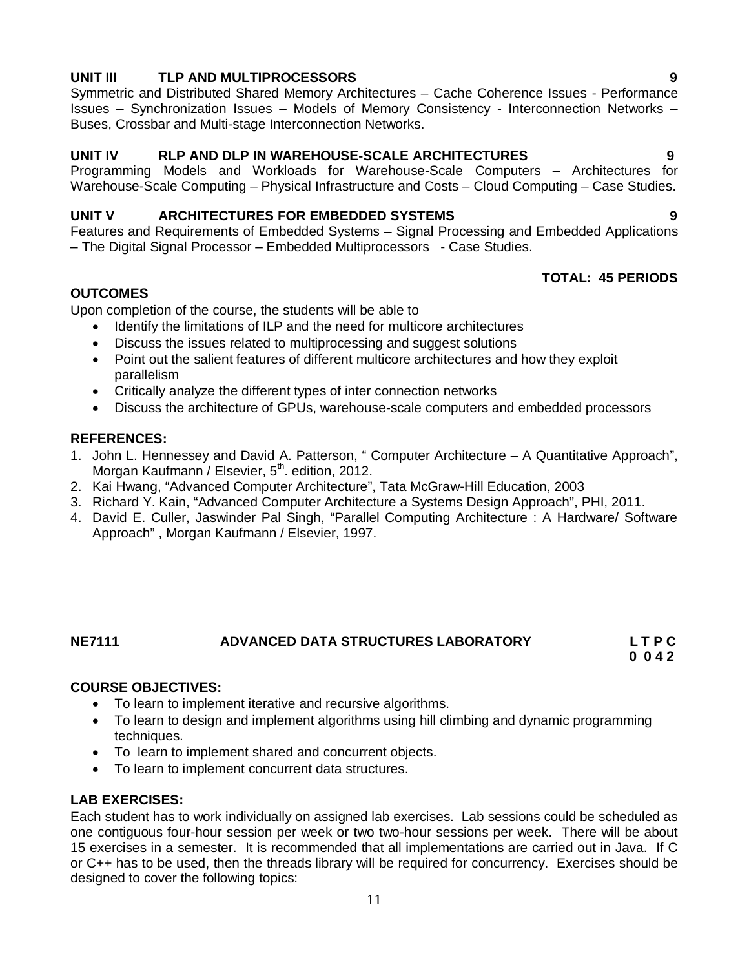### **UNIT III TLP AND MULTIPROCESSORS 9**

Symmetric and Distributed Shared Memory Architectures – Cache Coherence Issues - Performance Issues – Synchronization Issues – Models of Memory Consistency - Interconnection Networks – Buses, Crossbar and Multi-stage Interconnection Networks.

#### **UNIT IV RLP AND DLP IN WAREHOUSE-SCALE ARCHITECTURES 9**

Programming Models and Workloads for Warehouse-Scale Computers – Architectures for Warehouse-Scale Computing – Physical Infrastructure and Costs – Cloud Computing – Case Studies.

#### **UNIT V ARCHITECTURES FOR EMBEDDED SYSTEMS 9**

Features and Requirements of Embedded Systems – Signal Processing and Embedded Applications – The Digital Signal Processor – Embedded Multiprocessors - Case Studies.

#### **TOTAL: 45 PERIODS**

#### **OUTCOMES**

Upon completion of the course, the students will be able to

- Identify the limitations of ILP and the need for multicore architectures
- Discuss the issues related to multiprocessing and suggest solutions
- Point out the salient features of different multicore architectures and how they exploit parallelism
- Critically analyze the different types of inter connection networks
- Discuss the architecture of GPUs, warehouse-scale computers and embedded processors

#### **REFERENCES:**

- 1. John L. Hennessey and David A. Patterson, " Computer Architecture A Quantitative Approach", Morgan Kaufmann / Elsevier, 5<sup>th</sup>. edition, 2012.
- 2. Kai Hwang, "Advanced Computer Architecture", Tata McGraw-Hill Education, 2003
- 3. Richard Y. Kain, "Advanced Computer Architecture a Systems Design Approach", PHI, 2011.
- 4. David E. Culler, Jaswinder Pal Singh, "Parallel Computing Architecture : A Hardware/ Software Approach" , Morgan Kaufmann / Elsevier, 1997.

# **NE7111 ADVANCED DATA STRUCTURES LABORATORY L T P C**

# **0 0 4 2**

#### **COURSE OBJECTIVES:**

- To learn to implement iterative and recursive algorithms.
- To learn to design and implement algorithms using hill climbing and dynamic programming techniques.
- To learn to implement shared and concurrent objects.
- To learn to implement concurrent data structures.

#### **LAB EXERCISES:**

Each student has to work individually on assigned lab exercises. Lab sessions could be scheduled as one contiguous four-hour session per week or two two-hour sessions per week. There will be about 15 exercises in a semester. It is recommended that all implementations are carried out in Java. If C or C++ has to be used, then the threads library will be required for concurrency. Exercises should be designed to cover the following topics: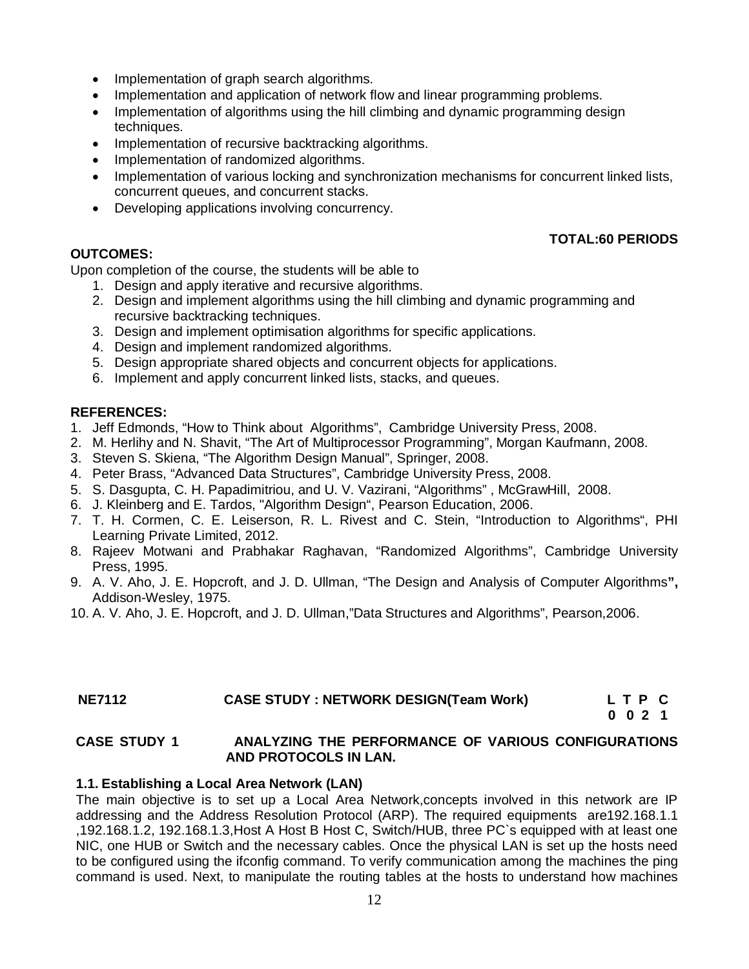- Implementation of graph search algorithms.
- Implementation and application of network flow and linear programming problems.
- Implementation of algorithms using the hill climbing and dynamic programming design techniques.
- Implementation of recursive backtracking algorithms.
- Implementation of randomized algorithms.
- Implementation of various locking and synchronization mechanisms for concurrent linked lists, concurrent queues, and concurrent stacks.
- Developing applications involving concurrency.

#### **TOTAL:60 PERIODS**

#### **OUTCOMES:**

Upon completion of the course, the students will be able to

- 1. Design and apply iterative and recursive algorithms.
- 2. Design and implement algorithms using the hill climbing and dynamic programming and recursive backtracking techniques.
- 3. Design and implement optimisation algorithms for specific applications.
- 4. Design and implement randomized algorithms.
- 5. Design appropriate shared objects and concurrent objects for applications.
- 6. Implement and apply concurrent linked lists, stacks, and queues.

#### **REFERENCES:**

- 1. Jeff Edmonds, "How to Think about Algorithms", Cambridge University Press, 2008.
- 2. M. Herlihy and N. Shavit, "The Art of Multiprocessor Programming", Morgan Kaufmann, 2008.
- 3. Steven S. Skiena, "The Algorithm Design Manual", Springer, 2008.
- 4. Peter Brass, "Advanced Data Structures", Cambridge University Press, 2008.
- 5. S. Dasgupta, C. H. Papadimitriou, and U. V. Vazirani, "Algorithms" , McGrawHill, 2008.
- 6. J. Kleinberg and E. Tardos, "Algorithm Design", Pearson Education, 2006.
- 7. T. H. Cormen, C. E. Leiserson, R. L. Rivest and C. Stein, "Introduction to Algorithms", PHI Learning Private Limited, 2012.
- 8. Rajeev Motwani and Prabhakar Raghavan, "Randomized Algorithms", Cambridge University Press, 1995.
- 9. A. V. Aho, J. E. Hopcroft, and J. D. Ullman, "The Design and Analysis of Computer Algorithms**",**  Addison-Wesley, 1975.
- 10. A. V. Aho, J. E. Hopcroft, and J. D. Ullman,"Data Structures and Algorithms", Pearson,2006.

# **NE7112 CASE STUDY : NETWORK DESIGN(Team Work) L T P C**

# **0 0 2 1**

#### **CASE STUDY 1 ANALYZING THE PERFORMANCE OF VARIOUS CONFIGURATIONS AND PROTOCOLS IN LAN.**

#### **1.1. Establishing a Local Area Network (LAN)**

The main objective is to set up a Local Area Network,concepts involved in this network are IP addressing and the Address Resolution Protocol (ARP). The required equipments are192.168.1.1 ,192.168.1.2, 192.168.1.3,Host A Host B Host C, Switch/HUB, three PC`s equipped with at least one NIC, one HUB or Switch and the necessary cables. Once the physical LAN is set up the hosts need to be configured using the ifconfig command. To verify communication among the machines the ping command is used. Next, to manipulate the routing tables at the hosts to understand how machines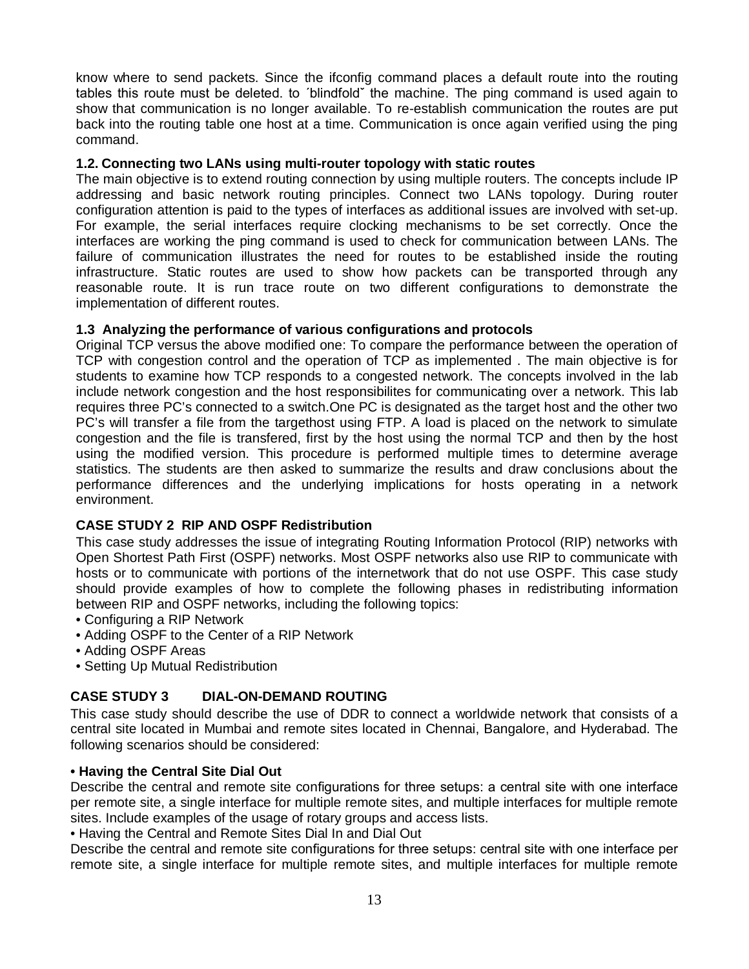know where to send packets. Since the ifconfig command places a default route into the routing tables this route must be deleted. to ´blindfoldˇ the machine. The ping command is used again to show that communication is no longer available. To re-establish communication the routes are put back into the routing table one host at a time. Communication is once again verified using the ping command.

#### **1.2. Connecting two LANs using multi-router topology with static routes**

The main objective is to extend routing connection by using multiple routers. The concepts include IP addressing and basic network routing principles. Connect two LANs topology. During router configuration attention is paid to the types of interfaces as additional issues are involved with set-up. For example, the serial interfaces require clocking mechanisms to be set correctly. Once the interfaces are working the ping command is used to check for communication between LANs. The failure of communication illustrates the need for routes to be established inside the routing infrastructure. Static routes are used to show how packets can be transported through any reasonable route. It is run trace route on two different configurations to demonstrate the implementation of different routes.

#### **1.3 Analyzing the performance of various configurations and protocols**

Original TCP versus the above modified one: To compare the performance between the operation of TCP with congestion control and the operation of TCP as implemented . The main objective is for students to examine how TCP responds to a congested network. The concepts involved in the lab include network congestion and the host responsibilites for communicating over a network. This lab requires three PC's connected to a switch.One PC is designated as the target host and the other two PC's will transfer a file from the targethost using FTP. A load is placed on the network to simulate congestion and the file is transfered, first by the host using the normal TCP and then by the host using the modified version. This procedure is performed multiple times to determine average statistics. The students are then asked to summarize the results and draw conclusions about the performance differences and the underlying implications for hosts operating in a network environment.

#### **CASE STUDY 2 RIP AND OSPF Redistribution**

This case study addresses the issue of integrating Routing Information Protocol (RIP) networks with Open Shortest Path First (OSPF) networks. Most OSPF networks also use RIP to communicate with hosts or to communicate with portions of the internetwork that do not use OSPF. This case study should provide examples of how to complete the following phases in redistributing information between RIP and OSPF networks, including the following topics:

- Configuring a RIP Network
- Adding OSPF to the Center of a RIP Network
- Adding OSPF Areas
- Setting Up Mutual Redistribution

### **CASE STUDY 3 DIAL-ON-DEMAND ROUTING**

This case study should describe the use of DDR to connect a worldwide network that consists of a central site located in Mumbai and remote sites located in Chennai, Bangalore, and Hyderabad. The following scenarios should be considered:

#### **• Having the Central Site Dial Out**

Describe the central and remote site configurations for three setups: a central site with one interface per remote site, a single interface for multiple remote sites, and multiple interfaces for multiple remote sites. Include examples of the usage of rotary groups and access lists.

• Having the Central and Remote Sites Dial In and Dial Out

Describe the central and remote site configurations for three setups: central site with one interface per remote site, a single interface for multiple remote sites, and multiple interfaces for multiple remote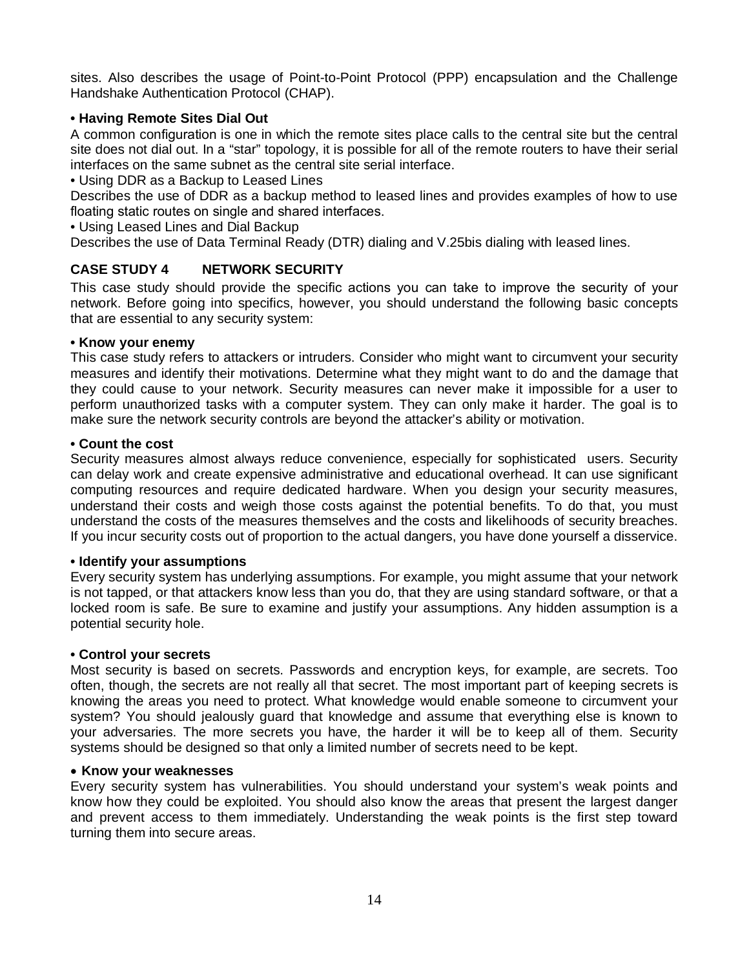sites. Also describes the usage of Point-to-Point Protocol (PPP) encapsulation and the Challenge Handshake Authentication Protocol (CHAP).

#### **• Having Remote Sites Dial Out**

A common configuration is one in which the remote sites place calls to the central site but the central site does not dial out. In a "star" topology, it is possible for all of the remote routers to have their serial interfaces on the same subnet as the central site serial interface.

• Using DDR as a Backup to Leased Lines

Describes the use of DDR as a backup method to leased lines and provides examples of how to use floating static routes on single and shared interfaces.

• Using Leased Lines and Dial Backup

Describes the use of Data Terminal Ready (DTR) dialing and V.25bis dialing with leased lines.

### **CASE STUDY 4 NETWORK SECURITY**

This case study should provide the specific actions you can take to improve the security of your network. Before going into specifics, however, you should understand the following basic concepts that are essential to any security system:

#### **• Know your enemy**

This case study refers to attackers or intruders. Consider who might want to circumvent your security measures and identify their motivations. Determine what they might want to do and the damage that they could cause to your network. Security measures can never make it impossible for a user to perform unauthorized tasks with a computer system. They can only make it harder. The goal is to make sure the network security controls are beyond the attacker's ability or motivation.

#### **• Count the cost**

Security measures almost always reduce convenience, especially for sophisticated users. Security can delay work and create expensive administrative and educational overhead. It can use significant computing resources and require dedicated hardware. When you design your security measures, understand their costs and weigh those costs against the potential benefits. To do that, you must understand the costs of the measures themselves and the costs and likelihoods of security breaches. If you incur security costs out of proportion to the actual dangers, you have done yourself a disservice.

#### **• Identify your assumptions**

Every security system has underlying assumptions. For example, you might assume that your network is not tapped, or that attackers know less than you do, that they are using standard software, or that a locked room is safe. Be sure to examine and justify your assumptions. Any hidden assumption is a potential security hole.

#### **• Control your secrets**

Most security is based on secrets. Passwords and encryption keys, for example, are secrets. Too often, though, the secrets are not really all that secret. The most important part of keeping secrets is knowing the areas you need to protect. What knowledge would enable someone to circumvent your system? You should jealously guard that knowledge and assume that everything else is known to your adversaries. The more secrets you have, the harder it will be to keep all of them. Security systems should be designed so that only a limited number of secrets need to be kept.

#### **Know your weaknesses**

Every security system has vulnerabilities. You should understand your system's weak points and know how they could be exploited. You should also know the areas that present the largest danger and prevent access to them immediately. Understanding the weak points is the first step toward turning them into secure areas.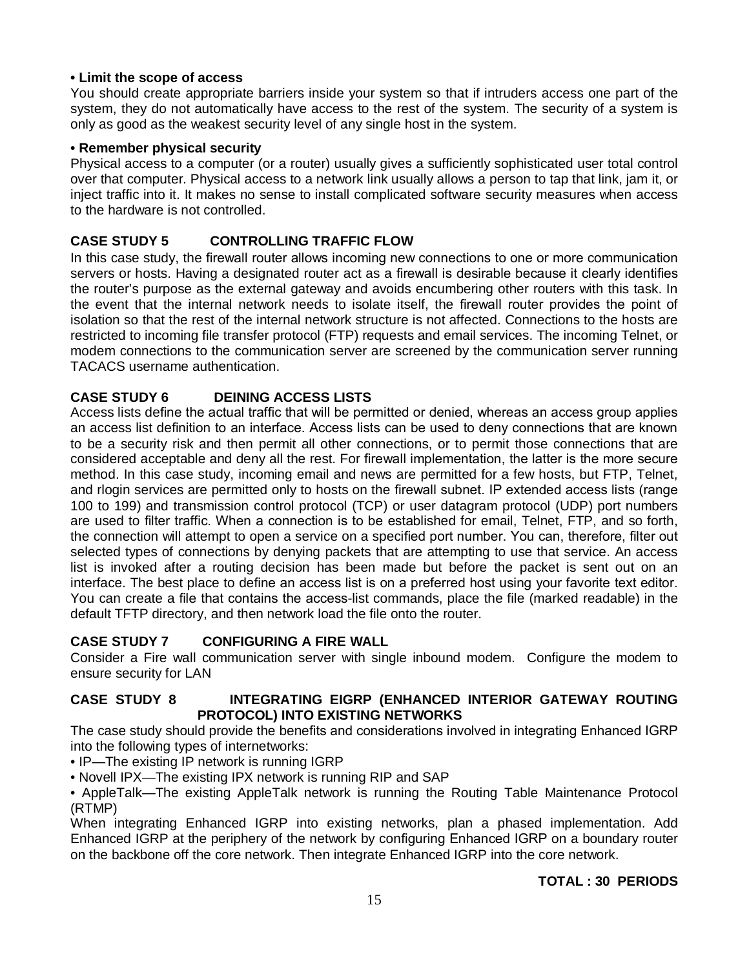### **• Limit the scope of access**

You should create appropriate barriers inside your system so that if intruders access one part of the system, they do not automatically have access to the rest of the system. The security of a system is only as good as the weakest security level of any single host in the system.

#### **• Remember physical security**

Physical access to a computer (or a router) usually gives a sufficiently sophisticated user total control over that computer. Physical access to a network link usually allows a person to tap that link, jam it, or inject traffic into it. It makes no sense to install complicated software security measures when access to the hardware is not controlled.

### **CASE STUDY 5 CONTROLLING TRAFFIC FLOW**

In this case study, the firewall router allows incoming new connections to one or more communication servers or hosts. Having a designated router act as a firewall is desirable because it clearly identifies the router's purpose as the external gateway and avoids encumbering other routers with this task. In the event that the internal network needs to isolate itself, the firewall router provides the point of isolation so that the rest of the internal network structure is not affected. Connections to the hosts are restricted to incoming file transfer protocol (FTP) requests and email services. The incoming Telnet, or modem connections to the communication server are screened by the communication server running TACACS username authentication.

# **CASE STUDY 6 DEINING ACCESS LISTS**

Access lists define the actual traffic that will be permitted or denied, whereas an access group applies an access list definition to an interface. Access lists can be used to deny connections that are known to be a security risk and then permit all other connections, or to permit those connections that are considered acceptable and deny all the rest. For firewall implementation, the latter is the more secure method. In this case study, incoming email and news are permitted for a few hosts, but FTP, Telnet, and rlogin services are permitted only to hosts on the firewall subnet. IP extended access lists (range 100 to 199) and transmission control protocol (TCP) or user datagram protocol (UDP) port numbers are used to filter traffic. When a connection is to be established for email, Telnet, FTP, and so forth, the connection will attempt to open a service on a specified port number. You can, therefore, filter out selected types of connections by denying packets that are attempting to use that service. An access list is invoked after a routing decision has been made but before the packet is sent out on an interface. The best place to define an access list is on a preferred host using your favorite text editor. You can create a file that contains the access-list commands, place the file (marked readable) in the default TFTP directory, and then network load the file onto the router.

### **CASE STUDY 7 CONFIGURING A FIRE WALL**

Consider a Fire wall communication server with single inbound modem. Configure the modem to ensure security for LAN

#### **CASE STUDY 8 INTEGRATING EIGRP (ENHANCED INTERIOR GATEWAY ROUTING PROTOCOL) INTO EXISTING NETWORKS**

The case study should provide the benefits and considerations involved in integrating Enhanced IGRP into the following types of internetworks:

- IP—The existing IP network is running IGRP
- Novell IPX—The existing IPX network is running RIP and SAP

• AppleTalk—The existing AppleTalk network is running the Routing Table Maintenance Protocol (RTMP)

When integrating Enhanced IGRP into existing networks, plan a phased implementation. Add Enhanced IGRP at the periphery of the network by configuring Enhanced IGRP on a boundary router on the backbone off the core network. Then integrate Enhanced IGRP into the core network.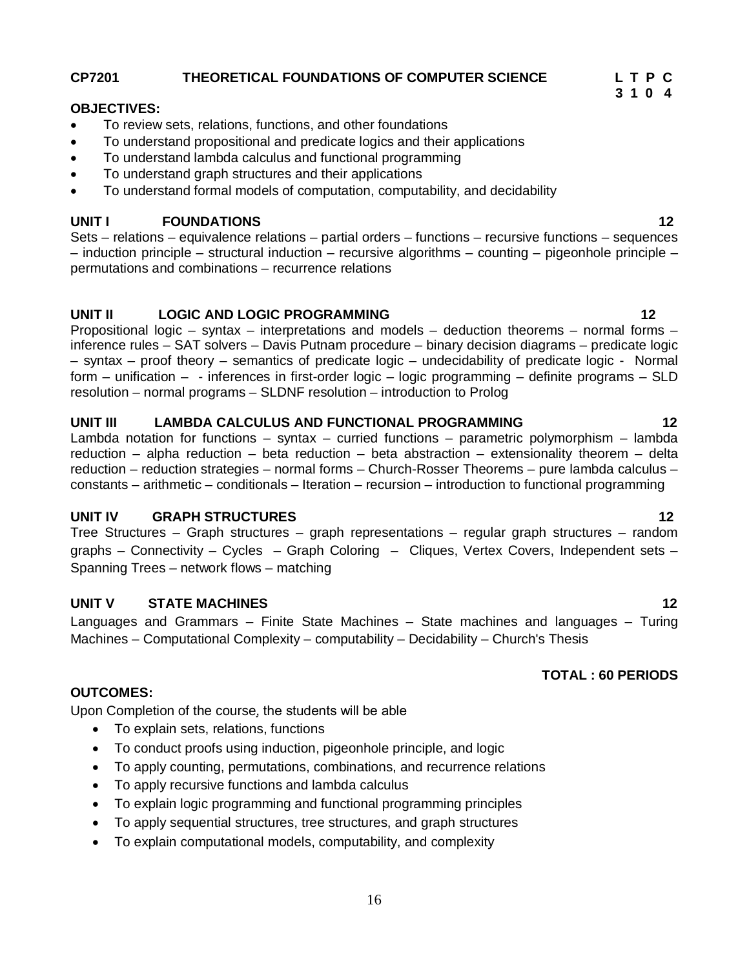#### **CP7201 THEORETICAL FOUNDATIONS OF COMPUTER SCIENCE L T P C**

#### **OBJECTIVES:**

- To review sets, relations, functions, and other foundations
- To understand propositional and predicate logics and their applications
- To understand lambda calculus and functional programming
- To understand graph structures and their applications
- To understand formal models of computation, computability, and decidability

#### **UNIT I FOUNDATIONS 12**

Sets – relations – equivalence relations – partial orders – functions – recursive functions – sequences – induction principle – structural induction – recursive algorithms – counting – pigeonhole principle – permutations and combinations – recurrence relations

#### **UNIT II LOGIC AND LOGIC PROGRAMMING 12**

Propositional logic – syntax – interpretations and models – deduction theorems – normal forms – inference rules – SAT solvers – Davis Putnam procedure – binary decision diagrams – predicate logic – syntax – proof theory – semantics of predicate logic – undecidability of predicate logic - Normal form – unification – - inferences in first-order logic – logic programming – definite programs – SLD resolution – normal programs – SLDNF resolution – introduction to Prolog

#### **UNIT III LAMBDA CALCULUS AND FUNCTIONAL PROGRAMMING 12**

Lambda notation for functions – syntax – curried functions – parametric polymorphism – lambda reduction – alpha reduction – beta reduction – beta abstraction – extensionality theorem – delta reduction – reduction strategies – normal forms – Church-Rosser Theorems – pure lambda calculus – constants – arithmetic – conditionals – Iteration – recursion – introduction to functional programming

#### **UNIT IV GRAPH STRUCTURES 12**

Tree Structures – Graph structures – graph representations – regular graph structures – random graphs – Connectivity – Cycles – Graph Coloring – Cliques, Vertex Covers, Independent sets – Spanning Trees – network flows – matching

#### **UNIT V STATE MACHINES** 12

Languages and Grammars – Finite State Machines – State machines and languages – Turing Machines – Computational Complexity – computability – Decidability – Church's Thesis

#### **TOTAL : 60 PERIODS**

#### **OUTCOMES:**

Upon Completion of the course, the students will be able

- To explain sets, relations, functions
- To conduct proofs using induction, pigeonhole principle, and logic
- To apply counting, permutations, combinations, and recurrence relations
- To apply recursive functions and lambda calculus
- To explain logic programming and functional programming principles
- To apply sequential structures, tree structures, and graph structures
- To explain computational models, computability, and complexity

 **3 1 0 4**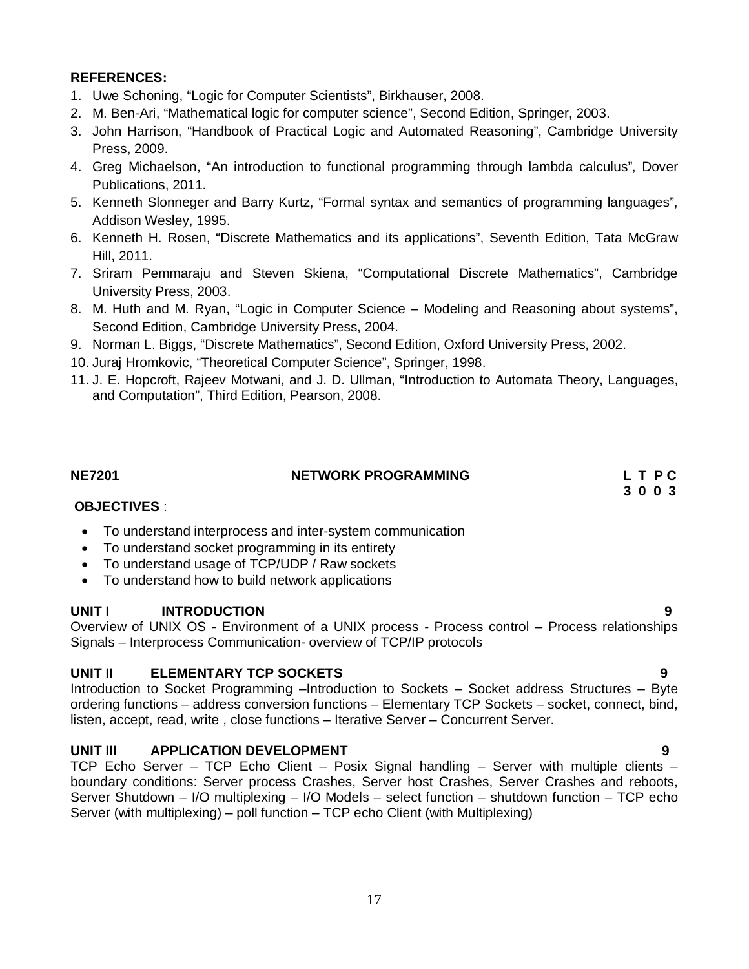#### **REFERENCES:**

- 1. Uwe Schoning, "Logic for Computer Scientists", Birkhauser, 2008.
- 2. M. Ben-Ari, "Mathematical logic for computer science", Second Edition, Springer, 2003.
- 3. John Harrison, "Handbook of Practical Logic and Automated Reasoning", Cambridge University Press, 2009.
- 4. Greg Michaelson, "An introduction to functional programming through lambda calculus", Dover Publications, 2011.
- 5. Kenneth Slonneger and Barry Kurtz, "Formal syntax and semantics of programming languages", Addison Wesley, 1995.
- 6. Kenneth H. Rosen, "Discrete Mathematics and its applications", Seventh Edition, Tata McGraw Hill, 2011.
- 7. Sriram Pemmaraju and Steven Skiena, "Computational Discrete Mathematics", Cambridge University Press, 2003.
- 8. M. Huth and M. Ryan, "Logic in Computer Science Modeling and Reasoning about systems", Second Edition, Cambridge University Press, 2004.
- 9. Norman L. Biggs, "Discrete Mathematics", Second Edition, Oxford University Press, 2002.
- 10. Juraj Hromkovic, "Theoretical Computer Science", Springer, 1998.
- 11. J. E. Hopcroft, Rajeev Motwani, and J. D. Ullman, "Introduction to Automata Theory, Languages, and Computation", Third Edition, Pearson, 2008.

#### **NE7201 NETWORK PROGRAMMING L T P C**

 **3 0 0 3**

#### **OBJECTIVES** :

- To understand interprocess and inter-system communication
- To understand socket programming in its entirety
- To understand usage of TCP/UDP / Raw sockets
- To understand how to build network applications

#### **UNIT I INTRODUCTION 9**

Overview of UNIX OS - Environment of a UNIX process - Process control – Process relationships Signals – Interprocess Communication- overview of TCP/IP protocols

#### **UNIT II ELEMENTARY TCP SOCKETS 9**

Introduction to Socket Programming –Introduction to Sockets – Socket address Structures – Byte ordering functions – address conversion functions – Elementary TCP Sockets – socket, connect, bind, listen, accept, read, write , close functions – Iterative Server – Concurrent Server.

#### **UNIT III APPLICATION DEVELOPMENT 9**

TCP Echo Server – TCP Echo Client – Posix Signal handling – Server with multiple clients – boundary conditions: Server process Crashes, Server host Crashes, Server Crashes and reboots, Server Shutdown – I/O multiplexing – I/O Models – select function – shutdown function – TCP echo Server (with multiplexing) – poll function – TCP echo Client (with Multiplexing)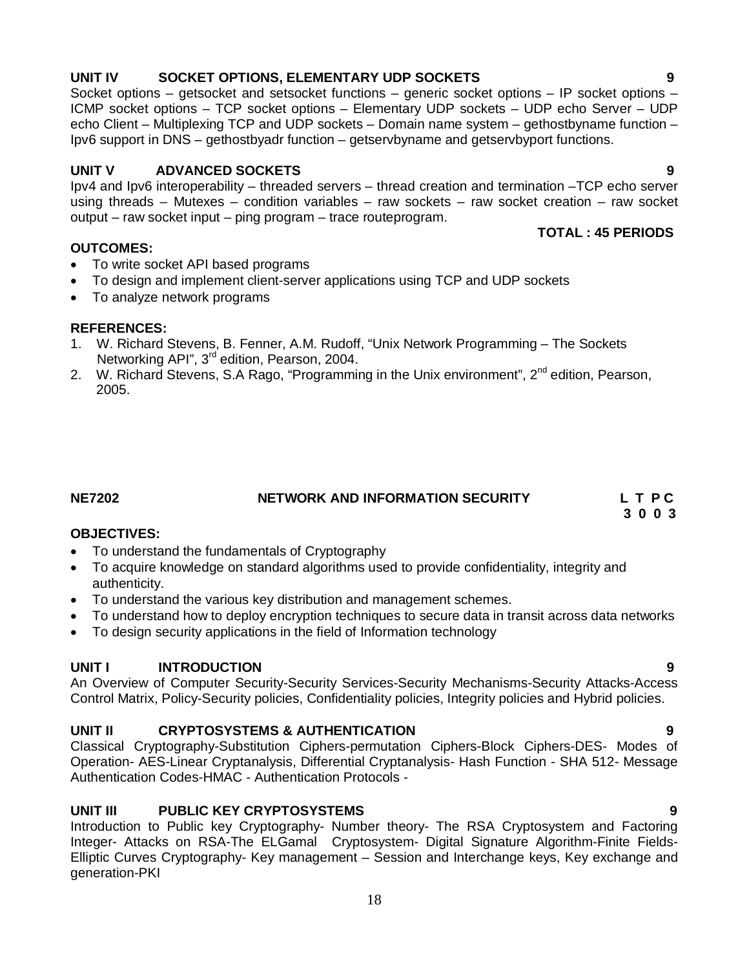#### 18

### **UNIT IV SOCKET OPTIONS, ELEMENTARY UDP SOCKETS 9**

Socket options – getsocket and setsocket functions – generic socket options – IP socket options – ICMP socket options – TCP socket options – Elementary UDP sockets – UDP echo Server – UDP echo Client – Multiplexing TCP and UDP sockets – Domain name system – gethostbyname function – Ipv6 support in DNS – gethostbyadr function – getservbyname and getservbyport functions.

#### **UNIT V ADVANCED SOCKETS 9**

Ipv4 and Ipv6 interoperability – threaded servers – thread creation and termination –TCP echo server using threads – Mutexes – condition variables – raw sockets – raw socket creation – raw socket output – raw socket input – ping program – trace routeprogram.

#### **OUTCOMES:**

- To write socket API based programs
- To design and implement client-server applications using TCP and UDP sockets
- To analyze network programs

#### **REFERENCES:**

- 1. W. Richard Stevens, B. Fenner, A.M. Rudoff, "Unix Network Programming The Sockets Networking API", 3<sup>rd</sup> edition, Pearson, 2004.
- 2. W. Richard Stevens, S.A Rago, "Programming in the Unix environment",  $2^{nd}$  edition, Pearson, 2005.

# **NE7202 NETWORK AND INFORMATION SECURITY L T P C**

 **3 0 0 3**

**TOTAL : 45 PERIODS**

#### **OBJECTIVES:**

- To understand the fundamentals of Cryptography
- To acquire knowledge on standard algorithms used to provide confidentiality, integrity and authenticity.
- To understand the various key distribution and management schemes.
- To understand how to deploy encryption techniques to secure data in transit across data networks
- To design security applications in the field of Information technology

### **UNIT I INTRODUCTION 9**

An Overview of Computer Security-Security Services-Security Mechanisms-Security Attacks-Access Control Matrix, Policy-Security policies, Confidentiality policies, Integrity policies and Hybrid policies.

### **UNIT II CRYPTOSYSTEMS & AUTHENTICATION 9**

Classical Cryptography-Substitution Ciphers-permutation Ciphers-Block Ciphers-DES- Modes of Operation- AES-Linear Cryptanalysis, Differential Cryptanalysis- Hash Function - SHA 512- Message Authentication Codes-HMAC - Authentication Protocols -

### **UNIT III PUBLIC KEY CRYPTOSYSTEMS 9**

Introduction to Public key Cryptography- Number theory- The RSA Cryptosystem and Factoring Integer- Attacks on RSA-The ELGamal Cryptosystem- Digital Signature Algorithm-Finite Fields-Elliptic Curves Cryptography- Key management – Session and Interchange keys, Key exchange and generation-PKI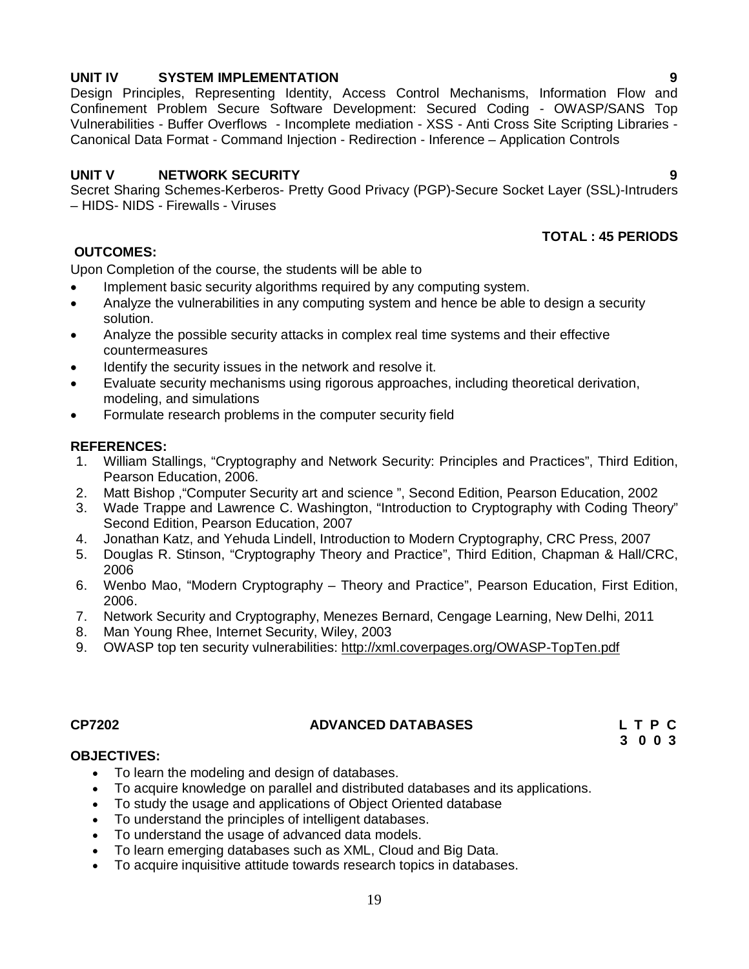#### **UNIT IV SYSTEM IMPLEMENTATION 9**

Design Principles, Representing Identity, Access Control Mechanisms, Information Flow and Confinement Problem Secure Software Development: Secured Coding - OWASP/SANS Top Vulnerabilities - Buffer Overflows - Incomplete mediation - XSS - Anti Cross Site Scripting Libraries - Canonical Data Format - Command Injection - Redirection - Inference – Application Controls

#### **UNIT V NETWORK SECURITY 9**

Secret Sharing Schemes-Kerberos- Pretty Good Privacy (PGP)-Secure Socket Layer (SSL)-Intruders – HIDS- NIDS - Firewalls - Viruses

#### **TOTAL : 45 PERIODS**

#### **OUTCOMES:**

Upon Completion of the course, the students will be able to

- Implement basic security algorithms required by any computing system.
- Analyze the vulnerabilities in any computing system and hence be able to design a security solution.
- Analyze the possible security attacks in complex real time systems and their effective countermeasures
- Identify the security issues in the network and resolve it.
- Evaluate security mechanisms using rigorous approaches, including theoretical derivation, modeling, and simulations
- Formulate research problems in the computer security field

#### **REFERENCES:**

- 1. William Stallings, "Cryptography and Network Security: Principles and Practices", Third Edition, Pearson Education, 2006.
- 2. Matt Bishop ,"Computer Security art and science ", Second Edition, Pearson Education, 2002
- 3. Wade Trappe and Lawrence C. Washington, "Introduction to Cryptography with Coding Theory" Second Edition, Pearson Education, 2007
- 4. Jonathan Katz, and Yehuda Lindell, Introduction to Modern Cryptography, CRC Press, 2007
- 5. Douglas R. Stinson, "Cryptography Theory and Practice", Third Edition, Chapman & Hall/CRC, 2006
- 6. Wenbo Mao, "Modern Cryptography Theory and Practice", Pearson Education, First Edition, 2006.
- 7. Network Security and Cryptography, Menezes Bernard, Cengage Learning, New Delhi, 2011
- 8. Man Young Rhee, Internet Security, Wiley, 2003
- 9. OWASP top ten security vulnerabilities: http://xml.coverpages.org/OWASP-TopTen.pdf

#### **CP7202 ADVANCED DATABASES L T P C**

 **3 0 0 3**

#### **OBJECTIVES:**

- To learn the modeling and design of databases.
- To acquire knowledge on parallel and distributed databases and its applications.
- To study the usage and applications of Object Oriented database
- To understand the principles of intelligent databases.
- To understand the usage of advanced data models.
- To learn emerging databases such as XML, Cloud and Big Data.
- To acquire inquisitive attitude towards research topics in databases.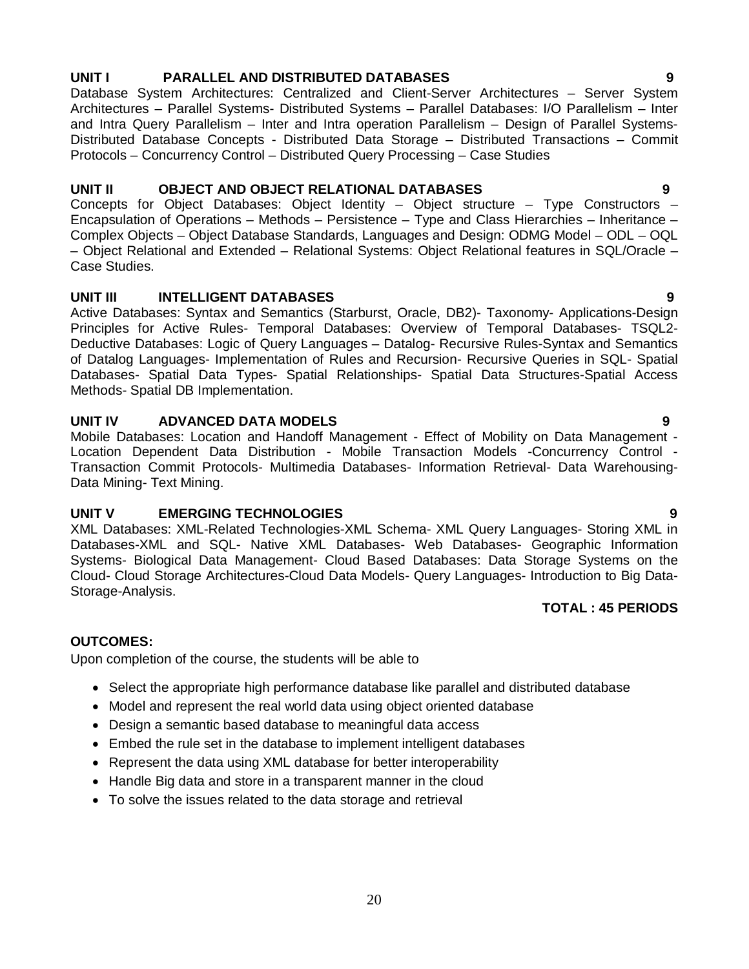# **UNIT III INTELLIGENT DATABASES 9**

Active Databases: Syntax and Semantics (Starburst, Oracle, DB2)- Taxonomy- Applications-Design Principles for Active Rules- Temporal Databases: Overview of Temporal Databases- TSQL2- Deductive Databases: Logic of Query Languages – Datalog- Recursive Rules-Syntax and Semantics of Datalog Languages- Implementation of Rules and Recursion- Recursive Queries in SQL- Spatial Databases- Spatial Data Types- Spatial Relationships- Spatial Data Structures-Spatial Access Methods- Spatial DB Implementation.

#### **UNIT IV ADVANCED DATA MODELS 9**

Mobile Databases: Location and Handoff Management - Effect of Mobility on Data Management - Location Dependent Data Distribution - Mobile Transaction Models -Concurrency Control - Transaction Commit Protocols- Multimedia Databases- Information Retrieval- Data Warehousing-Data Mining- Text Mining.

#### **UNIT V EMERGING TECHNOLOGIES 9**

XML Databases: XML-Related Technologies-XML Schema- XML Query Languages- Storing XML in Databases-XML and SQL- Native XML Databases- Web Databases- Geographic Information Systems- Biological Data Management- Cloud Based Databases: Data Storage Systems on the Cloud- Cloud Storage Architectures-Cloud Data Models- Query Languages- Introduction to Big Data-Storage-Analysis.

#### **OUTCOMES:**

Upon completion of the course, the students will be able to

- Select the appropriate high performance database like parallel and distributed database
- Model and represent the real world data using object oriented database
- Design a semantic based database to meaningful data access
- Embed the rule set in the database to implement intelligent databases
- Represent the data using XML database for better interoperability
- Handle Big data and store in a transparent manner in the cloud
- To solve the issues related to the data storage and retrieval

#### **UNIT I PARALLEL AND DISTRIBUTED DATABASES 9**

Database System Architectures: Centralized and Client-Server Architectures – Server System Architectures – Parallel Systems- Distributed Systems – Parallel Databases: I/O Parallelism – Inter and Intra Query Parallelism – Inter and Intra operation Parallelism – Design of Parallel Systems-Distributed Database Concepts - Distributed Data Storage – Distributed Transactions – Commit Protocols – Concurrency Control – Distributed Query Processing – Case Studies

#### **UNIT II OBJECT AND OBJECT RELATIONAL DATABASES 9**

Concepts for Object Databases: Object Identity – Object structure – Type Constructors – Encapsulation of Operations – Methods – Persistence – Type and Class Hierarchies – Inheritance – Complex Objects – Object Database Standards, Languages and Design: ODMG Model – ODL – OQL – Object Relational and Extended – Relational Systems: Object Relational features in SQL/Oracle – Case Studies.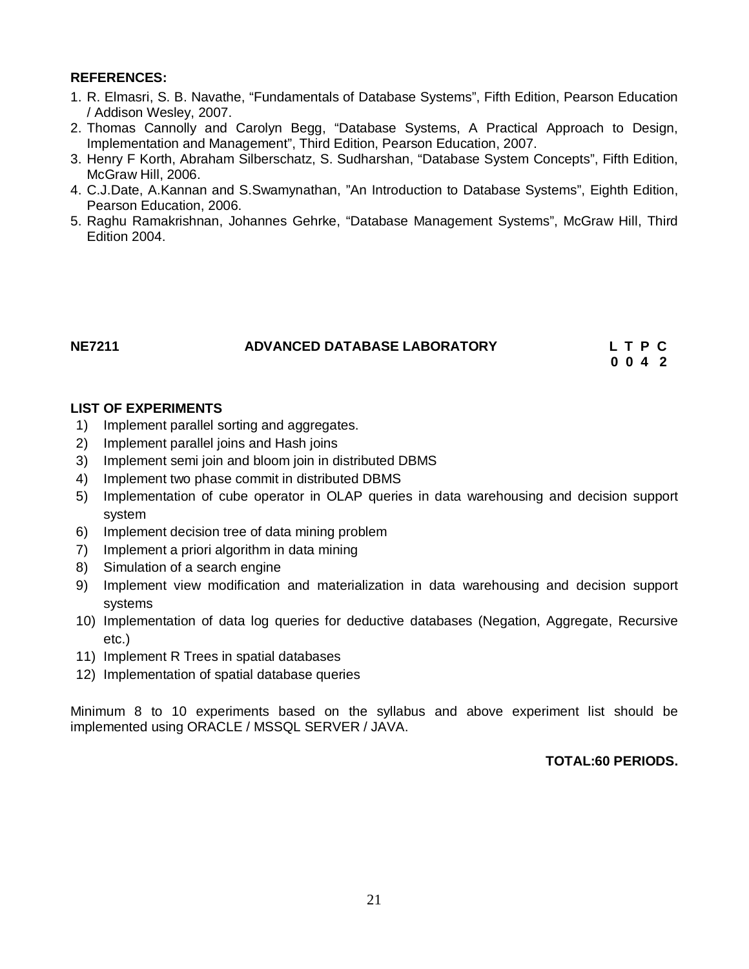#### **REFERENCES:**

- 1. R. Elmasri, S. B. Navathe, "Fundamentals of Database Systems", Fifth Edition, Pearson Education / Addison Wesley, 2007.
- 2. Thomas Cannolly and Carolyn Begg, "Database Systems, A Practical Approach to Design, Implementation and Management", Third Edition, Pearson Education, 2007.
- 3. Henry F Korth, Abraham Silberschatz, S. Sudharshan, "Database System Concepts", Fifth Edition, McGraw Hill, 2006.
- 4. C.J.Date, A.Kannan and S.Swamynathan, "An Introduction to Database Systems", Eighth Edition, Pearson Education, 2006.
- 5. Raghu Ramakrishnan, Johannes Gehrke, "Database Management Systems", McGraw Hill, Third Edition 2004.

#### **NE7211 ADVANCED DATABASE LABORATORY L T P C**

 **0 0 4 2**

#### **LIST OF EXPERIMENTS**

- 1) Implement parallel sorting and aggregates.
- 2) Implement parallel joins and Hash joins
- 3) Implement semi join and bloom join in distributed DBMS
- 4) Implement two phase commit in distributed DBMS
- 5) Implementation of cube operator in OLAP queries in data warehousing and decision support system
- 6) Implement decision tree of data mining problem
- 7) Implement a priori algorithm in data mining
- 8) Simulation of a search engine
- 9) Implement view modification and materialization in data warehousing and decision support systems
- 10) Implementation of data log queries for deductive databases (Negation, Aggregate, Recursive etc.)
- 11) Implement R Trees in spatial databases
- 12) Implementation of spatial database queries

Minimum 8 to 10 experiments based on the syllabus and above experiment list should be implemented using ORACLE / MSSQL SERVER / JAVA.

#### **TOTAL:60 PERIODS.**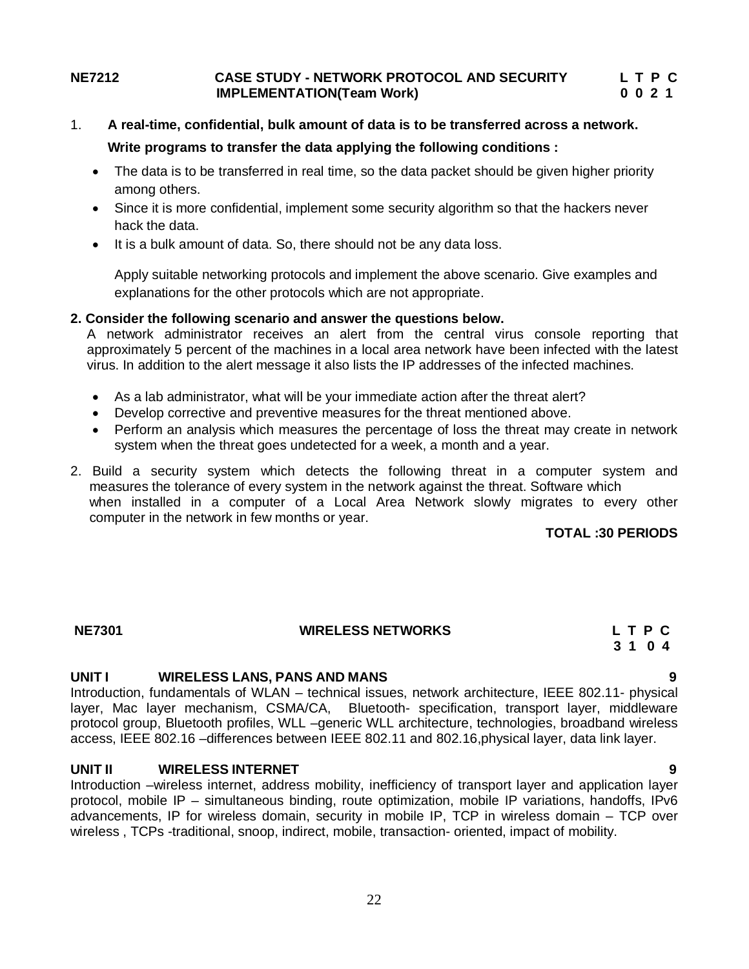#### **NE7212 CASE STUDY - NETWORK PROTOCOL AND SECURITY L T P C IMPLEMENTATION(Team Work) 0 0 2 1**

1. **A real-time, confidential, bulk amount of data is to be transferred across a network.** 

### **Write programs to transfer the data applying the following conditions :**

- The data is to be transferred in real time, so the data packet should be given higher priority among others.
- Since it is more confidential, implement some security algorithm so that the hackers never hack the data.
- It is a bulk amount of data. So, there should not be any data loss.

Apply suitable networking protocols and implement the above scenario. Give examples and explanations for the other protocols which are not appropriate.

#### **2. Consider the following scenario and answer the questions below.**

A network administrator receives an alert from the central virus console reporting that approximately 5 percent of the machines in a local area network have been infected with the latest virus. In addition to the alert message it also lists the IP addresses of the infected machines.

- As a lab administrator, what will be your immediate action after the threat alert?
- Develop corrective and preventive measures for the threat mentioned above.
- Perform an analysis which measures the percentage of loss the threat may create in network system when the threat goes undetected for a week, a month and a year.
- 2. Build a security system which detects the following threat in a computer system and measures the tolerance of every system in the network against the threat. Software which when installed in a computer of a Local Area Network slowly migrates to every other computer in the network in few months or year.

### **TOTAL :30 PERIODS**

#### **NE7301 WIRELESS NETWORKS L T P C 3 1 0 4**

#### **UNIT I WIRELESS LANS, PANS AND MANS 9**

Introduction, fundamentals of WLAN – technical issues, network architecture, IEEE 802.11- physical layer, Mac layer mechanism, CSMA/CA, Bluetooth- specification, transport layer, middleware protocol group, Bluetooth profiles, WLL –generic WLL architecture, technologies, broadband wireless access, IEEE 802.16 –differences between IEEE 802.11 and 802.16,physical layer, data link layer.

#### **UNIT II WIRELESS INTERNET 9**

Introduction –wireless internet, address mobility, inefficiency of transport layer and application layer protocol, mobile IP – simultaneous binding, route optimization, mobile IP variations, handoffs, IPv6 advancements, IP for wireless domain, security in mobile IP, TCP in wireless domain – TCP over wireless , TCPs -traditional, snoop, indirect, mobile, transaction- oriented, impact of mobility.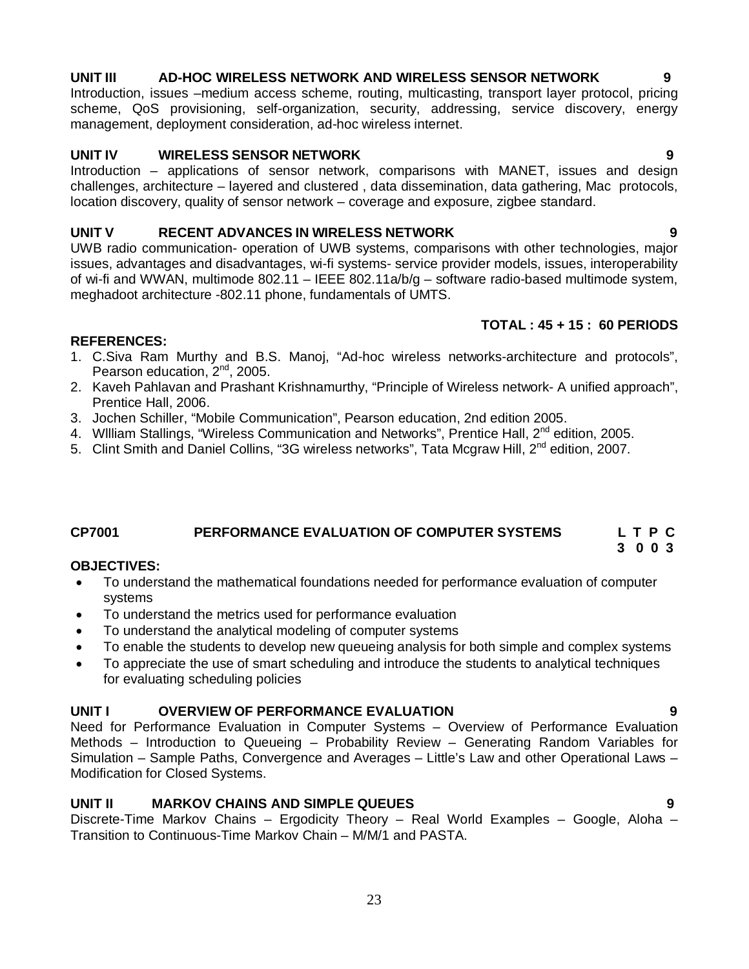### **UNIT III AD-HOC WIRELESS NETWORK AND WIRELESS SENSOR NETWORK 9**

Introduction, issues –medium access scheme, routing, multicasting, transport layer protocol, pricing scheme, QoS provisioning, self-organization, security, addressing, service discovery, energy management, deployment consideration, ad-hoc wireless internet.

#### **UNIT IV WIRELESS SENSOR NETWORK 9**

Introduction – applications of sensor network, comparisons with MANET, issues and design challenges, architecture – layered and clustered , data dissemination, data gathering, Mac protocols, location discovery, quality of sensor network – coverage and exposure, zigbee standard.

#### **UNIT V RECENT ADVANCES IN WIRELESS NETWORK 9**

UWB radio communication- operation of UWB systems, comparisons with other technologies, major issues, advantages and disadvantages, wi-fi systems- service provider models, issues, interoperability of wi-fi and WWAN, multimode 802.11 – IEEE 802.11a/b/g – software radio-based multimode system, meghadoot architecture -802.11 phone, fundamentals of UMTS.

#### **REFERENCES:**

- 1. C.Siva Ram Murthy and B.S. Manoj, "Ad-hoc wireless networks-architecture and protocols", Pearson education, 2<sup>nd</sup>, 2005.
- 2. Kaveh Pahlavan and Prashant Krishnamurthy, "Principle of Wireless network- A unified approach", Prentice Hall, 2006.
- 3. Jochen Schiller, "Mobile Communication", Pearson education, 2nd edition 2005.
- 4. William Stallings, "Wireless Communication and Networks", Prentice Hall, 2<sup>nd</sup> edition, 2005.
- 5. Clint Smith and Daniel Collins, "3G wireless networks", Tata Mcgraw Hill, 2<sup>nd</sup> edition, 2007.

#### **CP7001 PERFORMANCE EVALUATION OF COMPUTER SYSTEMS L T P C 3 0 0 3**

#### **OBJECTIVES:**

- To understand the mathematical foundations needed for performance evaluation of computer systems
- To understand the metrics used for performance evaluation
- To understand the analytical modeling of computer systems
- To enable the students to develop new queueing analysis for both simple and complex systems
- To appreciate the use of smart scheduling and introduce the students to analytical techniques for evaluating scheduling policies

#### **UNIT I OVERVIEW OF PERFORMANCE EVALUATION 9**

Need for Performance Evaluation in Computer Systems – Overview of Performance Evaluation Methods – Introduction to Queueing – Probability Review – Generating Random Variables for Simulation – Sample Paths, Convergence and Averages – Little's Law and other Operational Laws – Modification for Closed Systems.

#### **UNIT II MARKOV CHAINS AND SIMPLE QUEUES 9**

Discrete-Time Markov Chains – Ergodicity Theory – Real World Examples – Google, Aloha – Transition to Continuous-Time Markov Chain – M/M/1 and PASTA.

 **TOTAL : 45 + 15 : 60 PERIODS**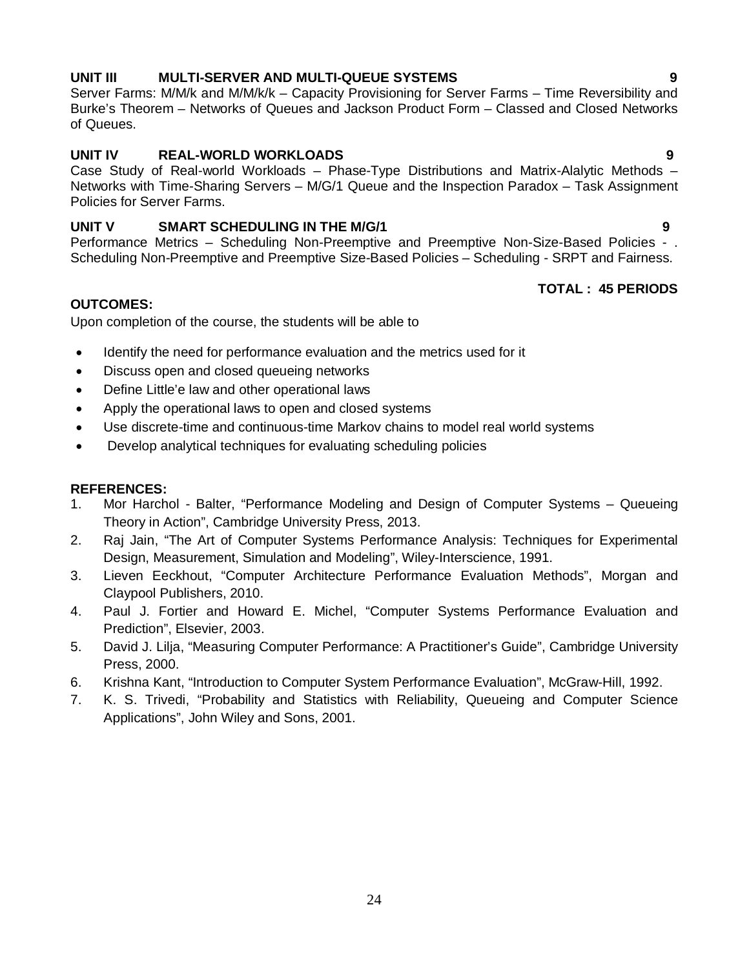# **UNIT III MULTI-SERVER AND MULTI-QUEUE SYSTEMS 9**

Server Farms: M/M/k and M/M/k/k – Capacity Provisioning for Server Farms – Time Reversibility and Burke's Theorem – Networks of Queues and Jackson Product Form – Classed and Closed Networks of Queues.

# **UNIT IV REAL-WORLD WORKLOADS 9**

Case Study of Real-world Workloads – Phase-Type Distributions and Matrix-Alalytic Methods – Networks with Time-Sharing Servers – M/G/1 Queue and the Inspection Paradox – Task Assignment Policies for Server Farms.

# **UNIT V SMART SCHEDULING IN THE M/G/1 9**

Performance Metrics – Scheduling Non-Preemptive and Preemptive Non-Size-Based Policies - . Scheduling Non-Preemptive and Preemptive Size-Based Policies – Scheduling - SRPT and Fairness.

# **TOTAL : 45 PERIODS**

### **OUTCOMES:**

Upon completion of the course, the students will be able to

- Identify the need for performance evaluation and the metrics used for it
- Discuss open and closed queueing networks
- Define Little'e law and other operational laws
- Apply the operational laws to open and closed systems
- Use discrete-time and continuous-time Markov chains to model real world systems
- Develop analytical techniques for evaluating scheduling policies

# **REFERENCES:**

- 1. Mor Harchol Balter, "Performance Modeling and Design of Computer Systems Queueing Theory in Action", Cambridge University Press, 2013.
- 2. Raj Jain, "The Art of Computer Systems Performance Analysis: Techniques for Experimental Design, Measurement, Simulation and Modeling", Wiley-Interscience, 1991.
- 3. Lieven Eeckhout, "Computer Architecture Performance Evaluation Methods", Morgan and Claypool Publishers, 2010.
- 4. Paul J. Fortier and Howard E. Michel, "Computer Systems Performance Evaluation and Prediction", Elsevier, 2003.
- 5. David J. Lilja, "Measuring Computer Performance: A Practitioner's Guide", Cambridge University Press, 2000.
- 6. Krishna Kant, "Introduction to Computer System Performance Evaluation", McGraw-Hill, 1992.
- 7. K. S. Trivedi, "Probability and Statistics with Reliability, Queueing and Computer Science Applications", John Wiley and Sons, 2001.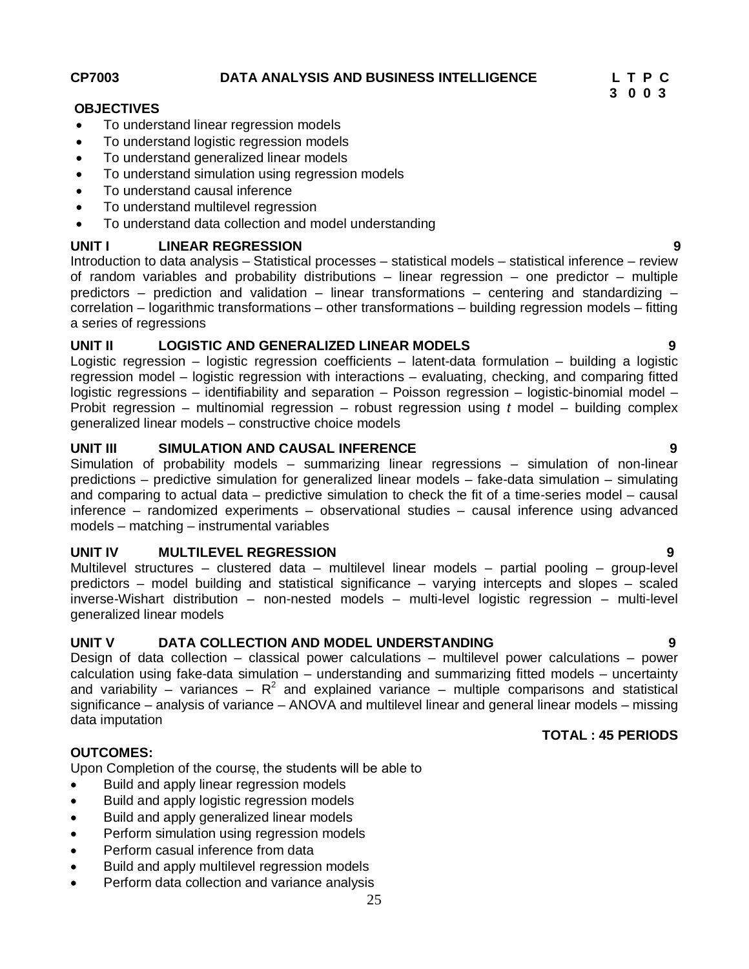**CP7003 DATA ANALYSIS AND BUSINESS INTELLIGENCE L T P C**

#### **OBJECTIVES**

- To understand linear regression models
- To understand logistic regression models
- To understand generalized linear models
- To understand simulation using regression models
- To understand causal inference
- To understand multilevel regression
- To understand data collection and model understanding

### **UNIT I LINEAR REGRESSION 9**

Introduction to data analysis – Statistical processes – statistical models – statistical inference – review of random variables and probability distributions – linear regression – one predictor – multiple predictors – prediction and validation – linear transformations – centering and standardizing – correlation – logarithmic transformations – other transformations – building regression models – fitting a series of regressions

### **UNIT II LOGISTIC AND GENERALIZED LINEAR MODELS 9**

Logistic regression – logistic regression coefficients – latent-data formulation – building a logistic regression model – logistic regression with interactions – evaluating, checking, and comparing fitted logistic regressions – identifiability and separation – Poisson regression – logistic-binomial model – Probit regression – multinomial regression – robust regression using *t* model – building complex generalized linear models – constructive choice models

#### **UNIT III SIMULATION AND CAUSAL INFERENCE 9**

Simulation of probability models – summarizing linear regressions – simulation of non-linear predictions – predictive simulation for generalized linear models – fake-data simulation – simulating and comparing to actual data – predictive simulation to check the fit of a time-series model – causal inference – randomized experiments – observational studies – causal inference using advanced models – matching – instrumental variables

#### **UNIT IV MULTILEVEL REGRESSION 9**

Multilevel structures – clustered data – multilevel linear models – partial pooling – group-level predictors – model building and statistical significance – varying intercepts and slopes – scaled inverse-Wishart distribution – non-nested models – multi-level logistic regression – multi-level generalized linear models

#### **UNIT V DATA COLLECTION AND MODEL UNDERSTANDING 9**

Design of data collection – classical power calculations – multilevel power calculations – power calculation using fake-data simulation – understanding and summarizing fitted models – uncertainty and variability – variances –  $R^2$  and explained variance – multiple comparisons and statistical significance – analysis of variance – ANOVA and multilevel linear and general linear models – missing data imputation

#### **TOTAL : 45 PERIODS**

### **OUTCOMES:**

Upon Completion of the course, the students will be able to

- Build and apply linear regression models
- Build and apply logistic regression models
- Build and apply generalized linear models
- Perform simulation using regression models
- Perform casual inference from data
- Build and apply multilevel regression models
- Perform data collection and variance analysis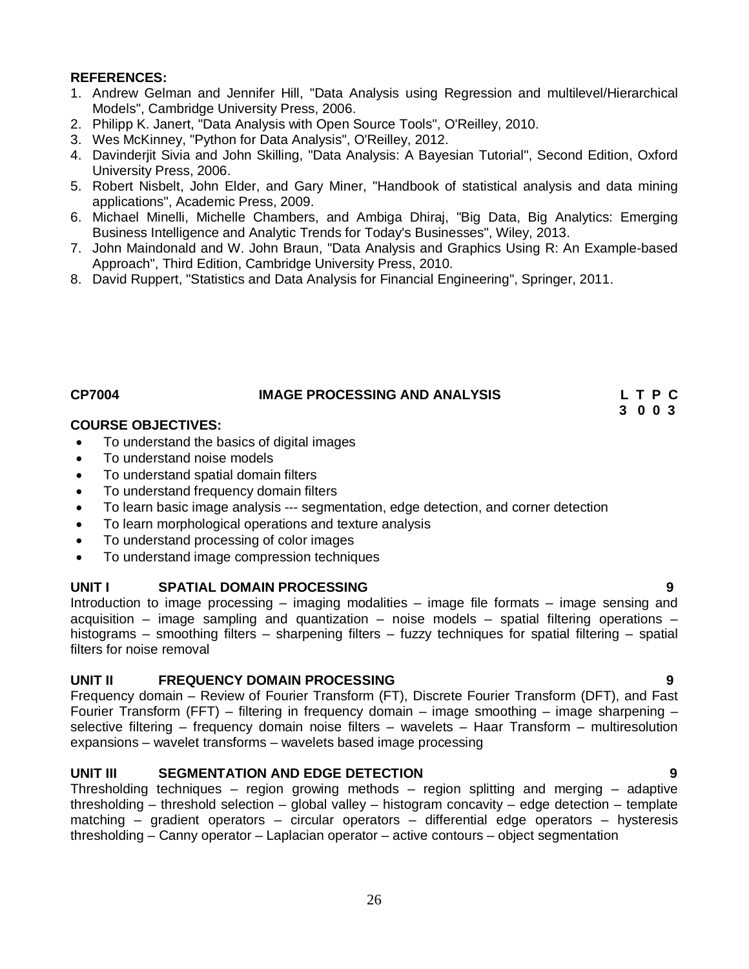#### **REFERENCES:**

- 1. Andrew Gelman and Jennifer Hill, "Data Analysis using Regression and multilevel/Hierarchical Models", Cambridge University Press, 2006.
- 2. Philipp K. Janert, "Data Analysis with Open Source Tools", O'Reilley, 2010.
- 3. Wes McKinney, "Python for Data Analysis", O'Reilley, 2012.
- 4. Davinderjit Sivia and John Skilling, "Data Analysis: A Bayesian Tutorial", Second Edition, Oxford University Press, 2006.
- 5. Robert Nisbelt, John Elder, and Gary Miner, "Handbook of statistical analysis and data mining applications", Academic Press, 2009.
- 6. Michael Minelli, Michelle Chambers, and Ambiga Dhiraj, "Big Data, Big Analytics: Emerging Business Intelligence and Analytic Trends for Today's Businesses", Wiley, 2013.
- 7. John Maindonald and W. John Braun, "Data Analysis and Graphics Using R: An Example-based Approach", Third Edition, Cambridge University Press, 2010.
- 8. David Ruppert, "Statistics and Data Analysis for Financial Engineering", Springer, 2011.

#### **CP7004 IMAGE PROCESSING AND ANALYSIS L T P C**

#### **3 0 0 3 COURSE OBJECTIVES:**

- To understand the basics of digital images
- To understand noise models
- To understand spatial domain filters
- To understand frequency domain filters
- To learn basic image analysis --- segmentation, edge detection, and corner detection
- To learn morphological operations and texture analysis
- To understand processing of color images
- To understand image compression techniques

### **UNIT I SPATIAL DOMAIN PROCESSING 9**

Introduction to image processing – imaging modalities – image file formats – image sensing and acquisition – image sampling and quantization – noise models – spatial filtering operations – histograms – smoothing filters – sharpening filters – fuzzy techniques for spatial filtering – spatial filters for noise removal

### **UNIT II FREQUENCY DOMAIN PROCESSING 9**

Frequency domain – Review of Fourier Transform (FT), Discrete Fourier Transform (DFT), and Fast Fourier Transform (FFT) – filtering in frequency domain – image smoothing – image sharpening – selective filtering – frequency domain noise filters – wavelets – Haar Transform – multiresolution expansions – wavelet transforms – wavelets based image processing

### **UNIT III SEGMENTATION AND EDGE DETECTION 9**

Thresholding techniques – region growing methods – region splitting and merging – adaptive thresholding – threshold selection – global valley – histogram concavity – edge detection – template matching – gradient operators – circular operators – differential edge operators – hysteresis thresholding – Canny operator – Laplacian operator – active contours – object segmentation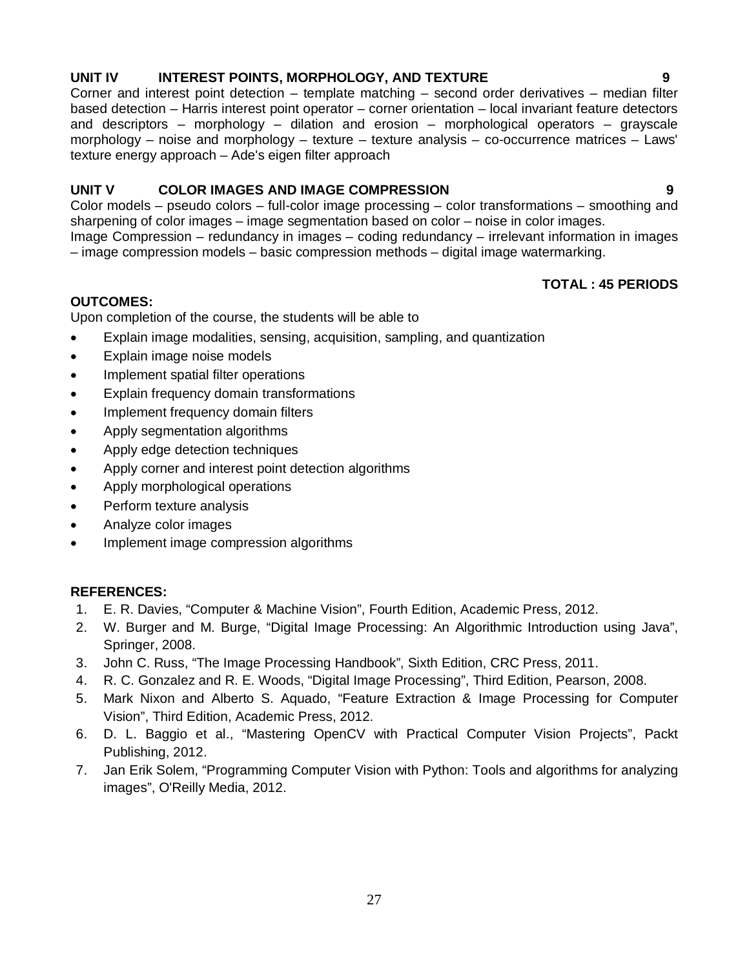### **UNIT IV INTEREST POINTS, MORPHOLOGY, AND TEXTURE**

Corner and interest point detection – template matching – second order derivatives – median filter based detection – Harris interest point operator – corner orientation – local invariant feature detectors and descriptors – morphology – dilation and erosion – morphological operators – grayscale morphology – noise and morphology – texture – texture analysis – co-occurrence matrices – Laws' texture energy approach – Ade's eigen filter approach

#### **UNIT V COLOR IMAGES AND IMAGE COMPRESSION 9**

Color models – pseudo colors – full-color image processing – color transformations – smoothing and sharpening of color images – image segmentation based on color – noise in color images. Image Compression – redundancy in images – coding redundancy – irrelevant information in images

– image compression models – basic compression methods – digital image watermarking.

# **TOTAL : 45 PERIODS**

#### **OUTCOMES:**

Upon completion of the course, the students will be able to

- Explain image modalities, sensing, acquisition, sampling, and quantization
- Explain image noise models
- Implement spatial filter operations
- Explain frequency domain transformations
- Implement frequency domain filters
- Apply segmentation algorithms
- Apply edge detection techniques
- Apply corner and interest point detection algorithms
- Apply morphological operations
- Perform texture analysis
- Analyze color images
- Implement image compression algorithms

#### **REFERENCES:**

- 1. E. R. Davies, "Computer & Machine Vision", Fourth Edition, Academic Press, 2012.
- 2. W. Burger and M. Burge, "Digital Image Processing: An Algorithmic Introduction using Java", Springer, 2008.
- 3. John C. Russ, "The Image Processing Handbook", Sixth Edition, CRC Press, 2011.
- 4. R. C. Gonzalez and R. E. Woods, "Digital Image Processing", Third Edition, Pearson, 2008.
- 5. Mark Nixon and Alberto S. Aquado, "Feature Extraction & Image Processing for Computer Vision", Third Edition, Academic Press, 2012.
- 6. D. L. Baggio et al., "Mastering OpenCV with Practical Computer Vision Projects", Packt Publishing, 2012.
- 7. Jan Erik Solem, "Programming Computer Vision with Python: Tools and algorithms for analyzing images", O'Reilly Media, 2012.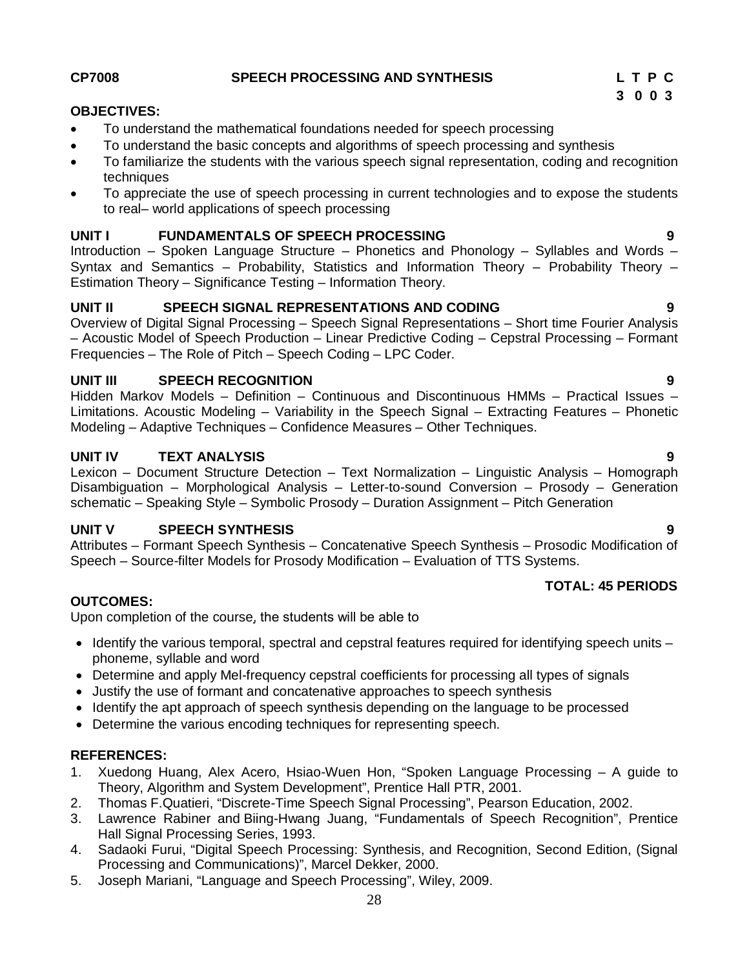#### **CP7008 SPEECH PROCESSING AND SYNTHESIS L T P C**

 **3 0 0 3**

#### **OBJECTIVES:**

- To understand the mathematical foundations needed for speech processing
- To understand the basic concepts and algorithms of speech processing and synthesis
- To familiarize the students with the various speech signal representation, coding and recognition techniques
- To appreciate the use of speech processing in current technologies and to expose the students to real– world applications of speech processing

### **UNIT I FUNDAMENTALS OF SPEECH PROCESSING 9**

Introduction – Spoken Language Structure – Phonetics and Phonology – Syllables and Words – Syntax and Semantics – Probability, Statistics and Information Theory – Probability Theory – Estimation Theory – Significance Testing – Information Theory.

# **UNIT II SPEECH SIGNAL REPRESENTATIONS AND CODING 9**

Overview of Digital Signal Processing – Speech Signal Representations – Short time Fourier Analysis – Acoustic Model of Speech Production – Linear Predictive Coding – Cepstral Processing – Formant Frequencies – The Role of Pitch – Speech Coding – LPC Coder.

# **UNIT III SPEECH RECOGNITION 9**

Hidden Markov Models – Definition – Continuous and Discontinuous HMMs – Practical Issues – Limitations. Acoustic Modeling – Variability in the Speech Signal – Extracting Features – Phonetic Modeling – Adaptive Techniques – Confidence Measures – Other Techniques.

# **UNIT IV TEXT ANALYSIS 9**

Lexicon – Document Structure Detection – Text Normalization – Linguistic Analysis – Homograph Disambiguation – Morphological Analysis – Letter-to-sound Conversion – Prosody – Generation schematic – Speaking Style – Symbolic Prosody – Duration Assignment – Pitch Generation

### **UNIT V SPEECH SYNTHESIS 9**

Attributes – Formant Speech Synthesis – Concatenative Speech Synthesis – Prosodic Modification of Speech – Source-filter Models for Prosody Modification – Evaluation of TTS Systems.

# **OUTCOMES:**

Upon completion of the course, the students will be able to

- $\bullet$  Identify the various temporal, spectral and cepstral features required for identifying speech units  $$ phoneme, syllable and word
- Determine and apply Mel-frequency cepstral coefficients for processing all types of signals
- Justify the use of formant and concatenative approaches to speech synthesis
- Identify the apt approach of speech synthesis depending on the language to be processed
- Determine the various encoding techniques for representing speech.

### **REFERENCES:**

- 1. Xuedong Huang, Alex Acero, Hsiao-Wuen Hon, "Spoken Language Processing A guide to Theory, Algorithm and System Development", Prentice Hall PTR, 2001.
- 2. Thomas F.Quatieri, "Discrete-Time Speech Signal Processing", Pearson Education, 2002.
- 3. Lawrence Rabiner and Biing-Hwang Juang, "Fundamentals of Speech Recognition", Prentice Hall Signal Processing Series, 1993.
- 4. Sadaoki Furui, "Digital Speech Processing: Synthesis, and Recognition, Second Edition, (Signal Processing and Communications)", Marcel Dekker, 2000.
- 5. Joseph Mariani, "Language and Speech Processing", Wiley, 2009.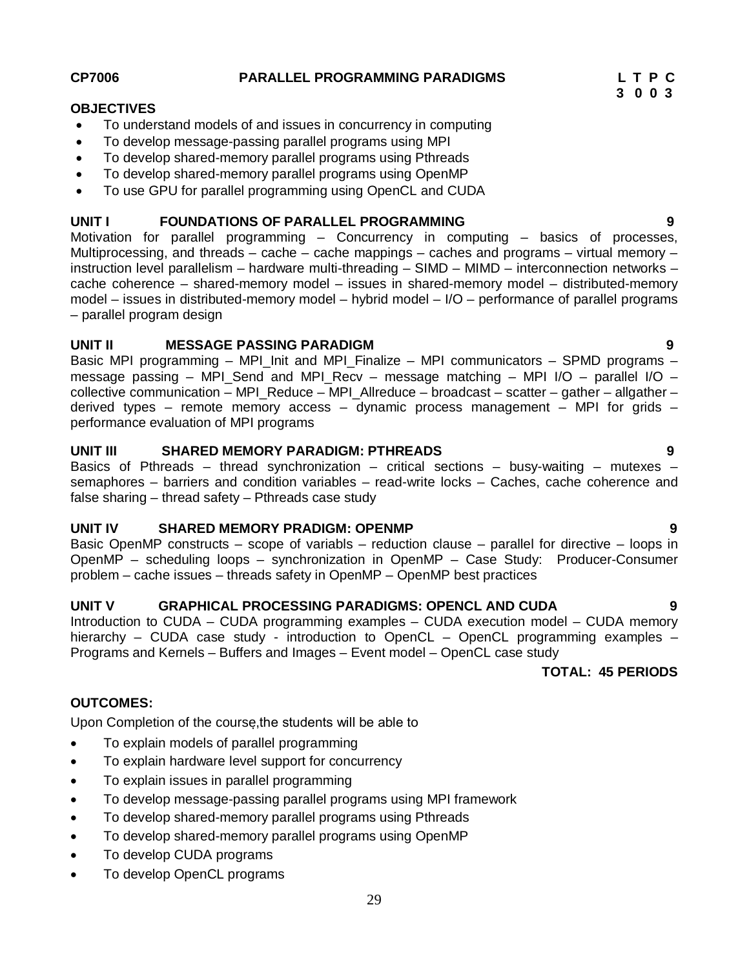#### **CP7006 PARALLEL PROGRAMMING PARADIGMS L T P C**

#### **OBJECTIVES**

- To understand models of and issues in concurrency in computing
- To develop message-passing parallel programs using MPI
- To develop shared-memory parallel programs using Pthreads
- To develop shared-memory parallel programs using OpenMP
- To use GPU for parallel programming using OpenCL and CUDA

#### **UNIT I FOUNDATIONS OF PARALLEL PROGRAMMING 9**

Motivation for parallel programming – Concurrency in computing – basics of processes, Multiprocessing, and threads – cache – cache mappings – caches and programs – virtual memory – instruction level parallelism – hardware multi-threading – SIMD – MIMD – interconnection networks – cache coherence – shared-memory model – issues in shared-memory model – distributed-memory model – issues in distributed-memory model – hybrid model – I/O – performance of parallel programs – parallel program design

#### **UNIT II MESSAGE PASSING PARADIGM 9**

Basic MPI programming – MPI Init and MPI Finalize – MPI communicators – SPMD programs – message passing – MPI\_Send and MPI\_Recv – message matching – MPI I/O – parallel I/O – collective communication – MPI\_Reduce – MPI\_Allreduce – broadcast – scatter – gather – allgather – derived types – remote memory access – dynamic process management – MPI for grids – performance evaluation of MPI programs

#### **UNIT III SHARED MEMORY PARADIGM: PTHREADS 9**

Basics of Pthreads – thread synchronization – critical sections – busy-waiting – mutexes – semaphores – barriers and condition variables – read-write locks – Caches, cache coherence and false sharing – thread safety – Pthreads case study

#### **UNIT IV SHARED MEMORY PRADIGM: OPENMP 9**

Basic OpenMP constructs – scope of variabls – reduction clause – parallel for directive – loops in OpenMP – scheduling loops – synchronization in OpenMP – Case Study: Producer-Consumer problem – cache issues – threads safety in OpenMP – OpenMP best practices

### **UNIT V GRAPHICAL PROCESSING PARADIGMS: OPENCL AND CUDA 9**

Introduction to CUDA – CUDA programming examples – CUDA execution model – CUDA memory hierarchy – CUDA case study - introduction to OpenCL – OpenCL programming examples – Programs and Kernels – Buffers and Images – Event model – OpenCL case study

#### **TOTAL: 45 PERIODS**

#### **OUTCOMES:**

Upon Completion of the course,the students will be able to

- To explain models of parallel programming
- To explain hardware level support for concurrency
- To explain issues in parallel programming
- To develop message-passing parallel programs using MPI framework
- To develop shared-memory parallel programs using Pthreads
- To develop shared-memory parallel programs using OpenMP
- To develop CUDA programs
- To develop OpenCL programs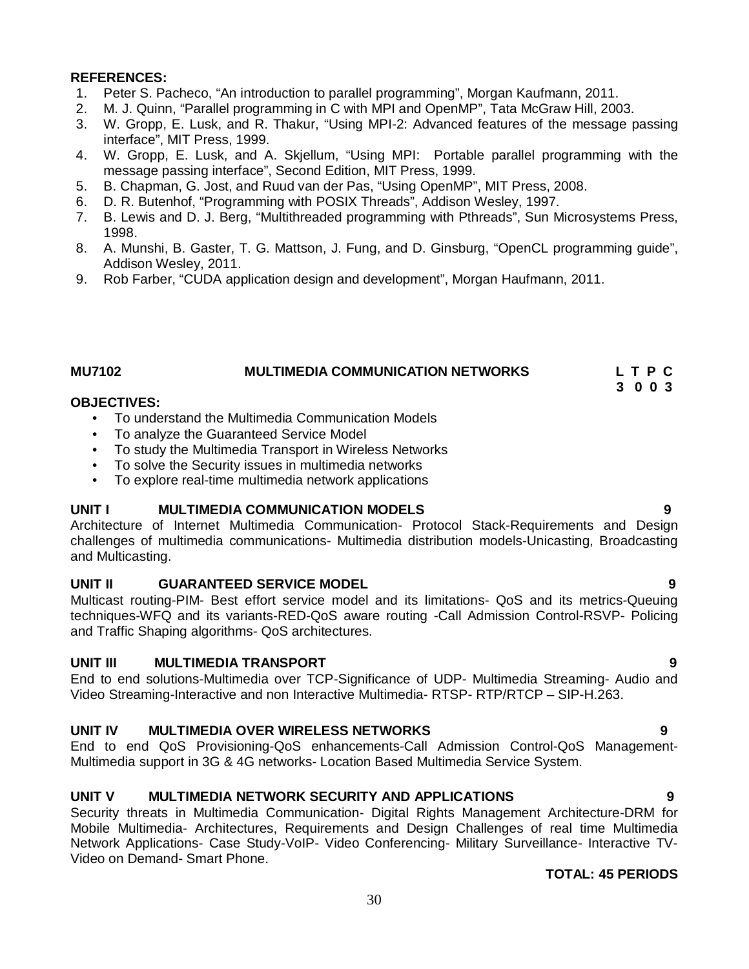#### **REFERENCES:**

- 1. Peter S. Pacheco, "An introduction to parallel programming", Morgan Kaufmann, 2011.
- 2. M. J. Quinn, "Parallel programming in C with MPI and OpenMP", Tata McGraw Hill, 2003.
- 3. W. Gropp, E. Lusk, and R. Thakur, "Using MPI-2: Advanced features of the message passing interface", MIT Press, 1999.
- 4. W. Gropp, E. Lusk, and A. Skjellum, "Using MPI: Portable parallel programming with the message passing interface", Second Edition, MIT Press, 1999.
- 5. B. Chapman, G. Jost, and Ruud van der Pas, "Using OpenMP", MIT Press, 2008.
- 6. D. R. Butenhof, "Programming with POSIX Threads", Addison Wesley, 1997.
- 7. B. Lewis and D. J. Berg, "Multithreaded programming with Pthreads", Sun Microsystems Press, 1998.
- 8. A. Munshi, B. Gaster, T. G. Mattson, J. Fung, and D. Ginsburg, "OpenCL programming guide", Addison Wesley, 2011.
- 9. Rob Farber, "CUDA application design and development", Morgan Haufmann, 2011.

# MU7102 MULTIMEDIA COMMUNICATION NETWORKS L T P C<br>3 0 0 3

#### **3 0 0 3 OBJECTIVES:**

- To understand the Multimedia Communication Models
- To analyze the Guaranteed Service Model
- To study the Multimedia Transport in Wireless Networks
- To solve the Security issues in multimedia networks
- To explore real-time multimedia network applications

#### **UNIT I MULTIMEDIA COMMUNICATION MODELS 9**

Architecture of Internet Multimedia Communication- Protocol Stack-Requirements and Design challenges of multimedia communications- Multimedia distribution models-Unicasting, Broadcasting and Multicasting.

#### **UNIT II GUARANTEED SERVICE MODEL 9**

Multicast routing-PIM- Best effort service model and its limitations- QoS and its metrics-Queuing techniques-WFQ and its variants-RED-QoS aware routing -Call Admission Control-RSVP- Policing and Traffic Shaping algorithms- QoS architectures.

#### **UNIT III MULTIMEDIA TRANSPORT 9**

End to end solutions-Multimedia over TCP-Significance of UDP- Multimedia Streaming- Audio and Video Streaming-Interactive and non Interactive Multimedia- RTSP- RTP/RTCP – SIP-H.263.

#### **UNIT IV MULTIMEDIA OVER WIRELESS NETWORKS 9**

End to end QoS Provisioning-QoS enhancements-Call Admission Control-QoS Management-Multimedia support in 3G & 4G networks- Location Based Multimedia Service System.

#### **UNIT V MULTIMEDIA NETWORK SECURITY AND APPLICATIONS 9**

Security threats in Multimedia Communication- Digital Rights Management Architecture-DRM for Mobile Multimedia- Architectures, Requirements and Design Challenges of real time Multimedia Network Applications- Case Study-VoIP- Video Conferencing- Military Surveillance- Interactive TV-Video on Demand- Smart Phone.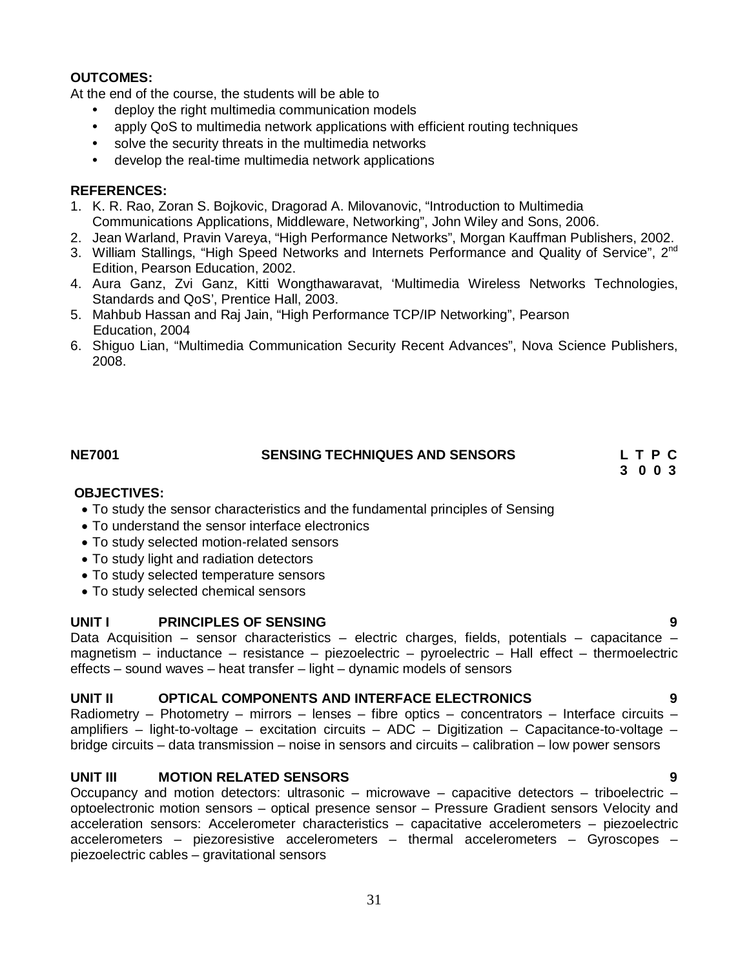#### **OUTCOMES:**

At the end of the course, the students will be able to

- deploy the right multimedia communication models
- apply QoS to multimedia network applications with efficient routing techniques
- solve the security threats in the multimedia networks
- develop the real-time multimedia network applications

#### **REFERENCES:**

- 1. K. R. Rao, Zoran S. Bojkovic, Dragorad A. Milovanovic, "Introduction to Multimedia Communications Applications, Middleware, Networking", John Wiley and Sons, 2006.
- 2. Jean Warland, Pravin Vareya, "High Performance Networks", Morgan Kauffman Publishers, 2002.
- 3. William Stallings, "High Speed Networks and Internets Performance and Quality of Service", 2<sup>nd</sup> Edition, Pearson Education, 2002.
- 4. Aura Ganz, Zvi Ganz, Kitti Wongthawaravat, 'Multimedia Wireless Networks Technologies, Standards and QoS', Prentice Hall, 2003.
- 5. Mahbub Hassan and Raj Jain, "High Performance TCP/IP Networking", Pearson Education, 2004
- 6. Shiguo Lian, "Multimedia Communication Security Recent Advances", Nova Science Publishers, 2008.

#### **NE7001 SENSING TECHNIQUES AND SENSORS L T P C**

 **3 0 0 3**

#### **OBJECTIVES:**

- To study the sensor characteristics and the fundamental principles of Sensing
- To understand the sensor interface electronics
- To study selected motion-related sensors
- To study light and radiation detectors
- To study selected temperature sensors
- To study selected chemical sensors

#### **UNIT I PRINCIPLES OF SENSING 9**

Data Acquisition – sensor characteristics – electric charges, fields, potentials – capacitance – magnetism – inductance – resistance – piezoelectric – pyroelectric – Hall effect – thermoelectric effects – sound waves – heat transfer – light – dynamic models of sensors

#### **UNIT II OPTICAL COMPONENTS AND INTERFACE ELECTRONICS 9**

Radiometry – Photometry – mirrors – lenses – fibre optics – concentrators – Interface circuits – amplifiers – light-to-voltage – excitation circuits – ADC – Digitization – Capacitance-to-voltage – bridge circuits – data transmission – noise in sensors and circuits – calibration – low power sensors

#### **UNIT III MOTION RELATED SENSORS 9**

Occupancy and motion detectors: ultrasonic – microwave – capacitive detectors – triboelectric – optoelectronic motion sensors – optical presence sensor – Pressure Gradient sensors Velocity and acceleration sensors: Accelerometer characteristics – capacitative accelerometers – piezoelectric accelerometers – piezoresistive accelerometers – thermal accelerometers – Gyroscopes – piezoelectric cables – gravitational sensors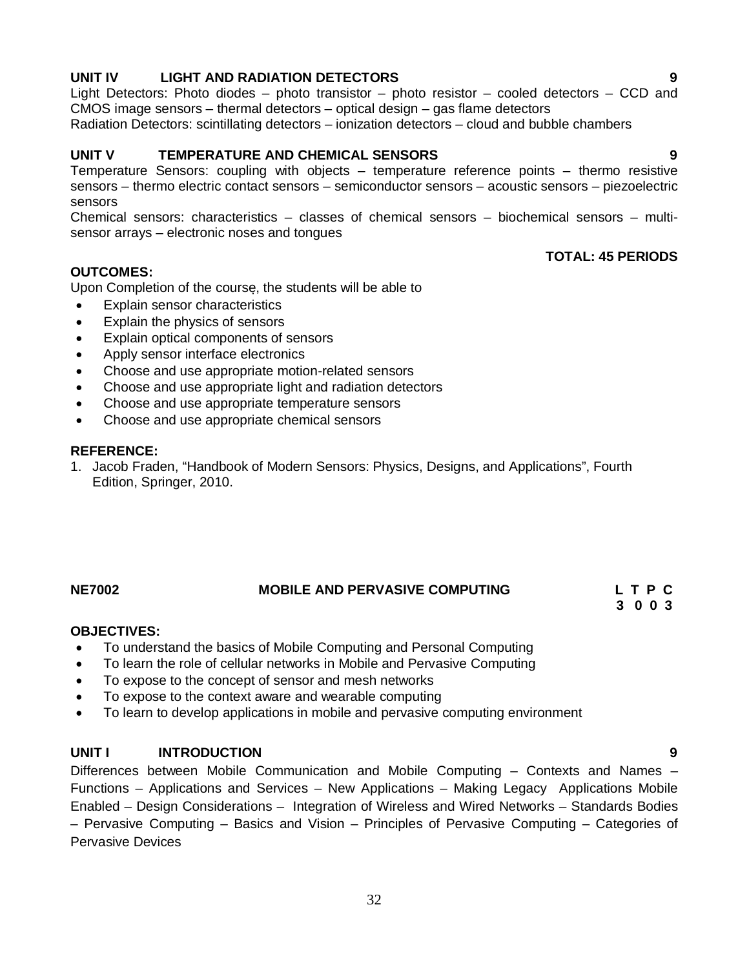#### 32

## **UNIT IV LIGHT AND RADIATION DETECTORS 9**

Light Detectors: Photo diodes – photo transistor – photo resistor – cooled detectors – CCD and CMOS image sensors – thermal detectors – optical design – gas flame detectors Radiation Detectors: scintillating detectors – ionization detectors – cloud and bubble chambers

#### **UNIT V TEMPERATURE AND CHEMICAL SENSORS 9**

Temperature Sensors: coupling with objects – temperature reference points – thermo resistive sensors – thermo electric contact sensors – semiconductor sensors – acoustic sensors – piezoelectric sensors

Chemical sensors: characteristics – classes of chemical sensors – biochemical sensors – multisensor arrays – electronic noses and tongues

#### **OUTCOMES:**

Upon Completion of the course, the students will be able to

- Explain sensor characteristics
- Explain the physics of sensors
- Explain optical components of sensors
- Apply sensor interface electronics
- Choose and use appropriate motion-related sensors
- Choose and use appropriate light and radiation detectors
- Choose and use appropriate temperature sensors
- Choose and use appropriate chemical sensors

#### **REFERENCE:**

1. Jacob Fraden, "Handbook of Modern Sensors: Physics, Designs, and Applications", Fourth Edition, Springer, 2010.

## NE7002 MOBILE AND PERVASIVE COMPUTING L T P C<br>3 0 0 3  **3 0 0 3**

#### **OBJECTIVES:**

- To understand the basics of Mobile Computing and Personal Computing
- To learn the role of cellular networks in Mobile and Pervasive Computing
- To expose to the concept of sensor and mesh networks
- To expose to the context aware and wearable computing
- To learn to develop applications in mobile and pervasive computing environment

#### **UNIT I INTRODUCTION 9**

Differences between Mobile Communication and Mobile Computing – Contexts and Names – Functions – Applications and Services – New Applications – Making Legacy Applications Mobile Enabled – Design Considerations – Integration of Wireless and Wired Networks – Standards Bodies – Pervasive Computing – Basics and Vision – Principles of Pervasive Computing – Categories of Pervasive Devices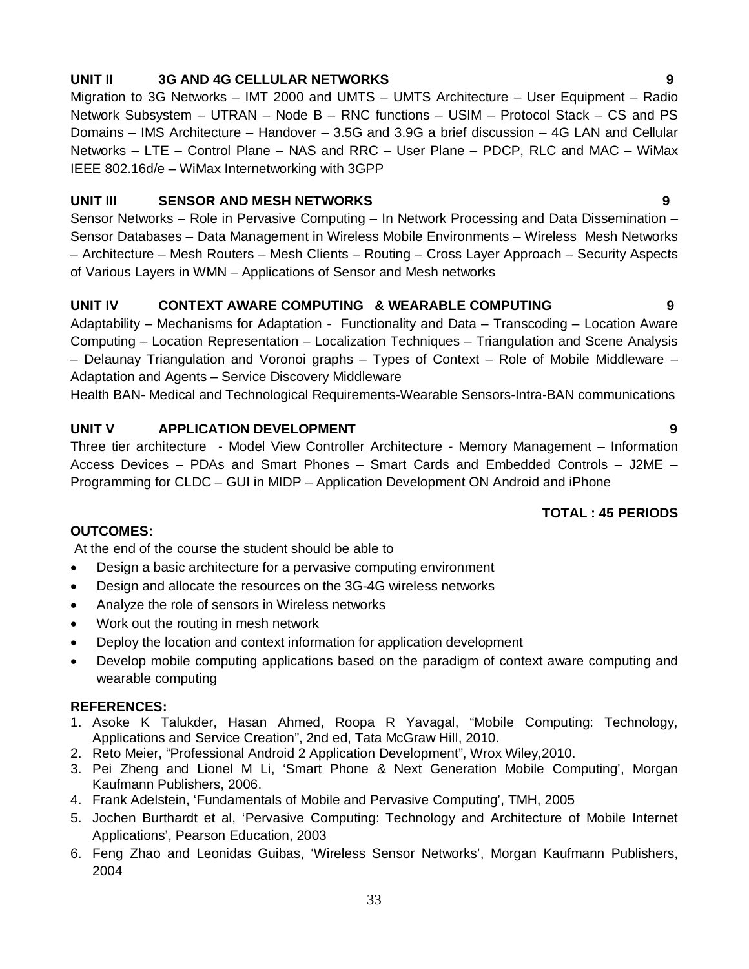### **UNIT II 3G AND 4G CELLULAR NETWORKS 9**

Migration to 3G Networks – IMT 2000 and UMTS – UMTS Architecture – User Equipment – Radio Network Subsystem – UTRAN – Node B – RNC functions – USIM – Protocol Stack – CS and PS Domains – IMS Architecture – Handover – 3.5G and 3.9G a brief discussion – 4G LAN and Cellular Networks – LTE – Control Plane – NAS and RRC – User Plane – PDCP, RLC and MAC – WiMax IEEE 802.16d/e – WiMax Internetworking with 3GPP

# **UNIT III SENSOR AND MESH NETWORKS 9**

Sensor Networks – Role in Pervasive Computing – In Network Processing and Data Dissemination – Sensor Databases – Data Management in Wireless Mobile Environments – Wireless Mesh Networks – Architecture – Mesh Routers – Mesh Clients – Routing – Cross Layer Approach – Security Aspects of Various Layers in WMN – Applications of Sensor and Mesh networks

# **UNIT IV CONTEXT AWARE COMPUTING & WEARABLE COMPUTING 9**

Adaptability – Mechanisms for Adaptation - Functionality and Data – Transcoding – Location Aware Computing – Location Representation – Localization Techniques – Triangulation and Scene Analysis – Delaunay Triangulation and Voronoi graphs – Types of Context – Role of Mobile Middleware – Adaptation and Agents – Service Discovery Middleware

Health BAN- Medical and Technological Requirements-Wearable Sensors-Intra-BAN communications

# **UNIT V APPLICATION DEVELOPMENT 9**

Three tier architecture - Model View Controller Architecture - Memory Management – Information Access Devices – PDAs and Smart Phones – Smart Cards and Embedded Controls – J2ME – Programming for CLDC – GUI in MIDP – Application Development ON Android and iPhone

# **TOTAL : 45 PERIODS**

### **OUTCOMES:**

At the end of the course the student should be able to

- Design a basic architecture for a pervasive computing environment
- Design and allocate the resources on the 3G-4G wireless networks
- Analyze the role of sensors in Wireless networks
- Work out the routing in mesh network
- Deploy the location and context information for application development
- Develop mobile computing applications based on the paradigm of context aware computing and wearable computing

### **REFERENCES:**

- 1. Asoke K Talukder, Hasan Ahmed, Roopa R Yavagal, "Mobile Computing: Technology, Applications and Service Creation", 2nd ed, Tata McGraw Hill, 2010.
- 2. Reto Meier, "Professional Android 2 Application Development", Wrox Wiley,2010.
- 3. Pei Zheng and Lionel M Li, 'Smart Phone & Next Generation Mobile Computing', Morgan Kaufmann Publishers, 2006.
- 4. Frank Adelstein, 'Fundamentals of Mobile and Pervasive Computing', TMH, 2005
- 5. Jochen Burthardt et al, 'Pervasive Computing: Technology and Architecture of Mobile Internet Applications', Pearson Education, 2003
- 6. Feng Zhao and Leonidas Guibas, 'Wireless Sensor Networks', Morgan Kaufmann Publishers, 2004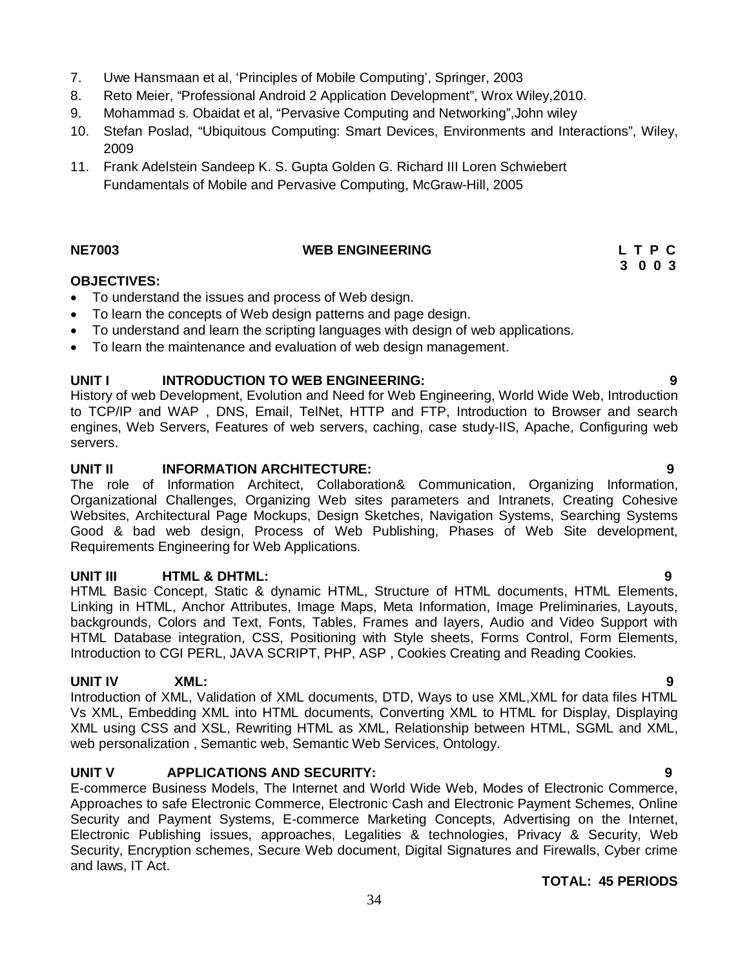- 7. Uwe Hansmaan et al, 'Principles of Mobile Computing', Springer, 2003
- 8. Reto Meier, "Professional Android 2 Application Development", Wrox Wiley,2010.
- 9. Mohammad s. Obaidat et al, "Pervasive Computing and Networking",John wiley
- 10. Stefan Poslad, "Ubiquitous Computing: Smart Devices, Environments and Interactions", Wiley, 2009
- 11. Frank Adelstein Sandeep K. S. Gupta Golden G. Richard III Loren Schwiebert Fundamentals of Mobile and Pervasive Computing, McGraw-Hill, 2005

#### **NE7003 WEB ENGINEERING L T P C**

 **3 0 0 3**

#### **OBJECTIVES:**

- To understand the issues and process of Web design.
- To learn the concepts of Web design patterns and page design.
- To understand and learn the scripting languages with design of web applications.
- To learn the maintenance and evaluation of web design management.

#### **UNIT I INTRODUCTION TO WEB ENGINEERING: 9**

History of web Development, Evolution and Need for Web Engineering, World Wide Web, Introduction to TCP/IP and WAP , DNS, Email, TelNet, HTTP and FTP, Introduction to Browser and search engines, Web Servers, Features of web servers, caching, case study-IIS, Apache, Configuring web servers.

#### **UNIT II INFORMATION ARCHITECTURE: 9**

The role of Information Architect, Collaboration& Communication, Organizing Information, Organizational Challenges, Organizing Web sites parameters and Intranets, Creating Cohesive Websites, Architectural Page Mockups, Design Sketches, Navigation Systems, Searching Systems Good & bad web design, Process of Web Publishing, Phases of Web Site development, Requirements Engineering for Web Applications.

#### **UNIT III HTML & DHTML: 9**

HTML Basic Concept, Static & dynamic HTML, Structure of HTML documents, HTML Elements, Linking in HTML, Anchor Attributes, Image Maps, Meta Information, Image Preliminaries, Layouts, backgrounds, Colors and Text, Fonts, Tables, Frames and layers, Audio and Video Support with HTML Database integration, CSS, Positioning with Style sheets, Forms Control, Form Elements, Introduction to CGI PERL, JAVA SCRIPT, PHP, ASP , Cookies Creating and Reading Cookies.

#### **UNIT IV XML: 9**

Introduction of XML, Validation of XML documents, DTD, Ways to use XML,XML for data files HTML Vs XML, Embedding XML into HTML documents, Converting XML to HTML for Display, Displaying XML using CSS and XSL, Rewriting HTML as XML, Relationship between HTML, SGML and XML, web personalization , Semantic web, Semantic Web Services, Ontology.

#### **UNIT V APPLICATIONS AND SECURITY: 9**

E-commerce Business Models, The Internet and World Wide Web, Modes of Electronic Commerce, Approaches to safe Electronic Commerce, Electronic Cash and Electronic Payment Schemes, Online Security and Payment Systems, E-commerce Marketing Concepts, Advertising on the Internet, Electronic Publishing issues, approaches, Legalities & technologies, Privacy & Security, Web Security, Encryption schemes, Secure Web document, Digital Signatures and Firewalls, Cyber crime and laws, IT Act.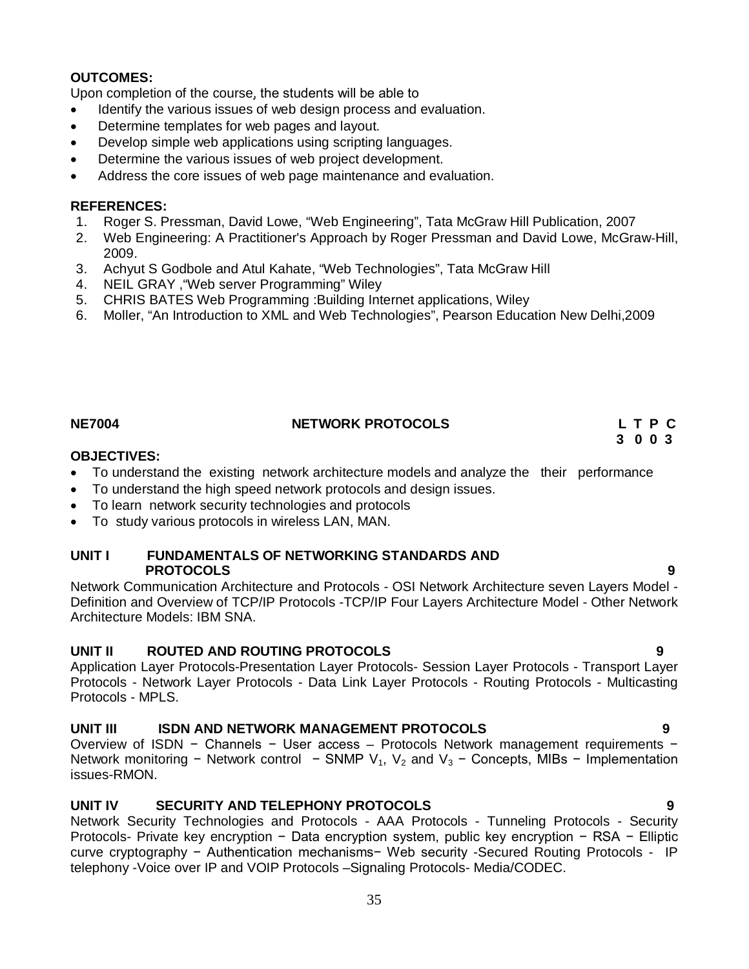#### **OUTCOMES:**

Upon completion of the course, the students will be able to

- Identify the various issues of web design process and evaluation.
- Determine templates for web pages and layout.
- Develop simple web applications using scripting languages.
- Determine the various issues of web project development.
- Address the core issues of web page maintenance and evaluation.

#### **REFERENCES:**

- 1. Roger S. Pressman, David Lowe, "Web Engineering", Tata McGraw Hill Publication, 2007
- 2. Web Engineering: A Practitioner's Approach by Roger Pressman and David Lowe, McGraw‐Hill, 2009.
- 3. Achyut S Godbole and Atul Kahate, "Web Technologies", Tata McGraw Hill
- 4. NEIL GRAY ,"Web server Programming" Wiley
- 5. CHRIS BATES Web Programming :Building Internet applications, Wiley
- 6. Moller, "An Introduction to XML and Web Technologies", Pearson Education New Delhi,2009

### **NE7004 NETWORK PROTOCOLS L T P C**

# **3 0 0 3**

#### **OBJECTIVES:**

- To understand the existing network architecture models and analyze the their performance
- To understand the high speed network protocols and design issues.
- To learn network security technologies and protocols
- To study various protocols in wireless LAN, MAN.

#### **UNIT I FUNDAMENTALS OF NETWORKING STANDARDS AND PROTOCOLS 9**

Network Communication Architecture and Protocols - OSI Network Architecture seven Layers Model - Definition and Overview of TCP/IP Protocols -TCP/IP Four Layers Architecture Model - Other Network Architecture Models: IBM SNA.

### **UNIT II ROUTED AND ROUTING PROTOCOLS 9**

Application Layer Protocols-Presentation Layer Protocols- Session Layer Protocols - Transport Layer Protocols - Network Layer Protocols - Data Link Layer Protocols - Routing Protocols - Multicasting Protocols - MPLS.

#### **UNIT III ISDN AND NETWORK MANAGEMENT PROTOCOLS 9**

Overview of ISDN − Channels − User access – Protocols Network management requirements − Network monitoring − Network control − SNMP  $V_1$ ,  $V_2$  and  $V_3$  – Concepts, MIBs – Implementation issues-RMON.

#### **UNIT IV SECURITY AND TELEPHONY PROTOCOLS 9**

Network Security Technologies and Protocols - AAA Protocols - Tunneling Protocols - Security Protocols- Private key encryption − Data encryption system, public key encryption − RSA − Elliptic curve cryptography − Authentication mechanisms− Web security -Secured Routing Protocols - IP telephony -Voice over IP and VOIP Protocols –Signaling Protocols- Media/CODEC.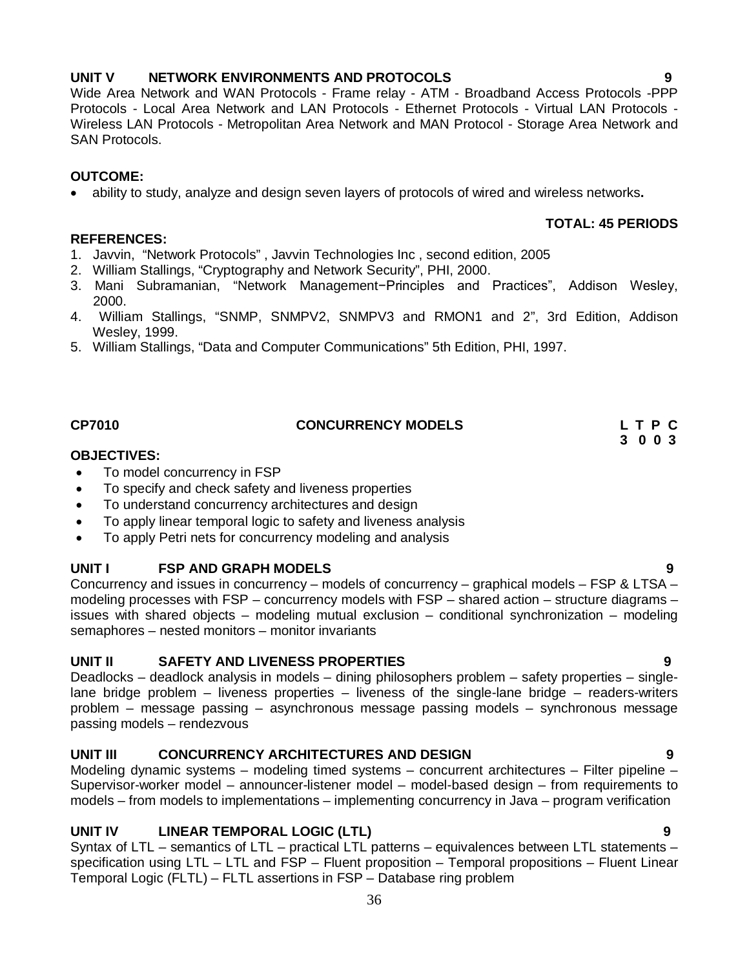# UNIT V NETWORK ENVIRONMENTS AND PROTOCOLS

Wide Area Network and WAN Protocols - Frame relay - ATM - Broadband Access Protocols -PPP Protocols - Local Area Network and LAN Protocols - Ethernet Protocols - Virtual LAN Protocols - Wireless LAN Protocols - Metropolitan Area Network and MAN Protocol - Storage Area Network and SAN Protocols.

#### **OUTCOME:**

ability to study, analyze and design seven layers of protocols of wired and wireless networks**.** 

#### **REFERENCES:**

- 1. Javvin, "Network Protocols" , Javvin Technologies Inc , second edition, 2005
- 2. William Stallings, "Cryptography and Network Security", PHI, 2000.
- 3. Mani Subramanian, "Network Management−Principles and Practices", Addison Wesley, 2000.
- 4. William Stallings, "SNMP, SNMPV2, SNMPV3 and RMON1 and 2", 3rd Edition, Addison Wesley, 1999.

**CP7010 CONCURRENCY MODELS L T P C** 

5. William Stallings, "Data and Computer Communications" 5th Edition, PHI, 1997.

#### **3 0 0 3 OBJECTIVES:**

- To model concurrency in FSP
- To specify and check safety and liveness properties
- To understand concurrency architectures and design
- To apply linear temporal logic to safety and liveness analysis
- To apply Petri nets for concurrency modeling and analysis

### **UNIT I FSP AND GRAPH MODELS 9**

Concurrency and issues in concurrency – models of concurrency – graphical models – FSP & LTSA – modeling processes with FSP – concurrency models with FSP – shared action – structure diagrams – issues with shared objects – modeling mutual exclusion – conditional synchronization – modeling semaphores – nested monitors – monitor invariants

### **UNIT II SAFETY AND LIVENESS PROPERTIES 9**

Deadlocks – deadlock analysis in models – dining philosophers problem – safety properties – singlelane bridge problem – liveness properties – liveness of the single-lane bridge – readers-writers problem – message passing – asynchronous message passing models – synchronous message passing models – rendezvous

### **UNIT III CONCURRENCY ARCHITECTURES AND DESIGN 9**

Modeling dynamic systems – modeling timed systems – concurrent architectures – Filter pipeline – Supervisor-worker model – announcer-listener model – model-based design – from requirements to models – from models to implementations – implementing concurrency in Java – program verification

### **UNIT IV LINEAR TEMPORAL LOGIC (LTL) 9**

Syntax of LTL – semantics of LTL – practical LTL patterns – equivalences between LTL statements – specification using LTL – LTL and FSP – Fluent proposition – Temporal propositions – Fluent Linear Temporal Logic (FLTL) – FLTL assertions in FSP – Database ring problem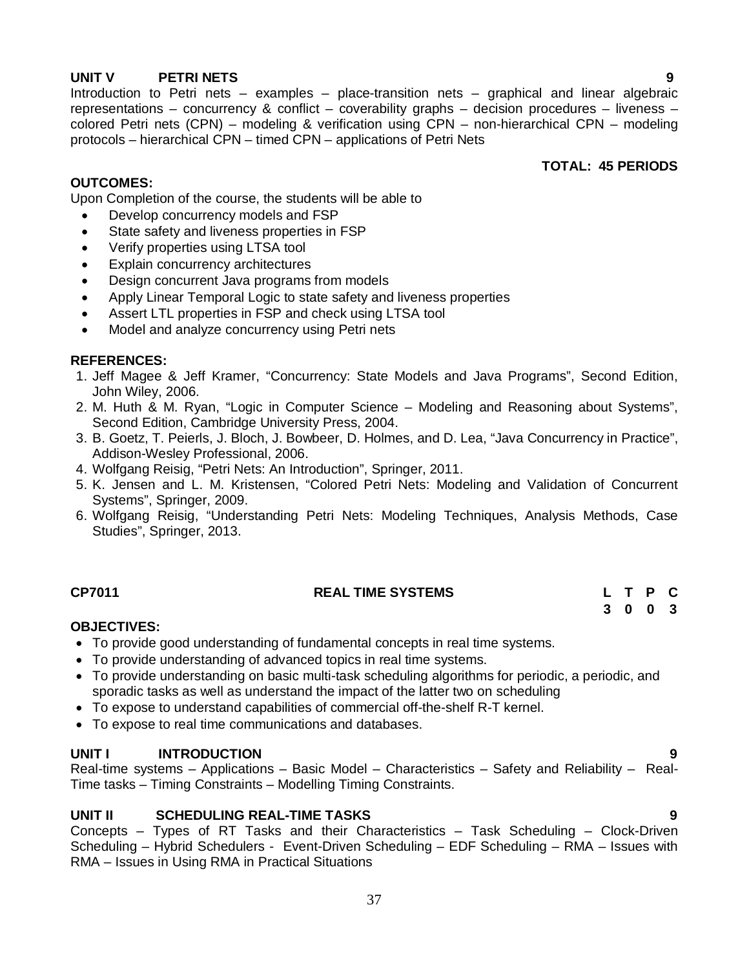#### **UNIT V PETRI NETS 9**

Introduction to Petri nets – examples – place-transition nets – graphical and linear algebraic representations – concurrency & conflict – coverability graphs – decision procedures – liveness – colored Petri nets (CPN) – modeling & verification using CPN – non-hierarchical CPN – modeling protocols – hierarchical CPN – timed CPN – applications of Petri Nets

#### **OUTCOMES:**

Upon Completion of the course, the students will be able to

- Develop concurrency models and FSP
- State safety and liveness properties in FSP
- Verify properties using LTSA tool
- Explain concurrency architectures
- Design concurrent Java programs from models
- Apply Linear Temporal Logic to state safety and liveness properties
- Assert LTL properties in FSP and check using LTSA tool
- Model and analyze concurrency using Petri nets

#### **REFERENCES:**

- 1. Jeff Magee & Jeff Kramer, "Concurrency: State Models and Java Programs", Second Edition, John Wiley, 2006.
- 2. M. Huth & M. Ryan, "Logic in Computer Science Modeling and Reasoning about Systems", Second Edition, Cambridge University Press, 2004.
- 3. B. Goetz, T. Peierls, J. Bloch, J. Bowbeer, D. Holmes, and D. Lea, "Java Concurrency in Practice", Addison-Wesley Professional, 2006.
- 4. Wolfgang Reisig, "Petri Nets: An Introduction", Springer, 2011.
- 5. K. Jensen and L. M. Kristensen, "Colored Petri Nets: Modeling and Validation of Concurrent Systems", Springer, 2009.
- 6. Wolfgang Reisig, "Understanding Petri Nets: Modeling Techniques, Analysis Methods, Case Studies", Springer, 2013.

#### **CP7011 REAL TIME SYSTEMS**

**L T P C 3 0 0 3**

#### **OBJECTIVES:**

- To provide good understanding of fundamental concepts in real time systems.
- To provide understanding of advanced topics in real time systems.
- To provide understanding on basic multi-task scheduling algorithms for periodic, a periodic, and sporadic tasks as well as understand the impact of the latter two on scheduling
- To expose to understand capabilities of commercial off-the-shelf R-T kernel.
- To expose to real time communications and databases.

#### **UNIT I INTRODUCTION 9**

Real-time systems – Applications – Basic Model – Characteristics – Safety and Reliability – Real-Time tasks – Timing Constraints – Modelling Timing Constraints.

#### **UNIT II SCHEDULING REAL-TIME TASKS 9**

Concepts – Types of RT Tasks and their Characteristics – Task Scheduling – Clock-Driven Scheduling – Hybrid Schedulers - Event-Driven Scheduling – EDF Scheduling – RMA – Issues with RMA – Issues in Using RMA in Practical Situations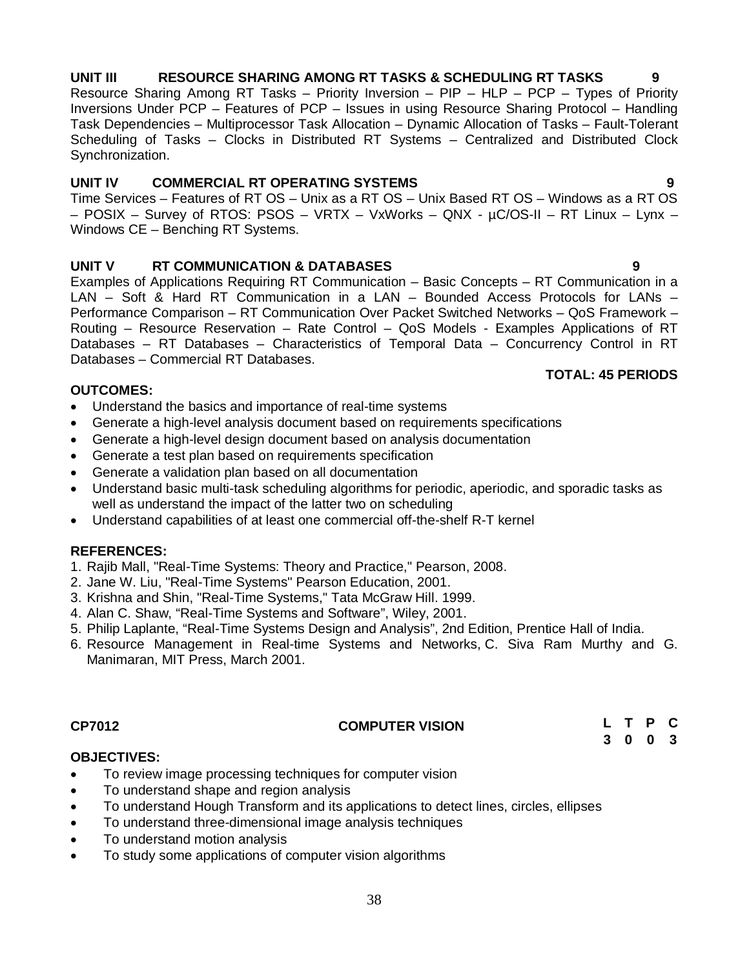# **UNIT III RESOURCE SHARING AMONG RT TASKS & SCHEDULING RT TASKS 9**

Resource Sharing Among RT Tasks – Priority Inversion – PIP – HLP – PCP – Types of Priority Inversions Under PCP – Features of PCP – Issues in using Resource Sharing Protocol – Handling Task Dependencies – Multiprocessor Task Allocation – Dynamic Allocation of Tasks – Fault-Tolerant Scheduling of Tasks – Clocks in Distributed RT Systems – Centralized and Distributed Clock Synchronization.

#### **UNIT IV COMMERCIAL RT OPERATING SYSTEMS 9**

Time Services – Features of RT OS – Unix as a RT OS – Unix Based RT OS – Windows as a RT OS – POSIX – Survey of RTOS: PSOS – VRTX – VxWorks – QNX - µC/OS-II – RT Linux – Lynx – Windows CE – Benching RT Systems.

### **UNIT V RT COMMUNICATION & DATABASES 9**

Examples of Applications Requiring RT Communication – Basic Concepts – RT Communication in a LAN – Soft & Hard RT Communication in a LAN – Bounded Access Protocols for LANs – Performance Comparison – RT Communication Over Packet Switched Networks – QoS Framework – Routing – Resource Reservation – Rate Control – QoS Models - Examples Applications of RT Databases – RT Databases – Characteristics of Temporal Data – Concurrency Control in RT Databases – Commercial RT Databases.

#### **OUTCOMES:**

- Understand the basics and importance of real-time systems
- Generate a high-level analysis document based on requirements specifications
- Generate a high-level design document based on analysis documentation
- Generate a test plan based on requirements specification
- Generate a validation plan based on all documentation
- Understand basic multi-task scheduling algorithms for periodic, aperiodic, and sporadic tasks as well as understand the impact of the latter two on scheduling
- Understand capabilities of at least one commercial off-the-shelf R-T kernel

### **REFERENCES:**

- 1. Rajib Mall, "Real-Time Systems: Theory and Practice," Pearson, 2008.
- 2. Jane W. Liu, "Real-Time Systems" Pearson Education, 2001.
- 3. Krishna and Shin, "Real-Time Systems," Tata McGraw Hill. 1999.
- 4. Alan C. Shaw, "Real-Time Systems and Software", Wiley, 2001.
- 5. Philip Laplante, "Real-Time Systems Design and Analysis", 2nd Edition, Prentice Hall of India.
- 6. Resource Management in Real-time Systems and Networks, C. Siva Ram Murthy and G. Manimaran, MIT Press, March 2001.

# **CP7012 COMPUTER VISION**

#### **OBJECTIVES:**

- To review image processing techniques for computer vision
- To understand shape and region analysis
- To understand Hough Transform and its applications to detect lines, circles, ellipses
- To understand three-dimensional image analysis techniques
- To understand motion analysis
- To study some applications of computer vision algorithms

**L T P C 3 0 0 3**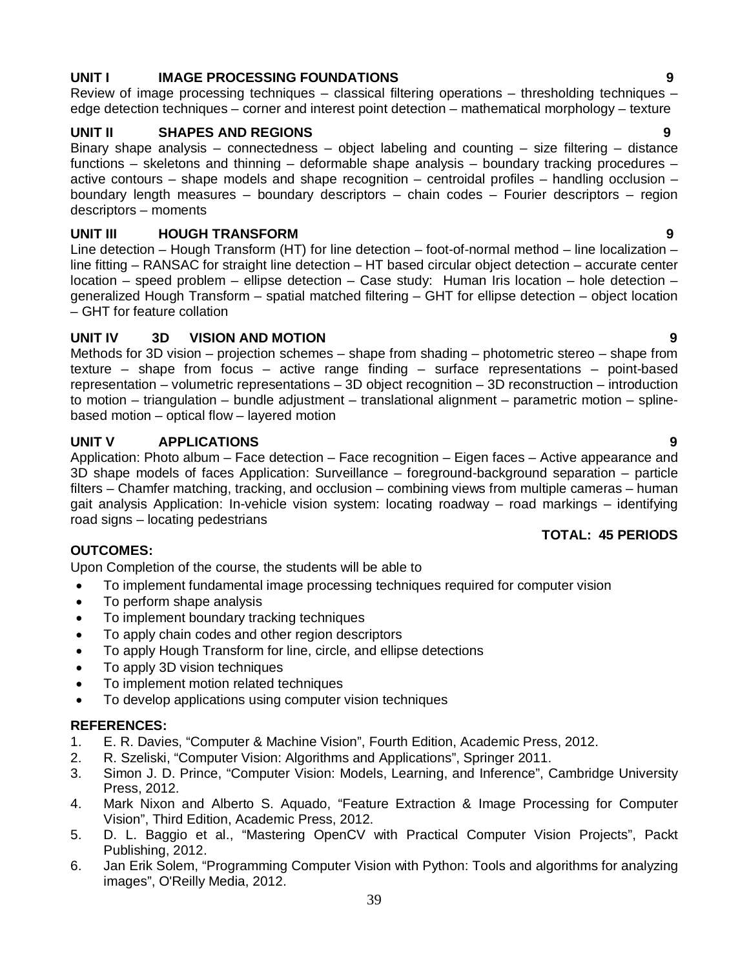#### **UNIT I IMAGE PROCESSING FOUNDATIONS 9**

Review of image processing techniques – classical filtering operations – thresholding techniques – edge detection techniques – corner and interest point detection – mathematical morphology – texture

### **UNIT II SHAPES AND REGIONS 9**

Binary shape analysis – connectedness – object labeling and counting – size filtering – distance functions – skeletons and thinning – deformable shape analysis – boundary tracking procedures – active contours – shape models and shape recognition – centroidal profiles – handling occlusion – boundary length measures – boundary descriptors – chain codes – Fourier descriptors – region descriptors – moments

## **UNIT III HOUGH TRANSFORM 9**

Line detection – Hough Transform (HT) for line detection – foot-of-normal method – line localization – line fitting – RANSAC for straight line detection – HT based circular object detection – accurate center location – speed problem – ellipse detection – Case study: Human Iris location – hole detection – generalized Hough Transform – spatial matched filtering – GHT for ellipse detection – object location – GHT for feature collation

# **UNIT IV 3D VISION AND MOTION 9**

Methods for 3D vision – projection schemes – shape from shading – photometric stereo – shape from texture – shape from focus – active range finding – surface representations – point-based representation – volumetric representations – 3D object recognition – 3D reconstruction – introduction to motion – triangulation – bundle adjustment – translational alignment – parametric motion – splinebased motion – optical flow – layered motion

### **UNIT V APPLICATIONS 9**

Application: Photo album – Face detection – Face recognition – Eigen faces – Active appearance and 3D shape models of faces Application: Surveillance – foreground-background separation – particle filters – Chamfer matching, tracking, and occlusion – combining views from multiple cameras – human gait analysis Application: In-vehicle vision system: locating roadway – road markings – identifying road signs – locating pedestrians **TOTAL: 45 PERIODS** 

### **OUTCOMES:**

Upon Completion of the course, the students will be able to

- To implement fundamental image processing techniques required for computer vision
- To perform shape analysis
- To implement boundary tracking techniques
- To apply chain codes and other region descriptors
- To apply Hough Transform for line, circle, and ellipse detections
- To apply 3D vision techniques
- To implement motion related techniques
- To develop applications using computer vision techniques

### **REFERENCES:**

- 1. E. R. Davies, "Computer & Machine Vision", Fourth Edition, Academic Press, 2012.
- 2. R. Szeliski, "Computer Vision: Algorithms and Applications", Springer 2011.
- 3. Simon J. D. Prince, "Computer Vision: Models, Learning, and Inference", Cambridge University Press, 2012.
- 4. Mark Nixon and Alberto S. Aquado, "Feature Extraction & Image Processing for Computer Vision", Third Edition, Academic Press, 2012.
- 5. D. L. Baggio et al., "Mastering OpenCV with Practical Computer Vision Projects", Packt Publishing, 2012.
- 6. Jan Erik Solem, "Programming Computer Vision with Python: Tools and algorithms for analyzing images", O'Reilly Media, 2012.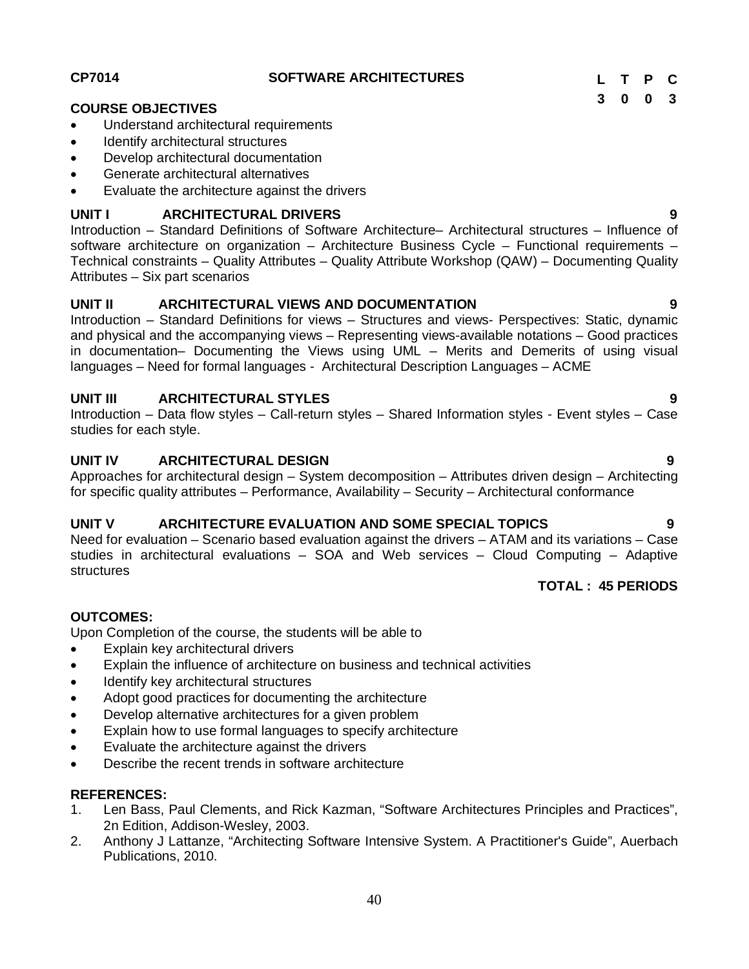#### Introduction – Standard Definitions of Software Architecture– Architectural structures – Influence of software architecture on organization – Architecture Business Cycle – Functional requirements – Technical constraints – Quality Attributes – Quality Attribute Workshop (QAW) – Documenting Quality Attributes – Six part scenarios

**UNIT I ARCHITECTURAL DRIVERS 9**

#### **UNIT II ARCHITECTURAL VIEWS AND DOCUMENTATION 9**

Introduction – Standard Definitions for views – Structures and views- Perspectives: Static, dynamic and physical and the accompanying views – Representing views-available notations – Good practices in documentation– Documenting the Views using UML – Merits and Demerits of using visual languages – Need for formal languages - Architectural Description Languages – ACME

#### **UNIT III ARCHITECTURAL STYLES 9**

• Understand architectural requirements

 Develop architectural documentation Generate architectural alternatives

Evaluate the architecture against the drivers

• Identify architectural structures

Introduction – Data flow styles – Call-return styles – Shared Information styles - Event styles – Case studies for each style.

#### **UNIT IV ARCHITECTURAL DESIGN 9**

Approaches for architectural design – System decomposition – Attributes driven design – Architecting for specific quality attributes – Performance, Availability – Security – Architectural conformance

#### **UNIT V ARCHITECTURE EVALUATION AND SOME SPECIAL TOPICS 9**

Need for evaluation – Scenario based evaluation against the drivers – ATAM and its variations – Case studies in architectural evaluations – SOA and Web services – Cloud Computing – Adaptive structures

#### **OUTCOMES:**

Upon Completion of the course, the students will be able to

- Explain key architectural drivers
- Explain the influence of architecture on business and technical activities
- Identify key architectural structures
- Adopt good practices for documenting the architecture
- Develop alternative architectures for a given problem
- Explain how to use formal languages to specify architecture
- Evaluate the architecture against the drivers
- Describe the recent trends in software architecture

#### **REFERENCES:**

- 1. Len Bass, Paul Clements, and Rick Kazman, "Software Architectures Principles and Practices", 2n Edition, Addison-Wesley, 2003.
- 2. Anthony J Lattanze, "Architecting Software Intensive System. A Practitioner's Guide", Auerbach Publications, 2010.

40

#### **CP7014 SOFTWARE ARCHITECTURES**

**COURSE OBJECTIVES**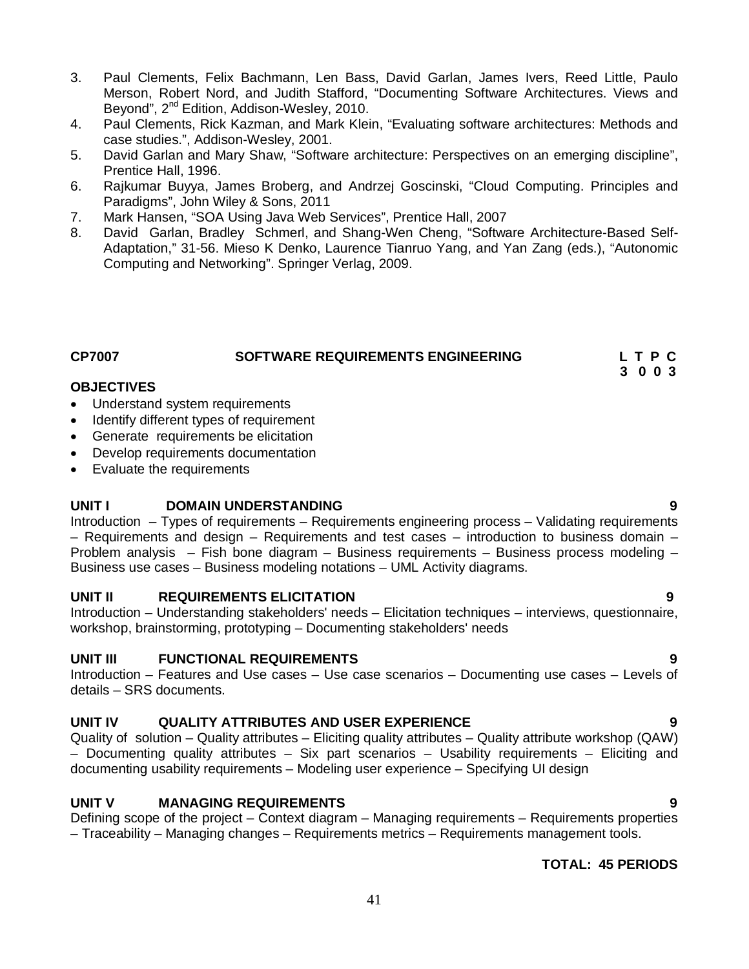- 3. Paul Clements, Felix Bachmann, Len Bass, David Garlan, James Ivers, Reed Little, Paulo Merson, Robert Nord, and Judith Stafford, "Documenting Software Architectures. Views and Beyond", 2<sup>nd</sup> Edition, Addison-Wesley, 2010.
- 4. Paul Clements, Rick Kazman, and Mark Klein, "Evaluating software architectures: Methods and case studies.", Addison-Wesley, 2001.
- 5. David Garlan and Mary Shaw, "Software architecture: Perspectives on an emerging discipline", Prentice Hall, 1996.
- 6. Rajkumar Buyya, James Broberg, and Andrzej Goscinski, "Cloud Computing. Principles and Paradigms", John Wiley & Sons, 2011
- 7. Mark Hansen, "SOA Using Java Web Services", Prentice Hall, 2007
- 8. David Garlan, Bradley Schmerl, and Shang-Wen Cheng, "Software Architecture-Based Self-Adaptation," 31-56. Mieso K Denko, Laurence Tianruo Yang, and Yan Zang (eds.), "Autonomic Computing and Networking". Springer Verlag, 2009.

| <b>CP7007</b> | <b>SOFTWARE REQUIREMENTS ENGINEERING</b> | LTPC    |  |  |
|---------------|------------------------------------------|---------|--|--|
|               |                                          | 3 0 0 3 |  |  |

#### **OBJECTIVES**

- Understand system requirements
- Identify different types of requirement
- Generate requirements be elicitation
- Develop requirements documentation
- Evaluate the requirements

#### **UNIT I DOMAIN UNDERSTANDING 9**

Introduction – Types of requirements – Requirements engineering process – Validating requirements – Requirements and design – Requirements and test cases – introduction to business domain – Problem analysis – Fish bone diagram – Business requirements – Business process modeling – Business use cases – Business modeling notations – UML Activity diagrams.

#### **UNIT II REQUIREMENTS ELICITATION 9**

Introduction – Understanding stakeholders' needs – Elicitation techniques – interviews, questionnaire, workshop, brainstorming, prototyping – Documenting stakeholders' needs

#### **UNIT III FUNCTIONAL REQUIREMENTS 9**

Introduction – Features and Use cases – Use case scenarios – Documenting use cases – Levels of details – SRS documents.

#### **UNIT IV QUALITY ATTRIBUTES AND USER EXPERIENCE 9**

Quality of solution – Quality attributes – Eliciting quality attributes – Quality attribute workshop (QAW) – Documenting quality attributes – Six part scenarios – Usability requirements – Eliciting and documenting usability requirements – Modeling user experience – Specifying UI design

#### **UNIT V MANAGING REQUIREMENTS 9**

Defining scope of the project – Context diagram – Managing requirements – Requirements properties – Traceability – Managing changes – Requirements metrics – Requirements management tools.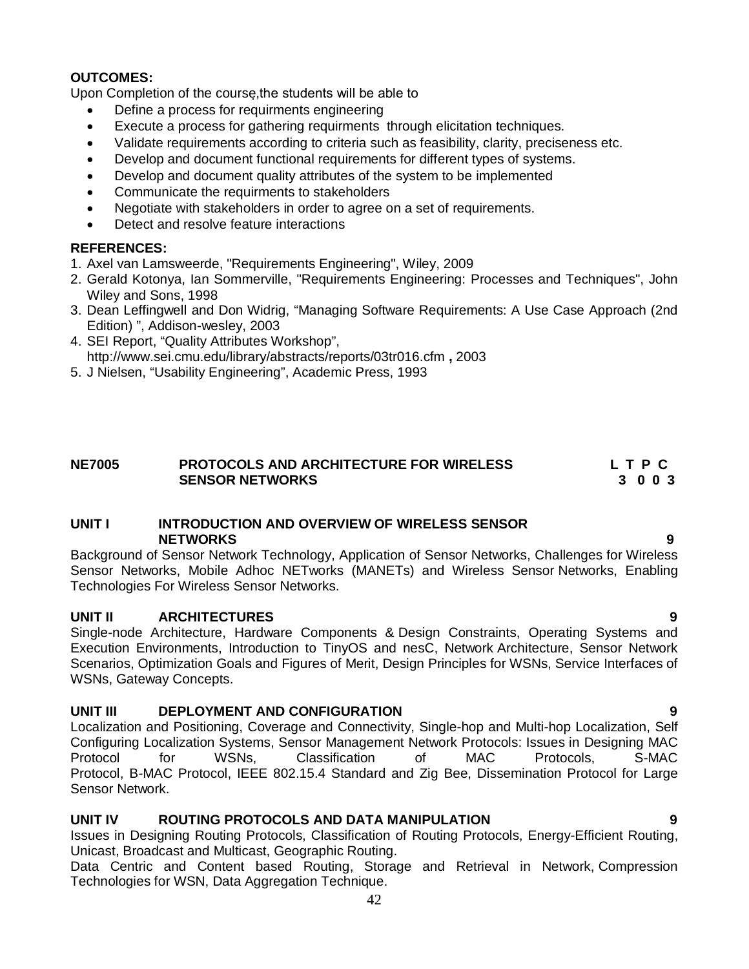#### **OUTCOMES:**

Upon Completion of the course,the students will be able to

- Define a process for requirments engineering
- Execute a process for gathering requirments through elicitation techniques.
- Validate requirements according to criteria such as feasibility, clarity, preciseness etc.
- Develop and document functional requirements for different types of systems.
- Develop and document quality attributes of the system to be implemented
- Communicate the requirments to stakeholders
- Negotiate with stakeholders in order to agree on a set of requirements.
- Detect and resolve feature interactions

#### **REFERENCES:**

- 1. Axel van Lamsweerde, "Requirements Engineering", Wiley, 2009
- 2. Gerald Kotonya, Ian Sommerville, "Requirements Engineering: Processes and Techniques", John Wiley and Sons, 1998
- 3. Dean Leffingwell and Don Widrig, "Managing Software Requirements: A Use Case Approach (2nd Edition) ", Addison-wesley, 2003
- 4. SEI Report, "Quality Attributes Workshop", http://www.sei.cmu.edu/library/abstracts/reports/03tr016.cfm **,** 2003
- 5. J Nielsen, "Usability Engineering", Academic Press, 1993

#### **NE7005 PROTOCOLS AND ARCHITECTURE FOR WIRELESS L T P C SENSOR NETWORKS** 3 0 0 3

#### **UNIT I INTRODUCTION AND OVERVIEW OF WIRELESS SENSOR NETWORKS 9**

Background of Sensor Network Technology, Application of Sensor Networks, Challenges for Wireless Sensor Networks, Mobile Adhoc NETworks (MANETs) and Wireless Sensor Networks, Enabling Technologies For Wireless Sensor Networks.

#### **UNIT II ARCHITECTURES 9**

Single-node Architecture, Hardware Components & Design Constraints, Operating Systems and Execution Environments, Introduction to TinyOS and nesC, Network Architecture, Sensor Network Scenarios, Optimization Goals and Figures of Merit, Design Principles for WSNs, Service Interfaces of WSNs, Gateway Concepts.

#### **UNIT III DEPLOYMENT AND CONFIGURATION 9**

Localization and Positioning, Coverage and Connectivity, Single-hop and Multi-hop Localization, Self Configuring Localization Systems, Sensor Management Network Protocols: Issues in Designing MAC<br>
Protocol 
for 
WSNs, 
Classification

of MAC Protocols. 
S-MAC Protocol for WSNs, Classification of MAC Protocols, Protocol, B-MAC Protocol, IEEE 802.15.4 Standard and Zig Bee, Dissemination Protocol for Large Sensor Network.

#### **UNIT IV ROUTING PROTOCOLS AND DATA MANIPULATION 9**

Issues in Designing Routing Protocols, Classification of Routing Protocols, Energy-Efficient Routing, Unicast, Broadcast and Multicast, Geographic Routing.

Data Centric and Content based Routing, Storage and Retrieval in Network, Compression Technologies for WSN, Data Aggregation Technique.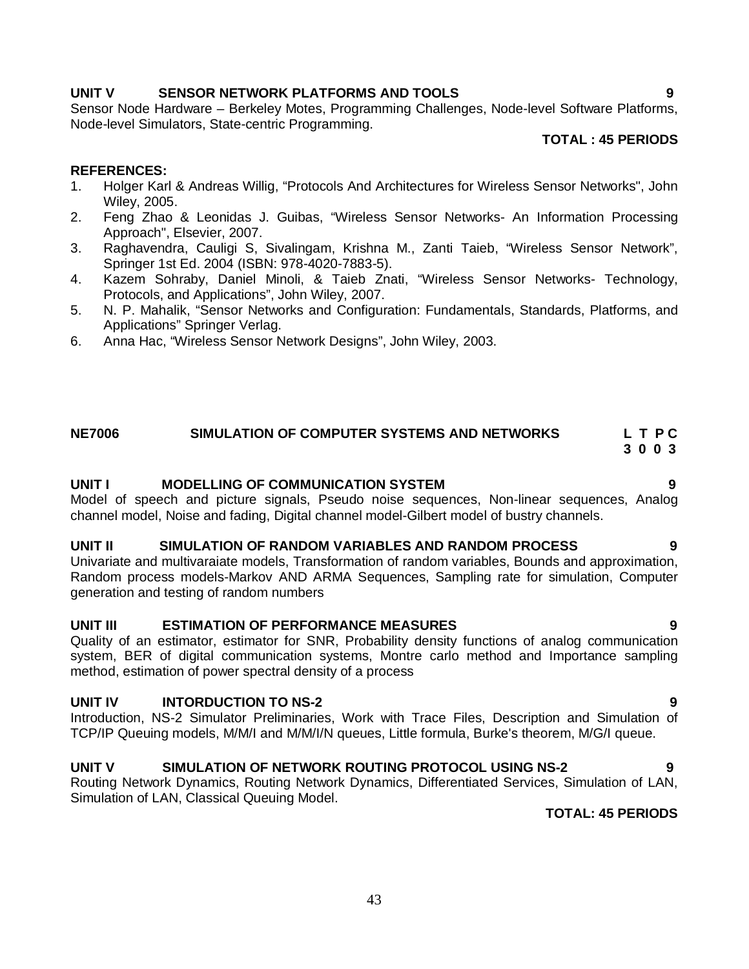# **UNIT V SENSOR NETWORK PLATFORMS AND TOOLS 9**

Sensor Node Hardware – Berkeley Motes, Programming Challenges, Node-level Software Platforms, Node-level Simulators, State-centric Programming.

#### **TOTAL : 45 PERIODS**

#### **REFERENCES:**

- 1. Holger Karl & Andreas Willig, "Protocols And Architectures for Wireless Sensor Networks", John Wiley, 2005.
- 2. Feng Zhao & Leonidas J. Guibas, "Wireless Sensor Networks- An Information Processing Approach", Elsevier, 2007.
- 3. Raghavendra, Cauligi S, Sivalingam, Krishna M., Zanti Taieb, "Wireless Sensor Network", Springer 1st Ed. 2004 (ISBN: 978-4020-7883-5).
- 4. Kazem Sohraby, Daniel Minoli, & Taieb Znati, "Wireless Sensor Networks- Technology, Protocols, and Applications", John Wiley, 2007.
- 5. N. P. Mahalik, "Sensor Networks and Configuration: Fundamentals, Standards, Platforms, and Applications" Springer Verlag.
- 6. Anna Hac, "Wireless Sensor Network Designs", John Wiley, 2003.

#### **NE7006 SIMULATION OF COMPUTER SYSTEMS AND NETWORKS L T P C 3 0 0 3**

#### **UNIT I MODELLING OF COMMUNICATION SYSTEM 9**

Model of speech and picture signals, Pseudo noise sequences, Non-linear sequences, Analog channel model, Noise and fading, Digital channel model-Gilbert model of bustry channels.

#### **UNIT II SIMULATION OF RANDOM VARIABLES AND RANDOM PROCESS 9**

Univariate and multivaraiate models, Transformation of random variables, Bounds and approximation, Random process models-Markov AND ARMA Sequences, Sampling rate for simulation, Computer generation and testing of random numbers

### **UNIT III ESTIMATION OF PERFORMANCE MEASURES 9**

Quality of an estimator, estimator for SNR, Probability density functions of analog communication system, BER of digital communication systems, Montre carlo method and Importance sampling method, estimation of power spectral density of a process

#### **UNIT IV INTORDUCTION TO NS-2 9**

Introduction, NS-2 Simulator Preliminaries, Work with Trace Files, Description and Simulation of TCP/IP Queuing models, M/M/I and M/M/I/N queues, Little formula, Burke's theorem, M/G/I queue.

### **UNIT V SIMULATION OF NETWORK ROUTING PROTOCOL USING NS-2 9**

Routing Network Dynamics, Routing Network Dynamics, Differentiated Services, Simulation of LAN, Simulation of LAN, Classical Queuing Model.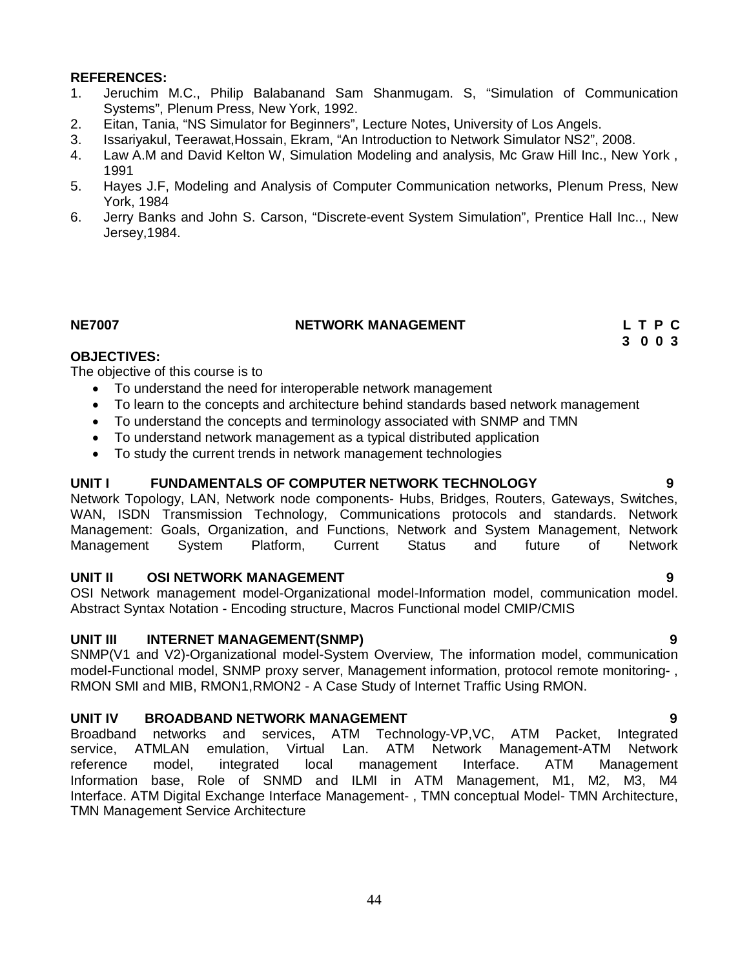#### **REFERENCES:**

- 1. Jeruchim M.C., Philip Balabanand Sam Shanmugam. S, "Simulation of Communication Systems", Plenum Press, New York, 1992.
- 2. Eitan, Tania, "NS Simulator for Beginners", Lecture Notes, University of Los Angels.
- 3. Issariyakul, Teerawat,Hossain, Ekram, "An Introduction to Network Simulator NS2", 2008.
- 4. Law A.M and David Kelton W, Simulation Modeling and analysis, Mc Graw Hill Inc., New York , 1991
- 5. Hayes J.F, Modeling and Analysis of Computer Communication networks, Plenum Press, New York, 1984
- 6. Jerry Banks and John S. Carson, "Discrete-event System Simulation", Prentice Hall Inc.., New Jersey,1984.

#### **NE7007 NETWORK MANAGEMENT L T P C**

 **3 0 0 3**

#### **OBJECTIVES:**

The objective of this course is to

- To understand the need for interoperable network management
- To learn to the concepts and architecture behind standards based network management
- To understand the concepts and terminology associated with SNMP and TMN
- To understand network management as a typical distributed application
- To study the current trends in network management technologies

#### **UNIT I FUNDAMENTALS OF COMPUTER NETWORK TECHNOLOGY 9**

Network Topology, LAN, Network node components- Hubs, Bridges, Routers, Gateways, Switches, WAN, ISDN Transmission Technology, Communications protocols and standards. Network Management: Goals, Organization, and Functions, Network and System Management, Network Management System Platform, Current Status and future of Network

#### **UNIT II OSI NETWORK MANAGEMENT 9**

OSI Network management model-Organizational model-Information model, communication model. Abstract Syntax Notation - Encoding structure, Macros Functional model CMIP/CMIS

#### **UNIT III INTERNET MANAGEMENT(SNMP) 9**

SNMP(V1 and V2)-Organizational model-System Overview, The information model, communication model-Functional model, SNMP proxy server, Management information, protocol remote monitoring- , RMON SMI and MIB, RMON1,RMON2 - A Case Study of Internet Traffic Using RMON.

#### **UNIT IV BROADBAND NETWORK MANAGEMENT 9**

Broadband networks and services, ATM Technology-VP,VC, ATM Packet, Integrated service, ATMLAN emulation, Virtual Lan. ATM Network Management-ATM Network reference model, integrated local management Interface. ATM Management Information base, Role of SNMD and ILMI in ATM Management, M1, M2, M3, M4 Interface. ATM Digital Exchange Interface Management- , TMN conceptual Model- TMN Architecture, TMN Management Service Architecture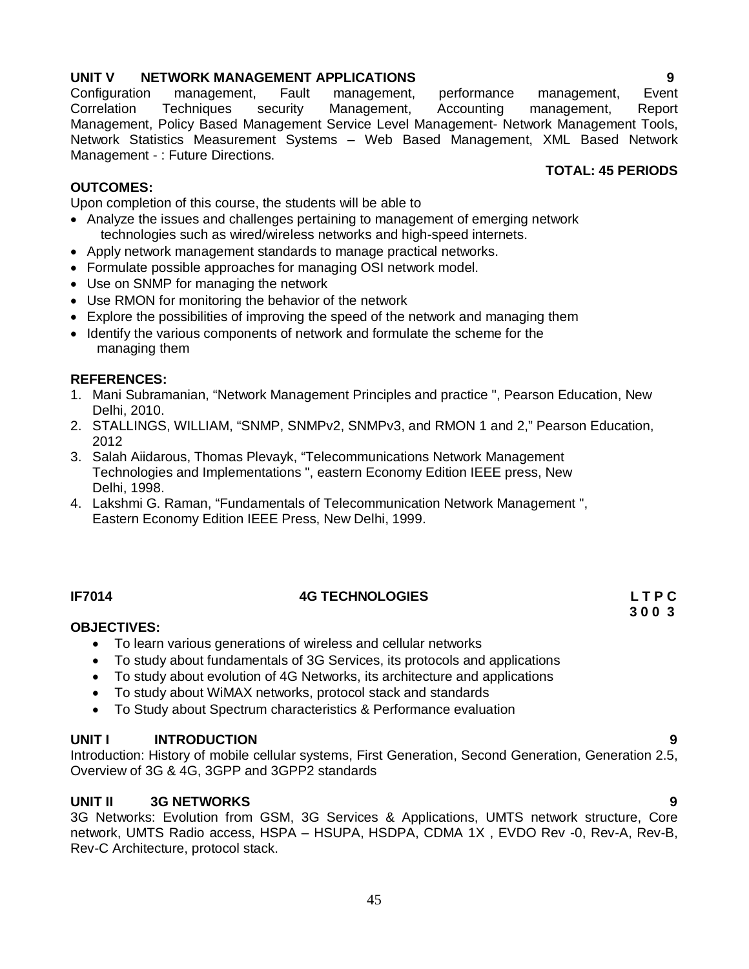# **UNIT V NETWORK MANAGEMENT APPLICATIONS 9**

Configuration management, Fault management, performance management, Event Correlation Techniques security Management, Accounting management, Report Management, Policy Based Management Service Level Management- Network Management Tools, Network Statistics Measurement Systems – Web Based Management, XML Based Network Management - : Future Directions. **TOTAL: 45 PERIODS**

#### **OUTCOMES:**

Upon completion of this course, the students will be able to

- Analyze the issues and challenges pertaining to management of emerging network technologies such as wired/wireless networks and high-speed internets.
- Apply network management standards to manage practical networks.
- Formulate possible approaches for managing OSI network model.
- Use on SNMP for managing the network
- Use RMON for monitoring the behavior of the network
- Explore the possibilities of improving the speed of the network and managing them
- Identify the various components of network and formulate the scheme for the managing them

#### **REFERENCES:**

- 1. Mani Subramanian, "Network Management Principles and practice ", Pearson Education, New Delhi, 2010.
- 2. STALLINGS, WILLIAM, "SNMP, SNMPv2, SNMPv3, and RMON 1 and 2," Pearson Education, 2012
- 3. Salah Aiidarous, Thomas Plevayk, "Telecommunications Network Management Technologies and Implementations ", eastern Economy Edition IEEE press, New Delhi, 1998.
- 4. Lakshmi G. Raman, "Fundamentals of Telecommunication Network Management ", Eastern Economy Edition IEEE Press, New Delhi, 1999.

#### **IF7014 4G TECHNOLOGIES L T P C**

# **3 0 0 3**

### **OBJECTIVES:**

- To learn various generations of wireless and cellular networks
- To study about fundamentals of 3G Services, its protocols and applications
- To study about evolution of 4G Networks, its architecture and applications
- To study about WiMAX networks, protocol stack and standards
- To Study about Spectrum characteristics & Performance evaluation

#### **UNIT I INTRODUCTION 9**

Introduction: History of mobile cellular systems, First Generation, Second Generation, Generation 2.5, Overview of 3G & 4G, 3GPP and 3GPP2 standards

#### **UNIT II 3G NETWORKS 9**

3G Networks: Evolution from GSM, 3G Services & Applications, UMTS network structure, Core network, UMTS Radio access, HSPA – HSUPA, HSDPA, CDMA 1X , EVDO Rev -0, Rev-A, Rev-B, Rev-C Architecture, protocol stack.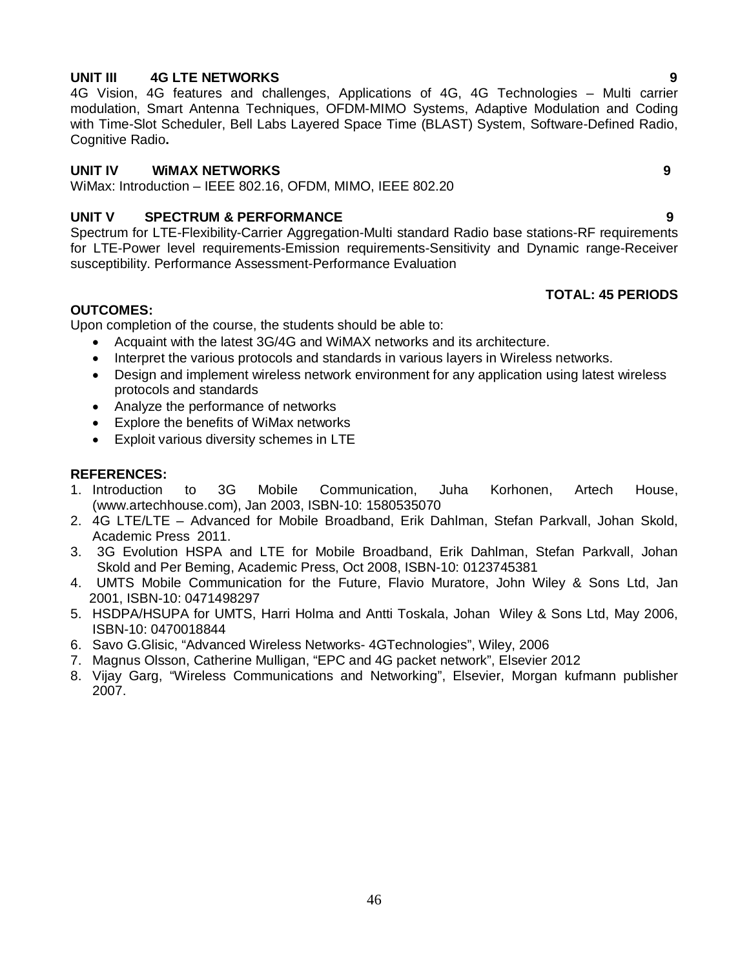#### **UNIT III 4G LTE NETWORKS 9**

4G Vision, 4G features and challenges, Applications of 4G, 4G Technologies – Multi carrier modulation, Smart Antenna Techniques, OFDM-MIMO Systems, Adaptive Modulation and Coding with Time-Slot Scheduler, Bell Labs Layered Space Time (BLAST) System, Software-Defined Radio, Cognitive Radio**.**

### **UNIT IV WiMAX NETWORKS 9**

WiMax: Introduction – IEEE 802.16, OFDM, MIMO, IEEE 802.20

### **UNIT V SPECTRUM & PERFORMANCE 9**

Spectrum for LTE-Flexibility-Carrier Aggregation-Multi standard Radio base stations-RF requirements for LTE-Power level requirements-Emission requirements-Sensitivity and Dynamic range-Receiver susceptibility. Performance Assessment-Performance Evaluation

#### **TOTAL: 45 PERIODS**

#### **OUTCOMES:**

Upon completion of the course, the students should be able to:

- Acquaint with the latest 3G/4G and WiMAX networks and its architecture.
- Interpret the various protocols and standards in various layers in Wireless networks.
- Design and implement wireless network environment for any application using latest wireless protocols and standards
- Analyze the performance of networks
- Explore the benefits of WiMax networks
- Exploit various diversity schemes in LTE

### **REFERENCES:**

- 1. Introduction to 3G Mobile Communication, Juha Korhonen, Artech House, (www.artechhouse.com), Jan 2003, ISBN-10: 1580535070
- 2. 4G LTE/LTE Advanced for Mobile Broadband, Erik Dahlman, Stefan Parkvall, Johan Skold, Academic Press 2011.
- 3. 3G Evolution HSPA and LTE for Mobile Broadband, Erik Dahlman, Stefan Parkvall, Johan Skold and Per Beming, Academic Press, Oct 2008, ISBN-10: 0123745381
- 4. UMTS Mobile Communication for the Future, Flavio Muratore, John Wiley & Sons Ltd, Jan 2001, ISBN-10: 0471498297
- 5. HSDPA/HSUPA for UMTS, Harri Holma and Antti Toskala, Johan Wiley & Sons Ltd, May 2006, ISBN-10: 0470018844
- 6. Savo G.Glisic, "Advanced Wireless Networks- 4GTechnologies", Wiley, 2006
- 7. Magnus Olsson, Catherine Mulligan, "EPC and 4G packet network", Elsevier 2012
- 8. Vijay Garg, "Wireless Communications and Networking", Elsevier, Morgan kufmann publisher 2007.

46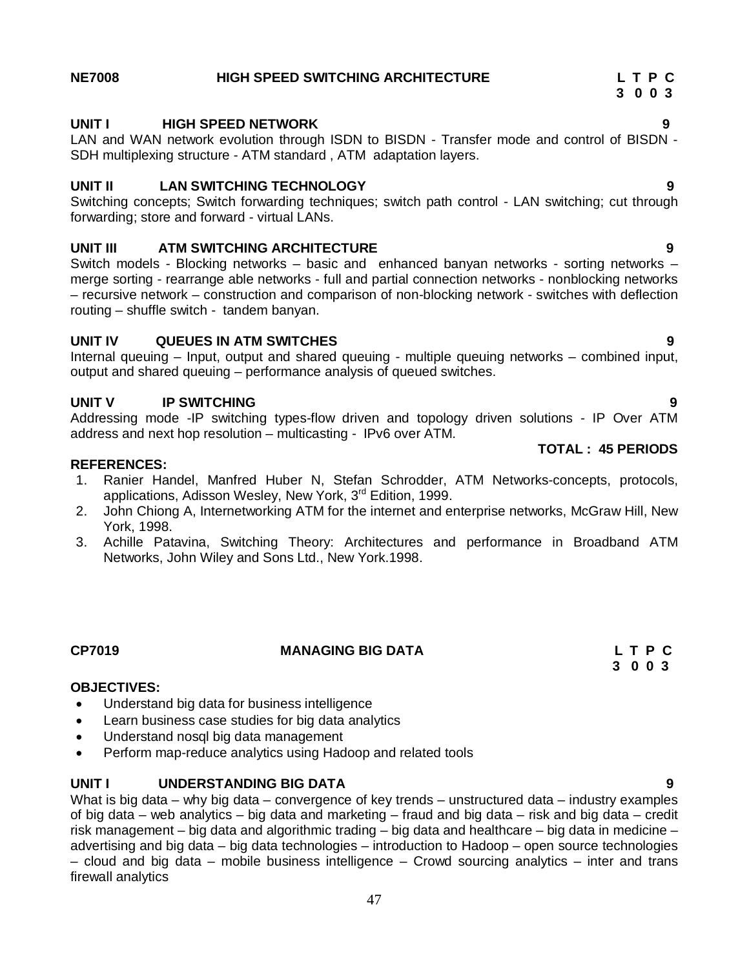### **NE7008 HIGH SPEED SWITCHING ARCHITECTURE L T P C**

### **UNIT I HIGH SPEED NETWORK 9**

LAN and WAN network evolution through ISDN to BISDN - Transfer mode and control of BISDN - SDH multiplexing structure - ATM standard , ATM adaptation layers.

#### **UNIT II LAN SWITCHING TECHNOLOGY 9**

Switching concepts; Switch forwarding techniques; switch path control - LAN switching; cut through forwarding; store and forward - virtual LANs.

#### **UNIT III ATM SWITCHING ARCHITECTURE 9**

Switch models - Blocking networks – basic and enhanced banyan networks - sorting networks – merge sorting - rearrange able networks - full and partial connection networks - nonblocking networks – recursive network – construction and comparison of non-blocking network - switches with deflection routing – shuffle switch - tandem banyan.

#### **UNIT IV QUEUES IN ATM SWITCHES 9**

Internal queuing – Input, output and shared queuing - multiple queuing networks – combined input, output and shared queuing – performance analysis of queued switches.

#### **UNIT V IP SWITCHING 9**

Addressing mode -IP switching types-flow driven and topology driven solutions - IP Over ATM address and next hop resolution – multicasting - IPv6 over ATM.

#### **REFERENCES:**

- 1. Ranier Handel, Manfred Huber N, Stefan Schrodder, ATM Networks-concepts, protocols, applications, Adisson Wesley, New York, 3<sup>rd</sup> Edition, 1999.
- 2. John Chiong A, Internetworking ATM for the internet and enterprise networks, McGraw Hill, New York, 1998.
- 3. Achille Patavina, Switching Theory: Architectures and performance in Broadband ATM Networks, John Wiley and Sons Ltd., New York.1998.

#### **OBJECTIVES:**

- Understand big data for business intelligence
- Learn business case studies for big data analytics
- Understand nosql big data management
- Perform map-reduce analytics using Hadoop and related tools

#### **UNIT I UNDERSTANDING BIG DATA 9**

What is big data – why big data – convergence of key trends – unstructured data – industry examples of big data – web analytics – big data and marketing – fraud and big data – risk and big data – credit risk management – big data and algorithmic trading – big data and healthcare – big data in medicine – advertising and big data – big data technologies – introduction to Hadoop – open source technologies – cloud and big data – mobile business intelligence – Crowd sourcing analytics – inter and trans firewall analytics

#### **TOTAL : 45 PERIODS**

#### **CP7019 MANAGING BIG DATA L T P C 3 0 0 3**

 **3 0 0 3**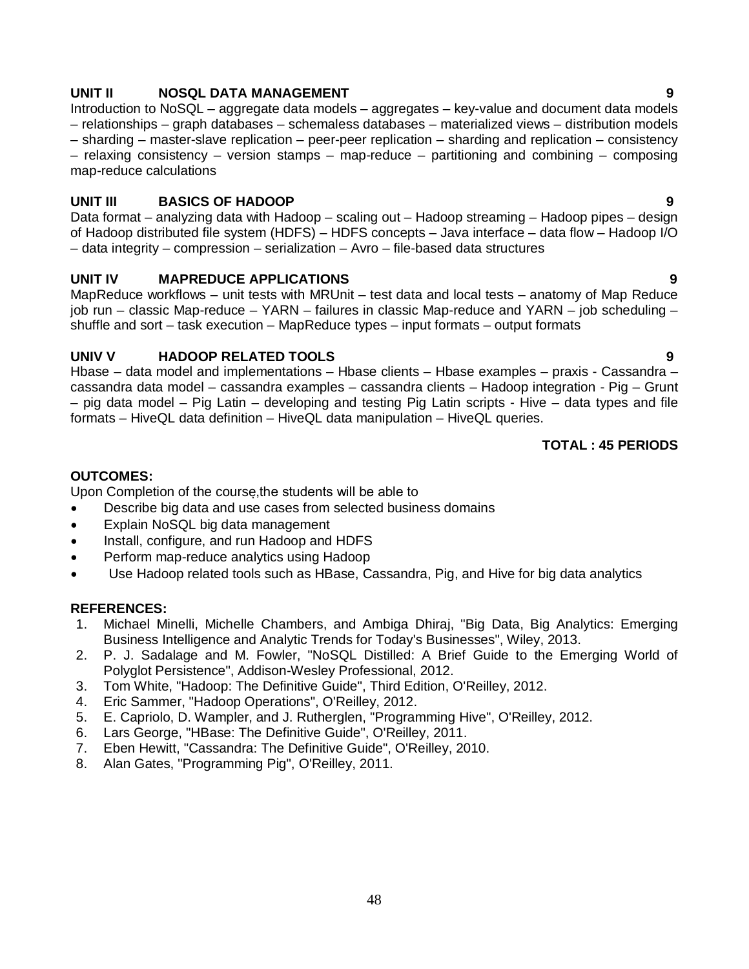#### **UNIT II NOSQL DATA MANAGEMENT 9**

Introduction to NoSQL – aggregate data models – aggregates – key-value and document data models – relationships – graph databases – schemaless databases – materialized views – distribution models – sharding – master-slave replication – peer-peer replication – sharding and replication – consistency – relaxing consistency – version stamps – map-reduce – partitioning and combining – composing map-reduce calculations

#### **UNIT III BASICS OF HADOOP 9**

Data format – analyzing data with Hadoop – scaling out – Hadoop streaming – Hadoop pipes – design of Hadoop distributed file system (HDFS) – HDFS concepts – Java interface – data flow – Hadoop I/O – data integrity – compression – serialization – Avro – file-based data structures

#### **UNIT IV MAPREDUCE APPLICATIONS 9**

MapReduce workflows – unit tests with MRUnit – test data and local tests – anatomy of Map Reduce job run – classic Map-reduce – YARN – failures in classic Map-reduce and YARN – job scheduling – shuffle and sort – task execution – MapReduce types – input formats – output formats

#### **UNIV V HADOOP RELATED TOOLS 9**

Hbase – data model and implementations – Hbase clients – Hbase examples – praxis - Cassandra – cassandra data model – cassandra examples – cassandra clients – Hadoop integration - Pig – Grunt – pig data model – Pig Latin – developing and testing Pig Latin scripts - Hive – data types and file formats – HiveQL data definition – HiveQL data manipulation – HiveQL queries.

#### **TOTAL : 45 PERIODS**

#### **OUTCOMES:**

Upon Completion of the course,the students will be able to

- Describe big data and use cases from selected business domains
- Explain NoSQL big data management
- Install, configure, and run Hadoop and HDFS
- Perform map-reduce analytics using Hadoop
- Use Hadoop related tools such as HBase, Cassandra, Pig, and Hive for big data analytics

#### **REFERENCES:**

- 1. Michael Minelli, Michelle Chambers, and Ambiga Dhiraj, "Big Data, Big Analytics: Emerging Business Intelligence and Analytic Trends for Today's Businesses", Wiley, 2013.
- 2. P. J. Sadalage and M. Fowler, "NoSQL Distilled: A Brief Guide to the Emerging World of Polyglot Persistence", Addison-Wesley Professional, 2012.
- 3. Tom White, "Hadoop: The Definitive Guide", Third Edition, O'Reilley, 2012.
- 4. Eric Sammer, "Hadoop Operations", O'Reilley, 2012.
- 5. E. Capriolo, D. Wampler, and J. Rutherglen, "Programming Hive", O'Reilley, 2012.
- 6. Lars George, "HBase: The Definitive Guide", O'Reilley, 2011.
- 7. Eben Hewitt, "Cassandra: The Definitive Guide", O'Reilley, 2010.
- 8. Alan Gates, "Programming Pig", O'Reilley, 2011.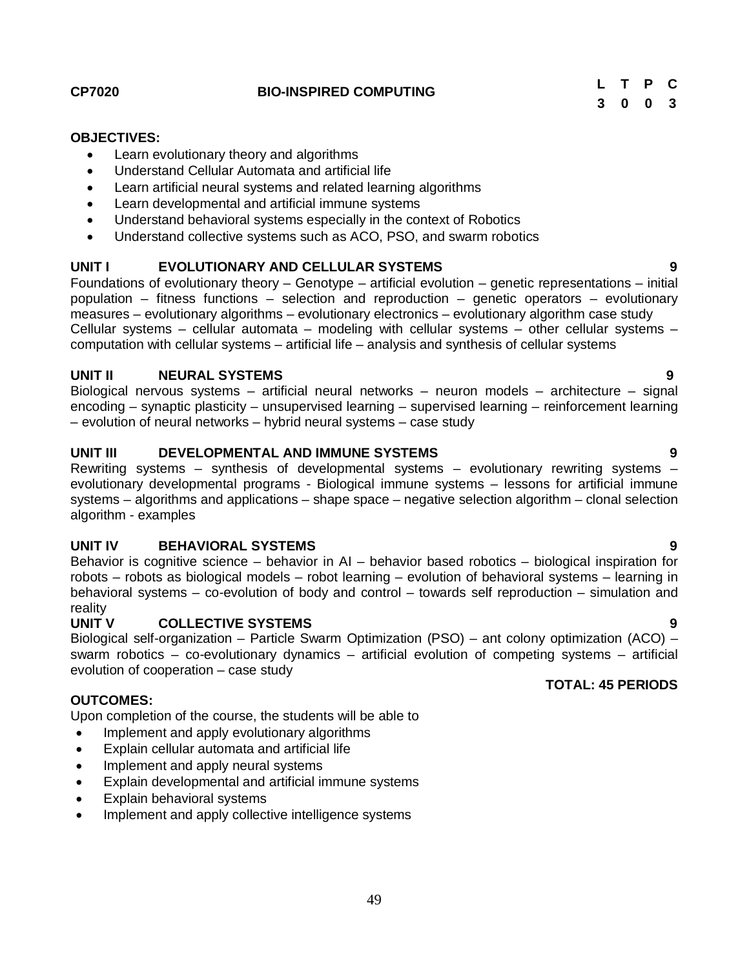Learn developmental and artificial immune systems

 Understand behavioral systems especially in the context of Robotics Understand collective systems such as ACO, PSO, and swarm robotics

Learn artificial neural systems and related learning algorithms

### **UNIT I EVOLUTIONARY AND CELLULAR SYSTEMS 9**

 Learn evolutionary theory and algorithms Understand Cellular Automata and artificial life

Foundations of evolutionary theory – Genotype – artificial evolution – genetic representations – initial population – fitness functions – selection and reproduction – genetic operators – evolutionary measures – evolutionary algorithms – evolutionary electronics – evolutionary algorithm case study Cellular systems – cellular automata – modeling with cellular systems – other cellular systems – computation with cellular systems – artificial life – analysis and synthesis of cellular systems

#### **UNIT II NEURAL SYSTEMS 9**

**OBJECTIVES:**

Biological nervous systems – artificial neural networks – neuron models – architecture – signal encoding – synaptic plasticity – unsupervised learning – supervised learning – reinforcement learning – evolution of neural networks – hybrid neural systems – case study

#### **UNIT III DEVELOPMENTAL AND IMMUNE SYSTEMS 9**

Rewriting systems – synthesis of developmental systems – evolutionary rewriting systems – evolutionary developmental programs - Biological immune systems – lessons for artificial immune systems – algorithms and applications – shape space – negative selection algorithm – clonal selection algorithm - examples

#### **UNIT IV BEHAVIORAL SYSTEMS 9**

Behavior is cognitive science – behavior in AI – behavior based robotics – biological inspiration for robots – robots as biological models – robot learning – evolution of behavioral systems – learning in behavioral systems – co-evolution of body and control – towards self reproduction – simulation and reality

#### **UNIT V COLLECTIVE SYSTEMS 9**

Biological self-organization – Particle Swarm Optimization (PSO) – ant colony optimization (ACO) – swarm robotics – co-evolutionary dynamics – artificial evolution of competing systems – artificial evolution of cooperation – case study

#### **OUTCOMES:**

Upon completion of the course, the students will be able to

- Implement and apply evolutionary algorithms
- Explain cellular automata and artificial life
- Implement and apply neural systems
- Explain developmental and artificial immune systems
- Explain behavioral systems
- Implement and apply collective intelligence systems

#### **CP7020 BIO-INSPIRED COMPUTING**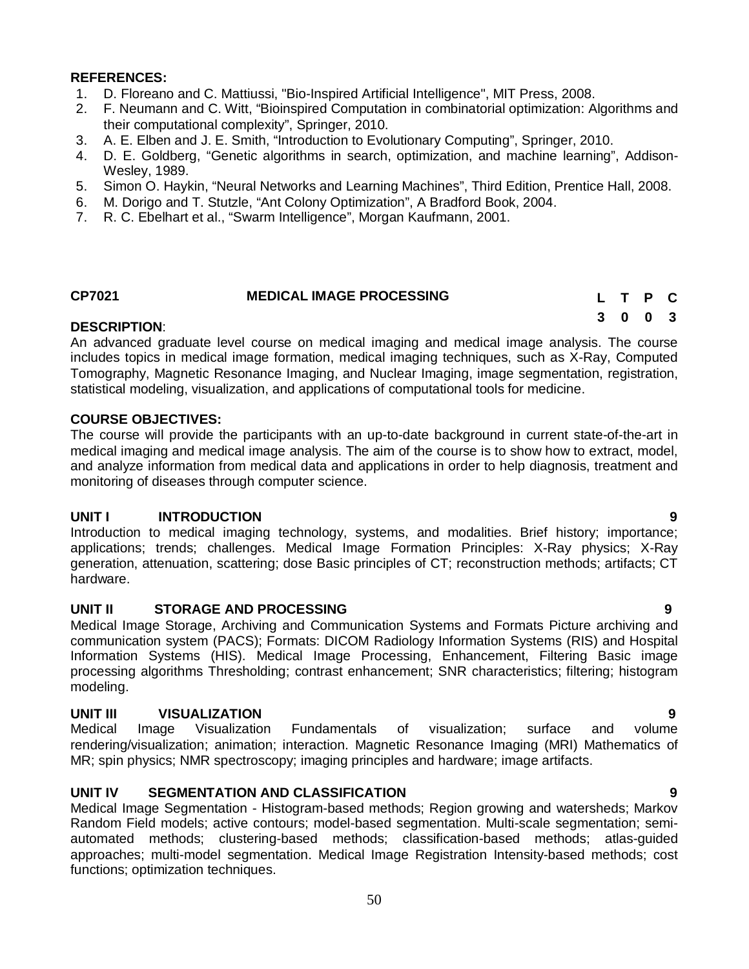#### **REFERENCES:**

- 1. D. Floreano and C. Mattiussi, "Bio-Inspired Artificial Intelligence", MIT Press, 2008.
- 2. F. Neumann and C. Witt, "Bioinspired Computation in combinatorial optimization: Algorithms and their computational complexity", Springer, 2010.
- 3. A. E. Elben and J. E. Smith, "Introduction to Evolutionary Computing", Springer, 2010.
- 4. D. E. Goldberg, "Genetic algorithms in search, optimization, and machine learning", Addison-Wesley, 1989.
- 5. Simon O. Haykin, "Neural Networks and Learning Machines", Third Edition, Prentice Hall, 2008.
- 6. M. Dorigo and T. Stutzle, "Ant Colony Optimization", A Bradford Book, 2004.
- 7. R. C. Ebelhart et al., "Swarm Intelligence", Morgan Kaufmann, 2001.

#### **CP7021 MEDICAL IMAGE PROCESSING**

**DESCRIPTION**:

An advanced graduate level course on medical imaging and medical image analysis. The course includes topics in medical image formation, medical imaging techniques, such as X-Ray, Computed Tomography, Magnetic Resonance Imaging, and Nuclear Imaging, image segmentation, registration, statistical modeling, visualization, and applications of computational tools for medicine.

#### **COURSE OBJECTIVES:**

The course will provide the participants with an up-to-date background in current state-of-the-art in medical imaging and medical image analysis. The aim of the course is to show how to extract, model, and analyze information from medical data and applications in order to help diagnosis, treatment and monitoring of diseases through computer science.

#### **UNIT I INTRODUCTION 9**

Introduction to medical imaging technology, systems, and modalities. Brief history; importance; applications; trends; challenges. Medical Image Formation Principles: X-Ray physics; X-Ray generation, attenuation, scattering; dose Basic principles of CT; reconstruction methods; artifacts; CT hardware.

#### **UNIT II STORAGE AND PROCESSING 9**

Medical Image Storage, Archiving and Communication Systems and Formats Picture archiving and communication system (PACS); Formats: DICOM Radiology Information Systems (RIS) and Hospital Information Systems (HIS). Medical Image Processing, Enhancement, Filtering Basic image processing algorithms Thresholding; contrast enhancement; SNR characteristics; filtering; histogram modeling.

#### **UNIT III VISUALIZATION 9**

Medical Image Visualization Fundamentals of visualization; surface and volume rendering/visualization; animation; interaction. Magnetic Resonance Imaging (MRI) Mathematics of MR; spin physics; NMR spectroscopy; imaging principles and hardware; image artifacts.

#### **UNIT IV SEGMENTATION AND CLASSIFICATION 9**

Medical Image Segmentation - Histogram-based methods; Region growing and watersheds; Markov Random Field models; active contours; model-based segmentation. Multi-scale segmentation; semiautomated methods; clustering-based methods; classification-based methods; atlas-guided approaches; multi-model segmentation. Medical Image Registration Intensity-based methods; cost functions; optimization techniques.

**L T P C 3 0 0 3**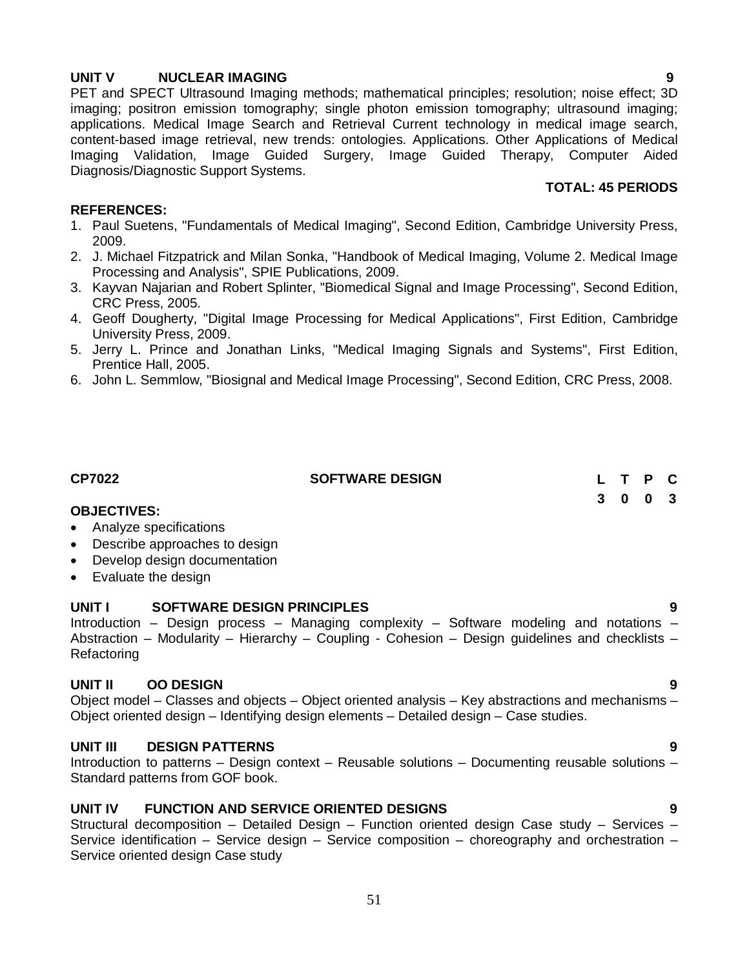# **UNIT V NUCLEAR IMAGING 9**

PET and SPECT Ultrasound Imaging methods; mathematical principles; resolution; noise effect; 3D imaging; positron emission tomography; single photon emission tomography; ultrasound imaging; applications. Medical Image Search and Retrieval Current technology in medical image search, content-based image retrieval, new trends: ontologies. Applications. Other Applications of Medical Imaging Validation, Image Guided Surgery, Image Guided Therapy, Computer Aided Diagnosis/Diagnostic Support Systems. 

#### **TOTAL: 45 PERIODS**

#### **REFERENCES:**

- 1. Paul Suetens, "Fundamentals of Medical Imaging", Second Edition, Cambridge University Press, 2009.
- 2. J. Michael Fitzpatrick and Milan Sonka, "Handbook of Medical Imaging, Volume 2. Medical Image Processing and Analysis", SPIE Publications, 2009.
- 3. Kayvan Najarian and Robert Splinter, "Biomedical Signal and Image Processing", Second Edition, CRC Press, 2005.
- 4. Geoff Dougherty, "Digital Image Processing for Medical Applications", First Edition, Cambridge University Press, 2009.
- 5. Jerry L. Prince and Jonathan Links, "Medical Imaging Signals and Systems", First Edition, Prentice Hall, 2005.
- 6. John L. Semmlow, "Biosignal and Medical Image Processing", Second Edition, CRC Press, 2008.

**CP7022 SOFTWARE DESIGN**

#### **OBJECTIVES:**

- Analyze specifications
- Describe approaches to design
- Develop design documentation
- Evaluate the design

#### **UNIT I SOFTWARE DESIGN PRINCIPLES 9**

Introduction – Design process – Managing complexity – Software modeling and notations – Abstraction – Modularity – Hierarchy – Coupling - Cohesion – Design guidelines and checklists – **Refactoring** 

#### **UNIT II OO DESIGN 9**

Object model – Classes and objects – Object oriented analysis – Key abstractions and mechanisms – Object oriented design – Identifying design elements – Detailed design – Case studies.

#### **UNIT III DESIGN PATTERNS 9**

Introduction to patterns – Design context – Reusable solutions – Documenting reusable solutions – Standard patterns from GOF book.

#### **UNIT IV FUNCTION AND SERVICE ORIENTED DESIGNS 9**

Structural decomposition – Detailed Design – Function oriented design Case study – Services – Service identification – Service design – Service composition – choreography and orchestration – Service oriented design Case study

**L T P C 3 0 0 3**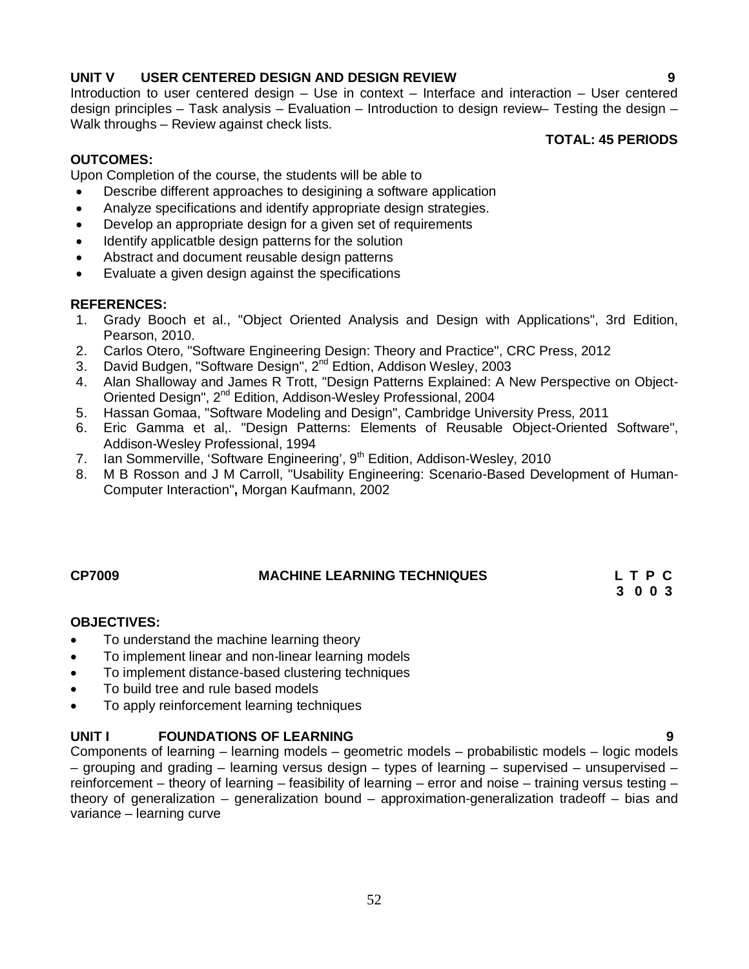#### **UNIT V USER CENTERED DESIGN AND DESIGN REVIEW 9**

Introduction to user centered design – Use in context – Interface and interaction – User centered design principles – Task analysis – Evaluation – Introduction to design review– Testing the design – Walk throughs – Review against check lists.

#### **TOTAL: 45 PERIODS**

#### **OUTCOMES:**

Upon Completion of the course, the students will be able to

- Describe different approaches to desigining a software application
- Analyze specifications and identify appropriate design strategies.
- Develop an appropriate design for a given set of requirements
- Identify applicatble design patterns for the solution
- Abstract and document reusable design patterns
- Evaluate a given design against the specifications

#### **REFERENCES:**

- 1. Grady Booch et al., "Object Oriented Analysis and Design with Applications", 3rd Edition, Pearson, 2010.
- 2. Carlos Otero, "Software Engineering Design: Theory and Practice", CRC Press, 2012
- 3. David Budgen, "Software Design", 2nd Edtion, Addison Wesley, 2003
- 4. Alan Shalloway and James R Trott, "Design Patterns Explained: A New Perspective on Object-Oriented Design", 2nd Edition, Addison-Wesley Professional, 2004
- 5. Hassan Gomaa, "Software Modeling and Design", Cambridge University Press, 2011
- 6. Eric Gamma et al,. "Design Patterns: Elements of Reusable Object-Oriented Software", Addison-Wesley Professional, 1994
- 7. Ian Sommerville, 'Software Engineering', 9<sup>th</sup> Edition, Addison-Wesley, 2010
- 8. M B Rosson and J M Carroll, "Usability Engineering: Scenario-Based Development of Human-Computer Interaction"**,** Morgan Kaufmann, 2002

# **CP7009 MACHINE LEARNING TECHNIQUES L T P C**

 **3 0 0 3**

#### **OBJECTIVES:**

- To understand the machine learning theory
- To implement linear and non-linear learning models
- To implement distance-based clustering techniques
- To build tree and rule based models
- To apply reinforcement learning techniques

#### **UNIT I FOUNDATIONS OF LEARNING 9**

Components of learning – learning models – geometric models – probabilistic models – logic models – grouping and grading – learning versus design – types of learning – supervised – unsupervised – reinforcement – theory of learning – feasibility of learning – error and noise – training versus testing – theory of generalization – generalization bound – approximation-generalization tradeoff – bias and variance – learning curve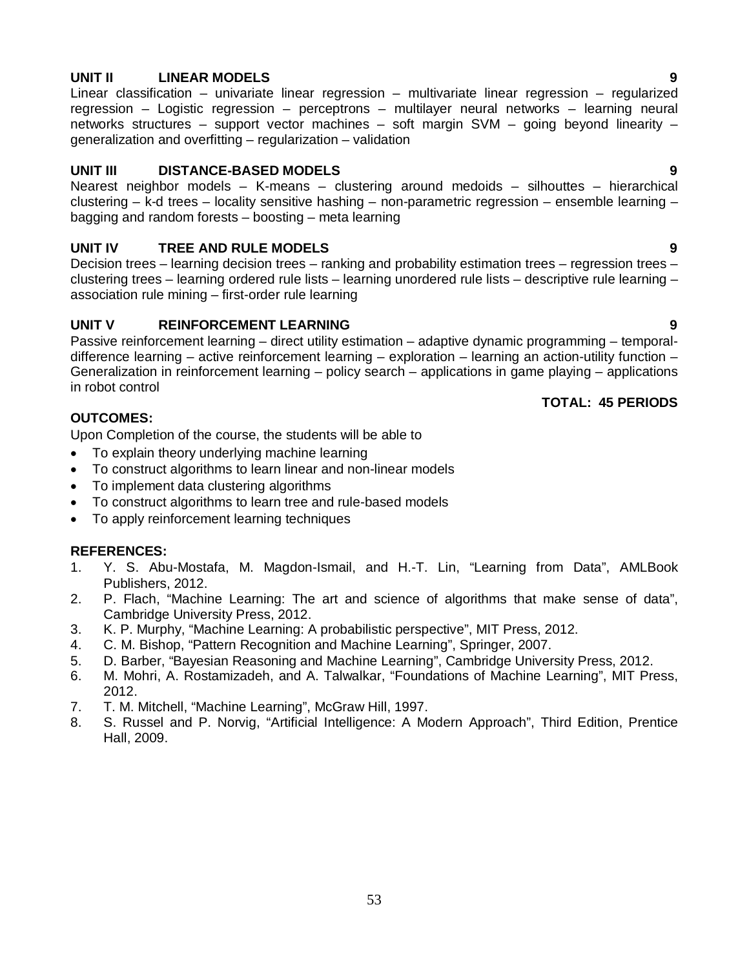#### **UNIT II LINEAR MODELS 9**

Linear classification – univariate linear regression – multivariate linear regression – regularized regression – Logistic regression – perceptrons – multilayer neural networks – learning neural networks structures – support vector machines – soft margin SVM – going beyond linearity – generalization and overfitting – regularization – validation

### **UNIT III DISTANCE-BASED MODELS 9**

Nearest neighbor models – K-means – clustering around medoids – silhouttes – hierarchical clustering – k-d trees – locality sensitive hashing – non-parametric regression – ensemble learning – bagging and random forests – boosting – meta learning

#### **UNIT IV TREE AND RULE MODELS 9**

Decision trees – learning decision trees – ranking and probability estimation trees – regression trees – clustering trees – learning ordered rule lists – learning unordered rule lists – descriptive rule learning – association rule mining – first-order rule learning

### **UNIT V REINFORCEMENT LEARNING 9**

Passive reinforcement learning – direct utility estimation – adaptive dynamic programming – temporaldifference learning – active reinforcement learning – exploration – learning an action-utility function – Generalization in reinforcement learning – policy search – applications in game playing – applications in robot control

#### **OUTCOMES:**

Upon Completion of the course, the students will be able to

- To explain theory underlying machine learning
- To construct algorithms to learn linear and non-linear models
- To implement data clustering algorithms
- To construct algorithms to learn tree and rule-based models
- To apply reinforcement learning techniques

### **REFERENCES:**

- 1. Y. S. Abu-Mostafa, M. Magdon-Ismail, and H.-T. Lin, "Learning from Data", AMLBook Publishers, 2012.
- 2. P. Flach, "Machine Learning: The art and science of algorithms that make sense of data", Cambridge University Press, 2012.
- 3. K. P. Murphy, "Machine Learning: A probabilistic perspective", MIT Press, 2012.
- 4. C. M. Bishop, "Pattern Recognition and Machine Learning", Springer, 2007.
- 5. D. Barber, "Bayesian Reasoning and Machine Learning", Cambridge University Press, 2012.
- 6. M. Mohri, A. Rostamizadeh, and A. Talwalkar, "Foundations of Machine Learning", MIT Press, 2012.
- 7. T. M. Mitchell, "Machine Learning", McGraw Hill, 1997.
- 8. S. Russel and P. Norvig, "Artificial Intelligence: A Modern Approach", Third Edition, Prentice Hall, 2009.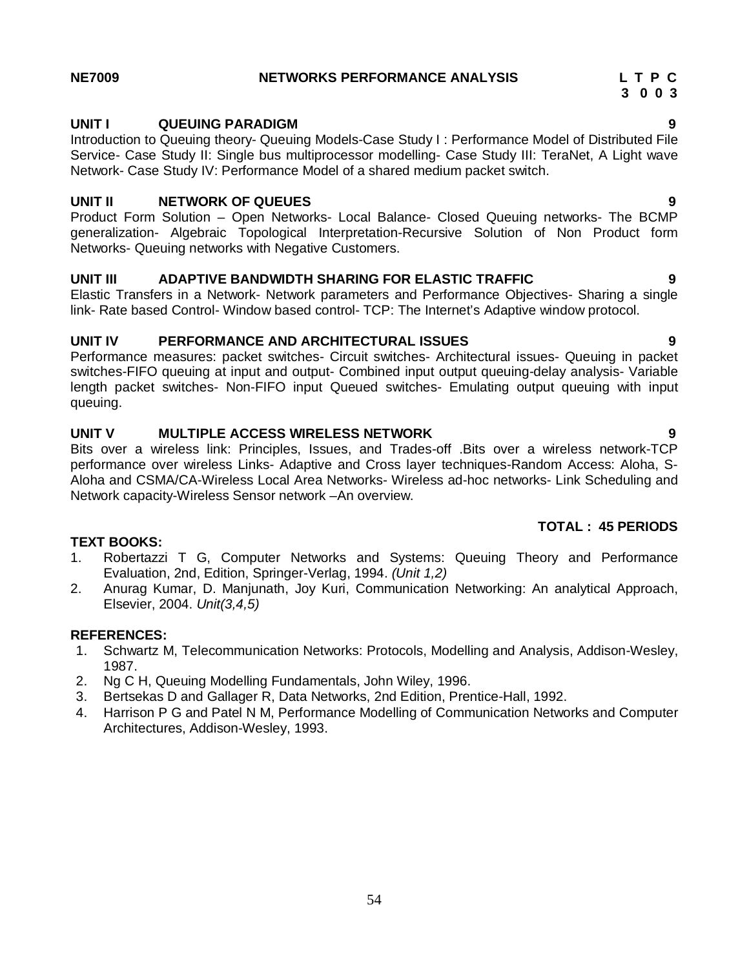#### **NE7009 NETWORKS PERFORMANCE ANALYSIS L T P C**

#### **UNIT I QUEUING PARADIGM 9**

Introduction to Queuing theory- Queuing Models-Case Study I : Performance Model of Distributed File Service- Case Study II: Single bus multiprocessor modelling- Case Study III: TeraNet, A Light wave Network- Case Study IV: Performance Model of a shared medium packet switch.

#### **UNIT II NETWORK OF QUEUES 9**

Product Form Solution – Open Networks- Local Balance- Closed Queuing networks- The BCMP generalization- Algebraic Topological Interpretation-Recursive Solution of Non Product form Networks- Queuing networks with Negative Customers.

#### **UNIT III ADAPTIVE BANDWIDTH SHARING FOR ELASTIC TRAFFIC 9**

Elastic Transfers in a Network- Network parameters and Performance Objectives- Sharing a single link- Rate based Control- Window based control- TCP: The Internet's Adaptive window protocol.

#### **UNIT IV PERFORMANCE AND ARCHITECTURAL ISSUES 9**

Performance measures: packet switches- Circuit switches- Architectural issues- Queuing in packet switches-FIFO queuing at input and output- Combined input output queuing-delay analysis- Variable length packet switches- Non-FIFO input Queued switches- Emulating output queuing with input queuing.

#### **UNIT V MULTIPLE ACCESS WIRELESS NETWORK 9**

Bits over a wireless link: Principles, Issues, and Trades-off .Bits over a wireless network-TCP performance over wireless Links- Adaptive and Cross layer techniques-Random Access: Aloha, S-Aloha and CSMA/CA-Wireless Local Area Networks- Wireless ad-hoc networks- Link Scheduling and Network capacity-Wireless Sensor network –An overview.

### **TOTAL : 45 PERIODS**

### **TEXT BOOKS:**

- 1. Robertazzi T G, Computer Networks and Systems: Queuing Theory and Performance Evaluation, 2nd, Edition, Springer-Verlag, 1994. *(Unit 1,2)*
- 2. Anurag Kumar, D. Manjunath, Joy Kuri, Communication Networking: An analytical Approach, Elsevier, 2004. *Unit(3,4,5)*

### **REFERENCES:**

- 1. Schwartz M, Telecommunication Networks: Protocols, Modelling and Analysis, Addison-Wesley, 1987.
- 2. Ng C H, Queuing Modelling Fundamentals, John Wiley, 1996.
- 3. Bertsekas D and Gallager R, Data Networks, 2nd Edition, Prentice-Hall, 1992.
- 4. Harrison P G and Patel N M, Performance Modelling of Communication Networks and Computer Architectures, Addison-Wesley, 1993.

 **3 0 0 3**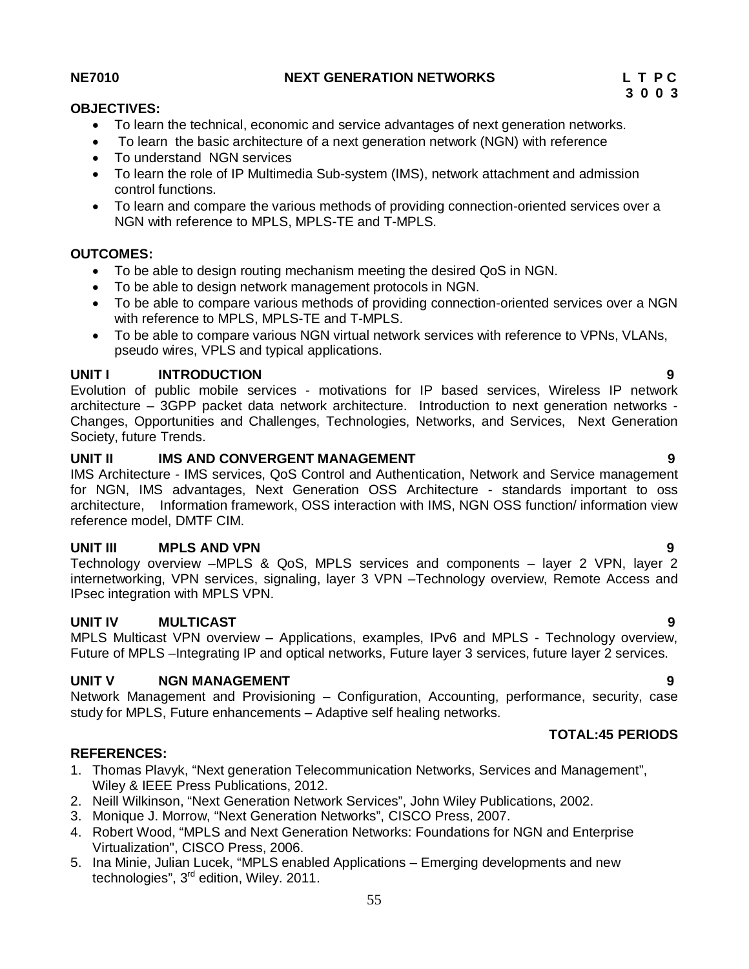#### **NE7010 NEXT GENERATION NETWORKS L T P C**

#### **OBJECTIVES:**

- To learn the technical, economic and service advantages of next generation networks.
- To learn the basic architecture of a next generation network (NGN) with reference
- To understand NGN services
- To learn the role of IP Multimedia Sub-system (IMS), network attachment and admission control functions.
- To learn and compare the various methods of providing connection-oriented services over a NGN with reference to MPLS, MPLS-TE and T-MPLS.

#### **OUTCOMES:**

- To be able to design routing mechanism meeting the desired QoS in NGN.
- To be able to design network management protocols in NGN.
- To be able to compare various methods of providing connection-oriented services over a NGN with reference to MPLS, MPLS-TE and T-MPLS.
- To be able to compare various NGN virtual network services with reference to VPNs, VLANs, pseudo wires, VPLS and typical applications.

#### **UNIT I INTRODUCTION 9**

Evolution of public mobile services - motivations for IP based services, Wireless IP network architecture – 3GPP packet data network architecture. Introduction to next generation networks - Changes, Opportunities and Challenges, Technologies, Networks, and Services, Next Generation Society, future Trends.

#### **UNIT II IMS AND CONVERGENT MANAGEMENT 9**

IMS Architecture - IMS services, QoS Control and Authentication, Network and Service management for NGN, IMS advantages, Next Generation OSS Architecture - standards important to oss architecture, Information framework, OSS interaction with IMS, NGN OSS function/ information view reference model, DMTF CIM.

#### **UNIT III MPLS AND VPN 9**

Technology overview –MPLS & QoS, MPLS services and components – layer 2 VPN, layer 2 internetworking, VPN services, signaling, layer 3 VPN –Technology overview, Remote Access and IPsec integration with MPLS VPN.

#### **UNIT IV MULTICAST 9**

MPLS Multicast VPN overview – Applications, examples, IPv6 and MPLS - Technology overview, Future of MPLS –Integrating IP and optical networks, Future layer 3 services, future layer 2 services.

#### **UNIT V NGN MANAGEMENT 9**

Network Management and Provisioning – Configuration, Accounting, performance, security, case study for MPLS, Future enhancements – Adaptive self healing networks. 

#### **TOTAL:45 PERIODS**

#### **REFERENCES:**

- 1. Thomas Plavyk, "Next generation Telecommunication Networks, Services and Management", Wiley & IEEE Press Publications, 2012.
- 2. Neill Wilkinson, "Next Generation Network Services", John Wiley Publications, 2002.
- 3. Monique J. Morrow, "Next Generation Networks", CISCO Press, 2007.
- 4. Robert Wood, "MPLS and Next Generation Networks: Foundations for NGN and Enterprise Virtualization", CISCO Press, 2006.
- 5. Ina Minie, Julian Lucek, "MPLS enabled Applications Emerging developments and new technologies", 3<sup>rd</sup> edition, Wiley. 2011.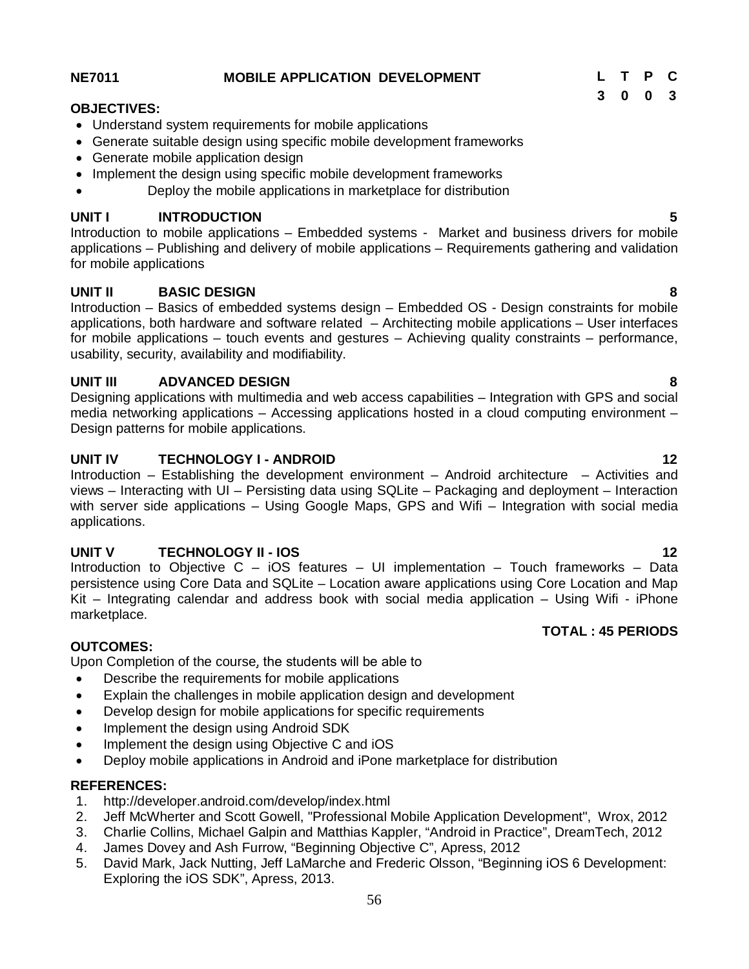# **NE7011 MOBILE APPLICATION DEVELOPMENT**

# **OBJECTIVES:**

- Understand system requirements for mobile applications
- Generate suitable design using specific mobile development frameworks
- Generate mobile application design
- Implement the design using specific mobile development frameworks
- Deploy the mobile applications in marketplace for distribution

# **UNIT I INTRODUCTION 5**

Introduction to mobile applications – Embedded systems - Market and business drivers for mobile applications – Publishing and delivery of mobile applications – Requirements gathering and validation for mobile applications

# **UNIT II BASIC DESIGN 8**

Introduction – Basics of embedded systems design – Embedded OS - Design constraints for mobile applications, both hardware and software related – Architecting mobile applications – User interfaces for mobile applications – touch events and gestures – Achieving quality constraints – performance, usability, security, availability and modifiability.

# **UNIT III ADVANCED DESIGN 8**

Designing applications with multimedia and web access capabilities – Integration with GPS and social media networking applications – Accessing applications hosted in a cloud computing environment – Design patterns for mobile applications.

# **UNIT IV TECHNOLOGY I - ANDROID 12**

Introduction – Establishing the development environment – Android architecture – Activities and views – Interacting with UI – Persisting data using SQLite – Packaging and deployment – Interaction with server side applications – Using Google Maps, GPS and Wifi – Integration with social media applications.

# **UNIT V TECHNOLOGY II - IOS 12**

Introduction to Objective C – iOS features – UI implementation – Touch frameworks – Data persistence using Core Data and SQLite – Location aware applications using Core Location and Map Kit – Integrating calendar and address book with social media application – Using Wifi - iPhone marketplace. **TOTAL : 45 PERIODS**

# **OUTCOMES:**

Upon Completion of the course, the students will be able to

- Describe the requirements for mobile applications
- Explain the challenges in mobile application design and development
- Develop design for mobile applications for specific requirements
- Implement the design using Android SDK
- Implement the design using Objective C and iOS
- Deploy mobile applications in Android and iPone marketplace for distribution

# **REFERENCES:**

- 1. http://developer.android.com/develop/index.html
- 2. Jeff McWherter and Scott Gowell, "Professional Mobile Application Development", Wrox, 2012
- 3. Charlie Collins, Michael Galpin and Matthias Kappler, "Android in Practice", DreamTech, 2012
- 4. James Dovey and Ash Furrow, "Beginning Objective C", Apress, 2012
- 5. David Mark, Jack Nutting, Jeff LaMarche and Frederic Olsson, "Beginning iOS 6 Development: Exploring the iOS SDK", Apress, 2013.

**L T P C 3 0 0 3**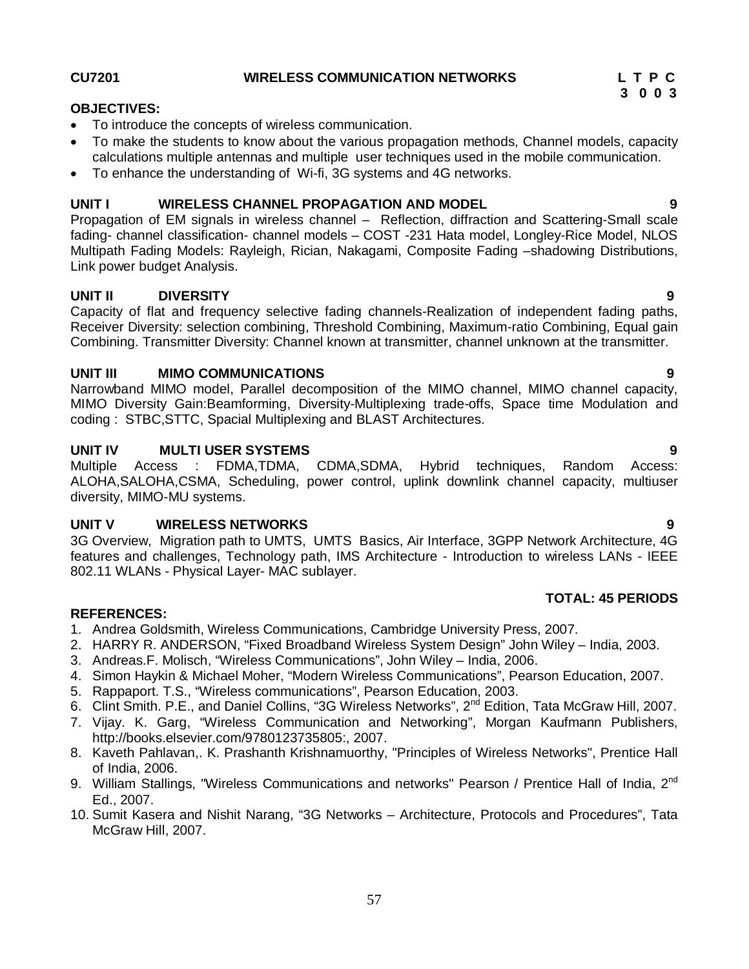#### **CU7201 WIRELESS COMMUNICATION NETWORKS L T P C**

#### **OBJECTIVES:**

- To introduce the concepts of wireless communication.
- To make the students to know about the various propagation methods, Channel models, capacity calculations multiple antennas and multiple user techniques used in the mobile communication.
- To enhance the understanding of Wi-fi, 3G systems and 4G networks.

#### **UNIT I WIRELESS CHANNEL PROPAGATION AND MODEL 9**

Propagation of EM signals in wireless channel – Reflection, diffraction and Scattering-Small scale fading- channel classification- channel models – COST -231 Hata model, Longley-Rice Model, NLOS Multipath Fading Models: Rayleigh, Rician, Nakagami, Composite Fading –shadowing Distributions, Link power budget Analysis.

#### **UNIT II DIVERSITY 9**

Capacity of flat and frequency selective fading channels-Realization of independent fading paths, Receiver Diversity: selection combining, Threshold Combining, Maximum-ratio Combining, Equal gain Combining. Transmitter Diversity: Channel known at transmitter, channel unknown at the transmitter.

### **UNIT III MIMO COMMUNICATIONS 9**

Narrowband MIMO model, Parallel decomposition of the MIMO channel, MIMO channel capacity, MIMO Diversity Gain:Beamforming, Diversity-Multiplexing trade-offs, Space time Modulation and coding : STBC,STTC, Spacial Multiplexing and BLAST Architectures.

#### **UNIT IV MULTI USER SYSTEMS 9**

Multiple Access : FDMA,TDMA, CDMA,SDMA, Hybrid techniques, Random Access: ALOHA,SALOHA,CSMA, Scheduling, power control, uplink downlink channel capacity, multiuser diversity, MIMO-MU systems.

### **UNIT V WIRELESS NETWORKS 9**

3G Overview, Migration path to UMTS, UMTS Basics, Air Interface, 3GPP Network Architecture, 4G features and challenges, Technology path, IMS Architecture - Introduction to wireless LANs - IEEE 802.11 WLANs - Physical Layer- MAC sublayer.

### **TOTAL: 45 PERIODS**

### **REFERENCES:**

- 1. Andrea Goldsmith, Wireless Communications, Cambridge University Press, 2007.
- 2. HARRY R. ANDERSON, "Fixed Broadband Wireless System Design" John Wiley India, 2003.
- 3. Andreas.F. Molisch, "Wireless Communications", John Wiley India, 2006.
- 4. Simon Haykin & Michael Moher, "Modern Wireless Communications", Pearson Education, 2007.
- 5. Rappaport. T.S., "Wireless communications", Pearson Education, 2003.
- 6. Clint Smith. P.E., and Daniel Collins, "3G Wireless Networks", 2nd Edition, Tata McGraw Hill, 2007.
- 7. Vijay. K. Garg, "Wireless Communication and Networking", Morgan Kaufmann Publishers, http://books.elsevier.com/9780123735805:, 2007.
- 8. Kaveth Pahlavan,. K. Prashanth Krishnamuorthy, "Principles of Wireless Networks", Prentice Hall of India, 2006.
- 9. William Stallings, "Wireless Communications and networks" Pearson / Prentice Hall of India,  $2^{nd}$ Ed., 2007.
- 10. Sumit Kasera and Nishit Narang, "3G Networks Architecture, Protocols and Procedures", Tata McGraw Hill, 2007.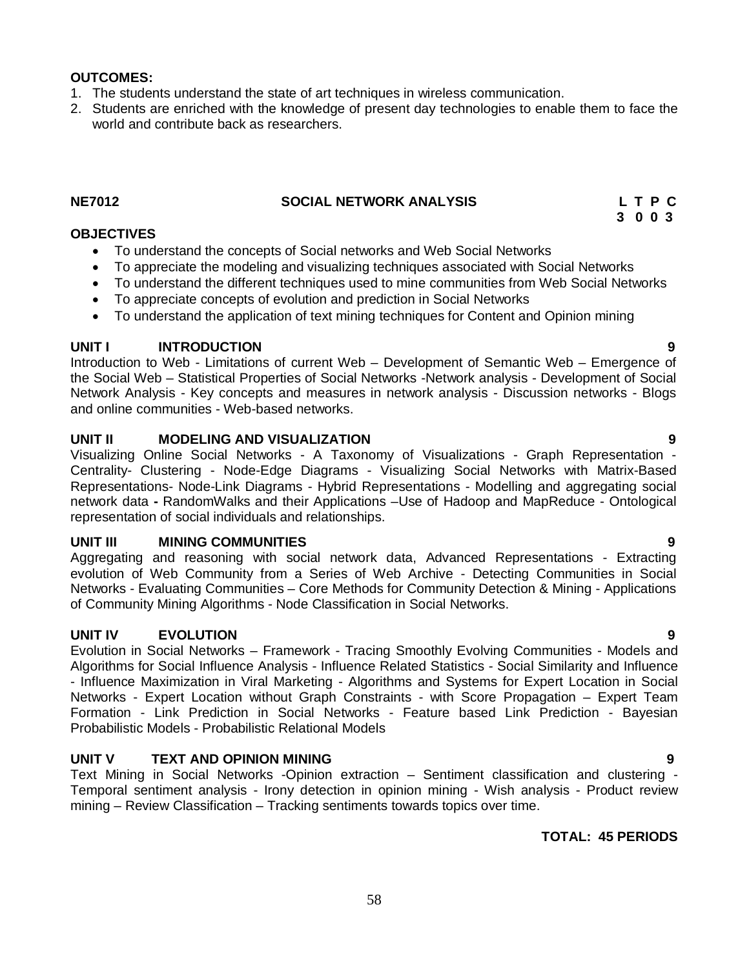#### **OUTCOMES:**

- 1. The students understand the state of art techniques in wireless communication.
- 2. Students are enriched with the knowledge of present day technologies to enable them to face the world and contribute back as researchers.

# **NE7012 SOCIAL NETWORK ANALYSIS L T P C**

**OBJECTIVES**

- To understand the concepts of Social networks and Web Social Networks
- To appreciate the modeling and visualizing techniques associated with Social Networks
- To understand the different techniques used to mine communities from Web Social Networks
- To appreciate concepts of evolution and prediction in Social Networks
- To understand the application of text mining techniques for Content and Opinion mining

#### **UNIT I INTRODUCTION 9**

Introduction to Web - Limitations of current Web – Development of Semantic Web – Emergence of the Social Web – Statistical Properties of Social Networks -Network analysis - Development of Social Network Analysis - Key concepts and measures in network analysis - Discussion networks - Blogs and online communities - Web-based networks.

#### **UNIT II MODELING AND VISUALIZATION 9**

Visualizing Online Social Networks - A Taxonomy of Visualizations - Graph Representation - Centrality- Clustering - Node-Edge Diagrams - Visualizing Social Networks with Matrix-Based Representations- Node-Link Diagrams - Hybrid Representations - Modelling and aggregating social network data **-** RandomWalks and their Applications –Use of Hadoop and MapReduce - Ontological representation of social individuals and relationships.

#### **UNIT III MINING COMMUNITIES 9**

Aggregating and reasoning with social network data, Advanced Representations - Extracting evolution of Web Community from a Series of Web Archive - Detecting Communities in Social Networks - Evaluating Communities – Core Methods for Community Detection & Mining - Applications of Community Mining Algorithms - Node Classification in Social Networks.

#### **UNIT IV EVOLUTION 9**

Evolution in Social Networks – Framework - Tracing Smoothly Evolving Communities - Models and Algorithms for Social Influence Analysis - Influence Related Statistics - Social Similarity and Influence - Influence Maximization in Viral Marketing - Algorithms and Systems for Expert Location in Social Networks - Expert Location without Graph Constraints - with Score Propagation – Expert Team Formation - Link Prediction in Social Networks - Feature based Link Prediction - Bayesian Probabilistic Models - Probabilistic Relational Models

#### **UNIT V TEXT AND OPINION MINING 9**

Text Mining in Social Networks -Opinion extraction – Sentiment classification and clustering - Temporal sentiment analysis - Irony detection in opinion mining - Wish analysis - Product review mining – Review Classification – Tracking sentiments towards topics over time.

#### **TOTAL: 45 PERIODS**

 **3 0 0 3**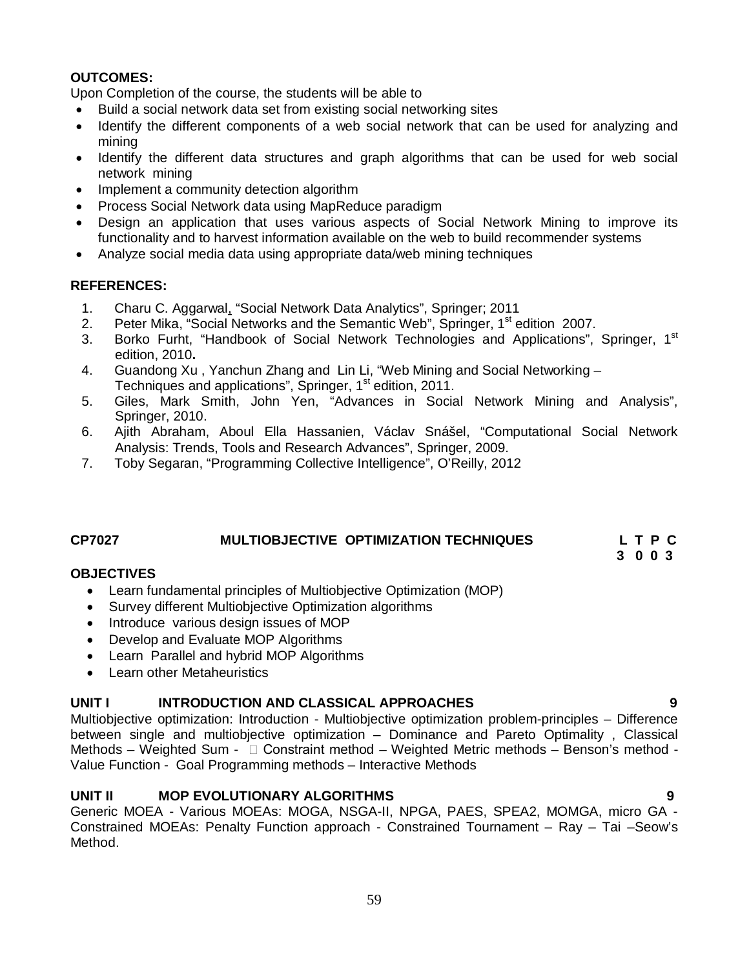#### **OUTCOMES:**

Upon Completion of the course, the students will be able to

- Build a social network data set from existing social networking sites
- Identify the different components of a web social network that can be used for analyzing and mining
- Identify the different data structures and graph algorithms that can be used for web social network mining
- Implement a community detection algorithm
- Process Social Network data using MapReduce paradigm
- Design an application that uses various aspects of Social Network Mining to improve its functionality and to harvest information available on the web to build recommender systems
- Analyze social media data using appropriate data/web mining techniques

#### **REFERENCES:**

- 1. Charu C. Aggarwal, "Social Network Data Analytics", Springer; 2011
- 2. Peter Mika, "Social Networks and the Semantic Web", Springer, 1<sup>st</sup> edition 2007.
- 3. Borko Furht, "Handbook of Social Network Technologies and Applications", Springer, 1<sup>st</sup> edition, 2010**.**
- 4. Guandong Xu , Yanchun Zhang and Lin Li, "Web Mining and Social Networking Techniques and applications", Springer, 1<sup>st</sup> edition, 2011.
- 5. Giles, Mark Smith, John Yen, "Advances in Social Network Mining and Analysis", Springer, 2010.
- 6. Ajith Abraham, Aboul Ella Hassanien, Václav Snášel, "Computational Social Network Analysis: Trends, Tools and Research Advances", Springer, 2009.
- 7. Toby Segaran, "Programming Collective Intelligence", O'Reilly, 2012

### **CP7027 MULTIOBJECTIVE OPTIMIZATION TECHNIQUES L T P C**

#### **OBJECTIVES**

- Learn fundamental principles of Multiobjective Optimization (MOP)
- Survey different Multiobjective Optimization algorithms
- Introduce various design issues of MOP
- Develop and Evaluate MOP Algorithms
- Learn Parallel and hybrid MOP Algorithms
- Learn other Metaheuristics

#### **UNIT I INTRODUCTION AND CLASSICAL APPROACHES 9**

Multiobjective optimization: Introduction - Multiobjective optimization problem-principles – Difference between single and multiobjective optimization – Dominance and Pareto Optimality , Classical Methods – Weighted Sum -  $\Box$  Constraint method – Weighted Metric methods – Benson's method -Value Function - Goal Programming methods – Interactive Methods

#### **UNIT II MOP EVOLUTIONARY ALGORITHMS 9**

Generic MOEA - Various MOEAs: MOGA, NSGA-II, NPGA, PAES, SPEA2, MOMGA, micro GA - Constrained MOEAs: Penalty Function approach - Constrained Tournament – Ray – Tai –Seow's Method.

 **3 0 0 3**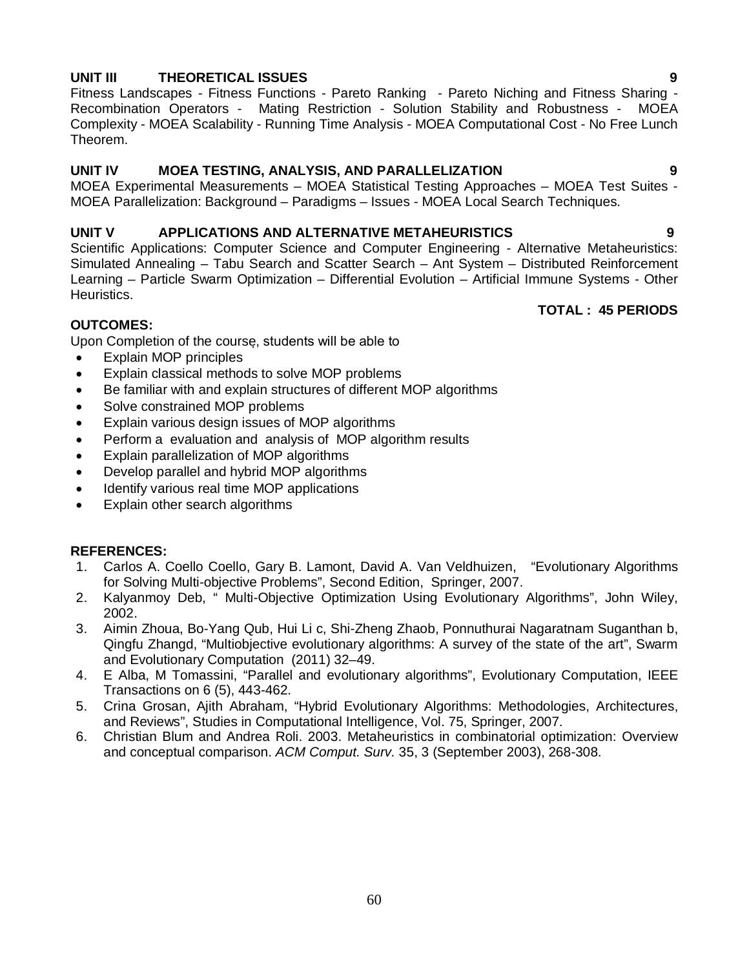### **UNIT III THEORETICAL ISSUES 9**

Fitness Landscapes - Fitness Functions - Pareto Ranking - Pareto Niching and Fitness Sharing - Recombination Operators - Mating Restriction - Solution Stability and Robustness - MOEA Complexity - MOEA Scalability - Running Time Analysis - MOEA Computational Cost - No Free Lunch Theorem.

## **UNIT IV MOEA TESTING, ANALYSIS, AND PARALLELIZATION 9**

MOEA Experimental Measurements – MOEA Statistical Testing Approaches – MOEA Test Suites - MOEA Parallelization: Background – Paradigms – Issues - MOEA Local Search Techniques.

## **UNIT V APPLICATIONS AND ALTERNATIVE METAHEURISTICS 9**

Scientific Applications: Computer Science and Computer Engineering - Alternative Metaheuristics: Simulated Annealing – Tabu Search and Scatter Search – Ant System – Distributed Reinforcement Learning – Particle Swarm Optimization – Differential Evolution – Artificial Immune Systems - Other Heuristics.

**TOTAL : 45 PERIODS** 

# **OUTCOMES:**

Upon Completion of the course, students will be able to

- Explain MOP principles
- Explain classical methods to solve MOP problems
- Be familiar with and explain structures of different MOP algorithms
- Solve constrained MOP problems
- Explain various design issues of MOP algorithms
- Perform a evaluation and analysis of MOP algorithm results
- Explain parallelization of MOP algorithms
- Develop parallel and hybrid MOP algorithms
- Identify various real time MOP applications
- Explain other search algorithms

# **REFERENCES:**

- 1. Carlos A. Coello Coello, Gary B. Lamont, David A. Van Veldhuizen, "Evolutionary Algorithms for Solving Multi-objective Problems", Second Edition, Springer, 2007.
- 2. Kalyanmoy Deb, " Multi-Objective Optimization Using Evolutionary Algorithms", John Wiley, 2002.
- 3. Aimin Zhoua, Bo-Yang Qub, Hui Li c, Shi-Zheng Zhaob, Ponnuthurai Nagaratnam Suganthan b, Qingfu Zhangd, "Multiobjective evolutionary algorithms: A survey of the state of the art", Swarm and Evolutionary Computation (2011) 32–49.
- 4. E Alba, M Tomassini, "Parallel and evolutionary algorithms", Evolutionary Computation, IEEE Transactions on 6 (5), 443-462.
- 5. Crina Grosan, Ajith Abraham, "Hybrid Evolutionary Algorithms: Methodologies, Architectures, and Reviews", Studies in Computational Intelligence, Vol. 75, Springer, 2007.
- 6. Christian Blum and Andrea Roli. 2003. Metaheuristics in combinatorial optimization: Overview and conceptual comparison. *ACM Comput. Surv.* 35, 3 (September 2003), 268-308.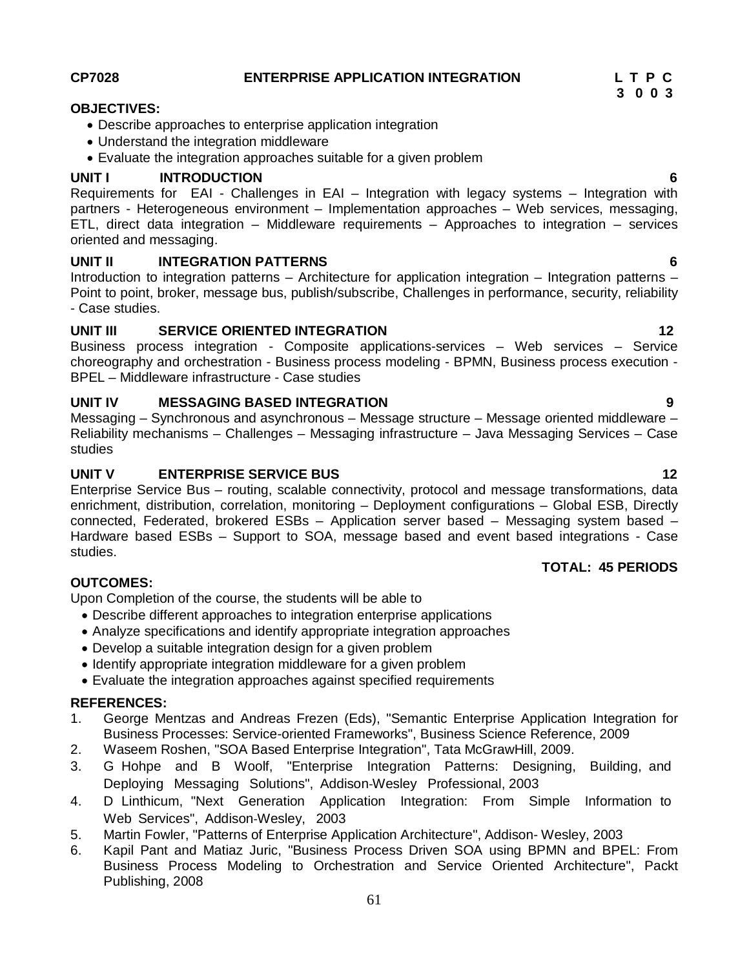#### **UNIT II INTEGRATION PATTERNS 6**

Understand the integration middleware

Introduction to integration patterns – Architecture for application integration – Integration patterns – Point to point, broker, message bus, publish/subscribe, Challenges in performance, security, reliability - Case studies.

#### **UNIT III SERVICE ORIENTED INTEGRATION 12**

Describe approaches to enterprise application integration

Evaluate the integration approaches suitable for a given problem

Business process integration - Composite applications-services – Web services – Service choreography and orchestration - Business process modeling - BPMN, Business process execution - BPEL – Middleware infrastructure - Case studies

#### **UNIT IV MESSAGING BASED INTEGRATION 9**

Messaging – Synchronous and asynchronous – Message structure – Message oriented middleware – Reliability mechanisms – Challenges – Messaging infrastructure – Java Messaging Services – Case studies

#### **UNIT V ENTERPRISE SERVICE BUS 12**

Enterprise Service Bus – routing, scalable connectivity, protocol and message transformations, data enrichment, distribution, correlation, monitoring – Deployment configurations – Global ESB, Directly connected, Federated, brokered ESBs – Application server based – Messaging system based – Hardware based ESBs – Support to SOA, message based and event based integrations - Case studies.

#### **OUTCOMES:**

Upon Completion of the course, the students will be able to

- Describe different approaches to integration enterprise applications
- Analyze specifications and identify appropriate integration approaches
- Develop a suitable integration design for a given problem
- Identify appropriate integration middleware for a given problem
- Evaluate the integration approaches against specified requirements

#### **REFERENCES:**

- 1. George Mentzas and Andreas Frezen (Eds), "Semantic Enterprise Application Integration for Business Processes: Service-oriented Frameworks", Business Science Reference, 2009
- 2. Waseem Roshen, "SOA Based Enterprise Integration", Tata McGrawHill, 2009.
- 3. G Hohpe and B Woolf, "Enterprise Integration Patterns: Designing, Building, and Deploying Messaging Solutions", Addison‐Wesley Professional, 2003
- 4. D Linthicum, "Next Generation Application Integration: From Simple Information to Web Services", Addison‐Wesley, 2003
- 5. Martin Fowler, "Patterns of Enterprise Application Architecture", Addison- Wesley, 2003
- 6. Kapil Pant and Matiaz Juric, "Business Process Driven SOA using BPMN and BPEL: From Business Process Modeling to Orchestration and Service Oriented Architecture", Packt Publishing, 2008

#### **CP7028 ENTERPRISE APPLICATION INTEGRATION L T P C**

**UNIT I INTRODUCTION 6** Requirements for EAI - Challenges in EAI – Integration with legacy systems – Integration with partners - Heterogeneous environment – Implementation approaches – Web services, messaging, ETL, direct data integration – Middleware requirements – Approaches to integration – services

**OBJECTIVES:**

oriented and messaging.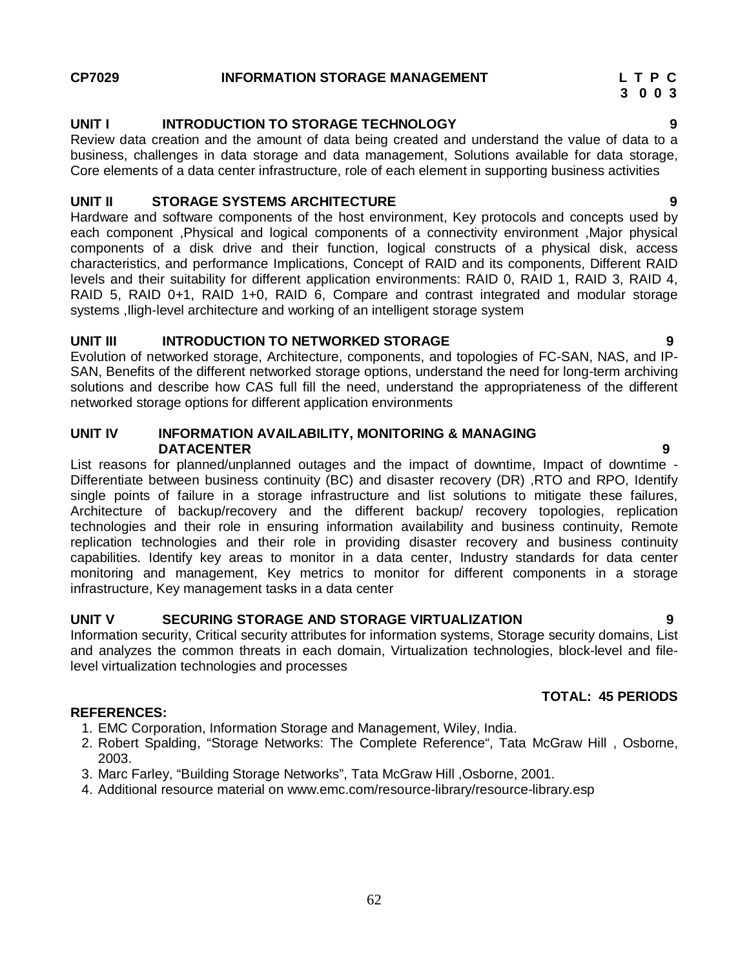#### **CP7029 INFORMATION STORAGE MANAGEMENT L T P C**

### **UNIT I INTRODUCTION TO STORAGE TECHNOLOGY 9**

Review data creation and the amount of data being created and understand the value of data to a business, challenges in data storage and data management, Solutions available for data storage, Core elements of a data center infrastructure, role of each element in supporting business activities

### **UNIT II STORAGE SYSTEMS ARCHITECTURE 9**

Hardware and software components of the host environment, Key protocols and concepts used by each component ,Physical and logical components of a connectivity environment ,Major physical components of a disk drive and their function, logical constructs of a physical disk, access characteristics, and performance Implications, Concept of RAID and its components, Different RAID levels and their suitability for different application environments: RAID 0, RAID 1, RAID 3, RAID 4, RAID 5, RAID 0+1, RAID 1+0, RAID 6, Compare and contrast integrated and modular storage systems ,Iligh-level architecture and working of an intelligent storage system

#### **UNIT III INTRODUCTION TO NETWORKED STORAGE 9**

Evolution of networked storage, Architecture, components, and topologies of FC-SAN, NAS, and IP-SAN, Benefits of the different networked storage options, understand the need for long-term archiving solutions and describe how CAS full fill the need, understand the appropriateness of the different networked storage options for different application environments

#### **UNIT IV INFORMATION AVAILABILITY, MONITORING & MANAGING DATACENTER 9**

List reasons for planned/unplanned outages and the impact of downtime, Impact of downtime - Differentiate between business continuity (BC) and disaster recovery (DR) ,RTO and RPO, Identify single points of failure in a storage infrastructure and list solutions to mitigate these failures, Architecture of backup/recovery and the different backup/ recovery topologies, replication technologies and their role in ensuring information availability and business continuity, Remote replication technologies and their role in providing disaster recovery and business continuity capabilities. Identify key areas to monitor in a data center, Industry standards for data center monitoring and management, Key metrics to monitor for different components in a storage infrastructure, Key management tasks in a data center

### **UNIT V SECURING STORAGE AND STORAGE VIRTUALIZATION 9**

Information security, Critical security attributes for information systems, Storage security domains, List and analyzes the common threats in each domain, Virtualization technologies, block-level and filelevel virtualization technologies and processes

#### **TOTAL: 45 PERIODS**

### **REFERENCES:**

- 1. EMC Corporation, Information Storage and Management, Wiley, India.
- 2. Robert Spalding, "Storage Networks: The Complete Reference", Tata McGraw Hill , Osborne, 2003.
- 3. Marc Farley, "Building Storage Networks", Tata McGraw Hill ,Osborne, 2001.
- 4. Additional resource material on www.emc.com/resource-library/resource-library.esp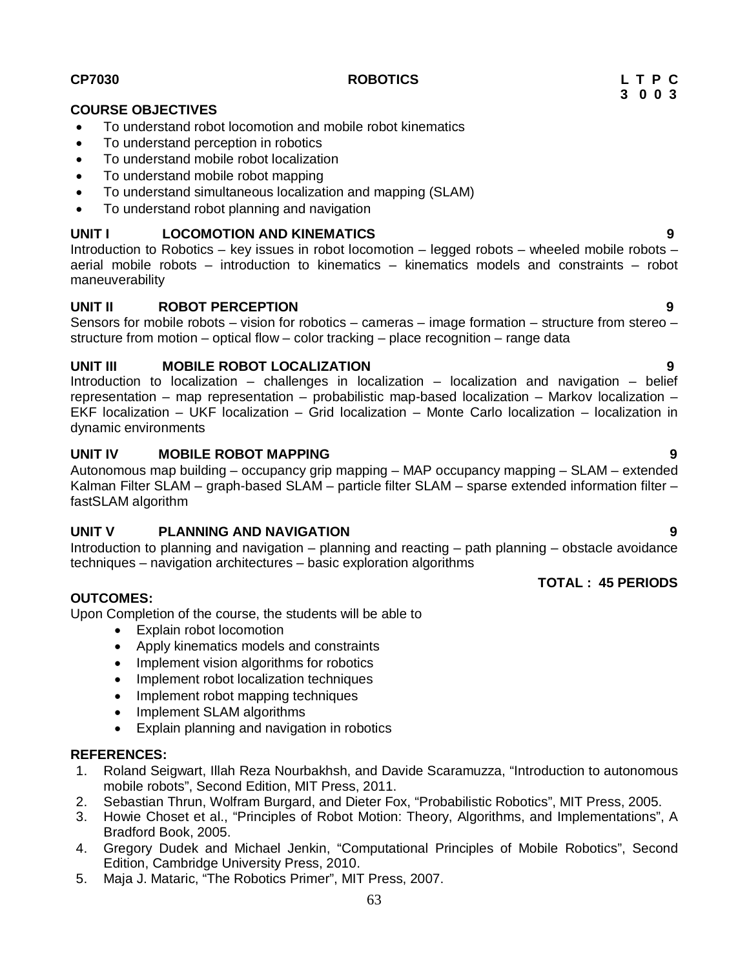To understand simultaneous localization and mapping (SLAM)

To understand robot locomotion and mobile robot kinematics

• To understand robot planning and navigation

 To understand mobile robot localization To understand mobile robot mapping

• To understand perception in robotics

# **UNIT I LOCOMOTION AND KINEMATICS 9**

Introduction to Robotics – key issues in robot locomotion – legged robots – wheeled mobile robots – aerial mobile robots – introduction to kinematics – kinematics models and constraints – robot maneuverability

# **UNIT II ROBOT PERCEPTION 9**

Sensors for mobile robots – vision for robotics – cameras – image formation – structure from stereo – structure from motion – optical flow – color tracking – place recognition – range data

# **UNIT III MOBILE ROBOT LOCALIZATION 9**

Introduction to localization – challenges in localization – localization and navigation – belief representation – map representation – probabilistic map-based localization – Markov localization – EKF localization – UKF localization – Grid localization – Monte Carlo localization – localization in dynamic environments

# **UNIT IV MOBILE ROBOT MAPPING 9**

Autonomous map building – occupancy grip mapping – MAP occupancy mapping – SLAM – extended Kalman Filter SLAM – graph-based SLAM – particle filter SLAM – sparse extended information filter – fastSLAM algorithm

# **UNIT V PLANNING AND NAVIGATION 9**

Introduction to planning and navigation – planning and reacting – path planning – obstacle avoidance techniques – navigation architectures – basic exploration algorithms

# **OUTCOMES:**

Upon Completion of the course, the students will be able to

- Explain robot locomotion
- Apply kinematics models and constraints
- Implement vision algorithms for robotics
- Implement robot localization techniques
- Implement robot mapping techniques
- Implement SLAM algorithms
- Explain planning and navigation in robotics

# **REFERENCES:**

- 1. Roland Seigwart, Illah Reza Nourbakhsh, and Davide Scaramuzza, "Introduction to autonomous mobile robots", Second Edition, MIT Press, 2011.
- 2. Sebastian Thrun, Wolfram Burgard, and Dieter Fox, "Probabilistic Robotics", MIT Press, 2005.
- 3. Howie Choset et al., "Principles of Robot Motion: Theory, Algorithms, and Implementations", A Bradford Book, 2005.
- 4. Gregory Dudek and Michael Jenkin, "Computational Principles of Mobile Robotics", Second Edition, Cambridge University Press, 2010.
- 5. Maja J. Mataric, "The Robotics Primer", MIT Press, 2007.

**COURSE OBJECTIVES**